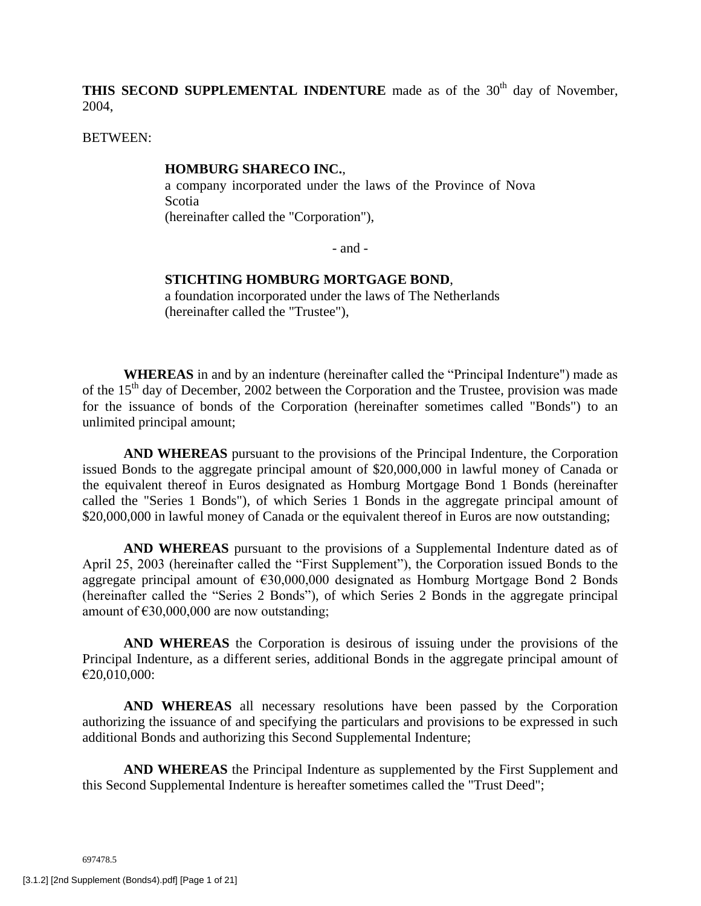**THIS SECOND SUPPLEMENTAL INDENTURE** made as of the 30<sup>th</sup> day of November, 2004,

BETWEEN:

### **HOMBURG SHARECO INC.**,

a company incorporated under the laws of the Province of Nova Scotia (hereinafter called the "Corporation"),

- and -

### **STICHTING HOMBURG MORTGAGE BOND**,

a foundation incorporated under the laws of The Netherlands (hereinafter called the "Trustee"),

**WHEREAS** in and by an indenture (hereinafter called the "Principal Indenture") made as of the  $15<sup>th</sup>$  day of December, 2002 between the Corporation and the Trustee, provision was made for the issuance of bonds of the Corporation (hereinafter sometimes called "Bonds") to an unlimited principal amount;

**AND WHEREAS** pursuant to the provisions of the Principal Indenture, the Corporation issued Bonds to the aggregate principal amount of \$20,000,000 in lawful money of Canada or the equivalent thereof in Euros designated as Homburg Mortgage Bond 1 Bonds (hereinafter called the "Series 1 Bonds"), of which Series 1 Bonds in the aggregate principal amount of \$20,000,000 in lawful money of Canada or the equivalent thereof in Euros are now outstanding;

**AND WHEREAS** pursuant to the provisions of a Supplemental Indenture dated as of April 25, 2003 (hereinafter called the "First Supplement"), the Corporation issued Bonds to the aggregate principal amount of  $\epsilon$ 30,000,000 designated as Homburg Mortgage Bond 2 Bonds (hereinafter called the "Series 2 Bonds"), of which Series 2 Bonds in the aggregate principal amount of  $£30,000,000$  are now outstanding;

**AND WHEREAS** the Corporation is desirous of issuing under the provisions of the Principal Indenture, as a different series, additional Bonds in the aggregate principal amount of €20,010,000:

**AND WHEREAS** all necessary resolutions have been passed by the Corporation authorizing the issuance of and specifying the particulars and provisions to be expressed in such additional Bonds and authorizing this Second Supplemental Indenture;

**AND WHEREAS** the Principal Indenture as supplemented by the First Supplement and this Second Supplemental Indenture is hereafter sometimes called the "Trust Deed";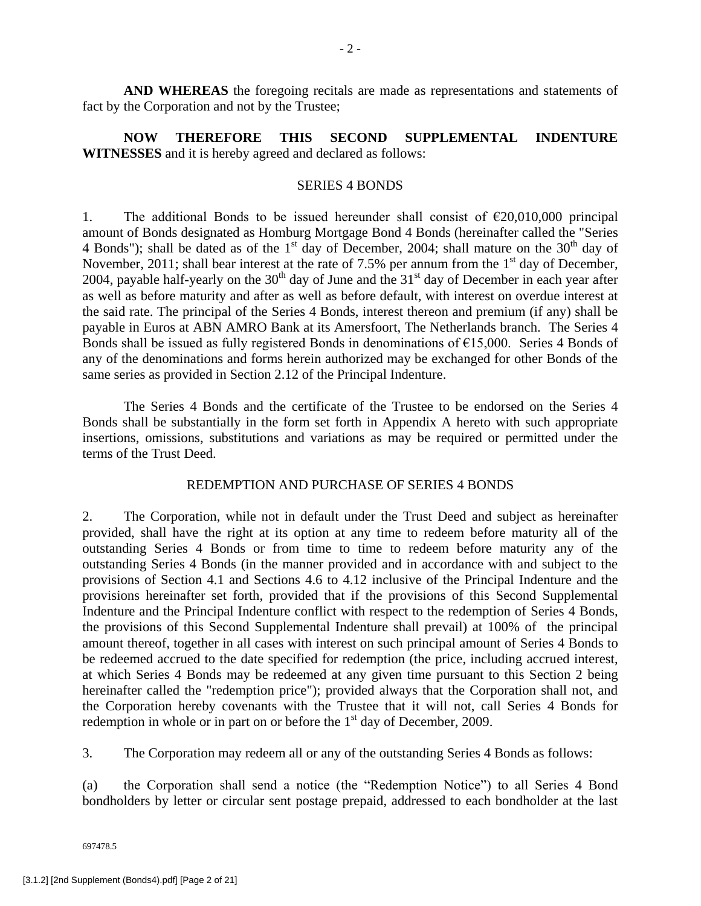**AND WHEREAS** the foregoing recitals are made as representations and statements of fact by the Corporation and not by the Trustee;

**NOW THEREFORE THIS SECOND SUPPLEMENTAL INDENTURE WITNESSES** and it is hereby agreed and declared as follows:

### SERIES 4 BONDS

1. The additional Bonds to be issued hereunder shall consist of  $\epsilon$ 20,010,000 principal amount of Bonds designated as Homburg Mortgage Bond 4 Bonds (hereinafter called the "Series 4 Bonds"); shall be dated as of the  $1<sup>st</sup>$  day of December, 2004; shall mature on the 30<sup>th</sup> day of November, 2011; shall bear interest at the rate of 7.5% per annum from the  $1<sup>st</sup>$  day of December, 2004, payable half-yearly on the  $30<sup>th</sup>$  day of June and the  $31<sup>st</sup>$  day of December in each year after as well as before maturity and after as well as before default, with interest on overdue interest at the said rate. The principal of the Series 4 Bonds, interest thereon and premium (if any) shall be payable in Euros at ABN AMRO Bank at its Amersfoort, The Netherlands branch. The Series 4 Bonds shall be issued as fully registered Bonds in denominations of  $E15,000$ . Series 4 Bonds of any of the denominations and forms herein authorized may be exchanged for other Bonds of the same series as provided in Section 2.12 of the Principal Indenture.

The Series 4 Bonds and the certificate of the Trustee to be endorsed on the Series 4 Bonds shall be substantially in the form set forth in Appendix A hereto with such appropriate insertions, omissions, substitutions and variations as may be required or permitted under the terms of the Trust Deed.

## REDEMPTION AND PURCHASE OF SERIES 4 BONDS

2. The Corporation, while not in default under the Trust Deed and subject as hereinafter provided, shall have the right at its option at any time to redeem before maturity all of the outstanding Series 4 Bonds or from time to time to redeem before maturity any of the outstanding Series 4 Bonds (in the manner provided and in accordance with and subject to the provisions of Section 4.1 and Sections 4.6 to 4.12 inclusive of the Principal Indenture and the provisions hereinafter set forth, provided that if the provisions of this Second Supplemental Indenture and the Principal Indenture conflict with respect to the redemption of Series 4 Bonds, the provisions of this Second Supplemental Indenture shall prevail) at 100% of the principal amount thereof, together in all cases with interest on such principal amount of Series 4 Bonds to be redeemed accrued to the date specified for redemption (the price, including accrued interest, at which Series 4 Bonds may be redeemed at any given time pursuant to this Section 2 being hereinafter called the "redemption price"); provided always that the Corporation shall not, and the Corporation hereby covenants with the Trustee that it will not, call Series 4 Bonds for redemption in whole or in part on or before the  $1<sup>st</sup>$  day of December, 2009.

3. The Corporation may redeem all or any of the outstanding Series 4 Bonds as follows:

(a) the Corporation shall send a notice (the "Redemption Notice") to all Series 4 Bond bondholders by letter or circular sent postage prepaid, addressed to each bondholder at the last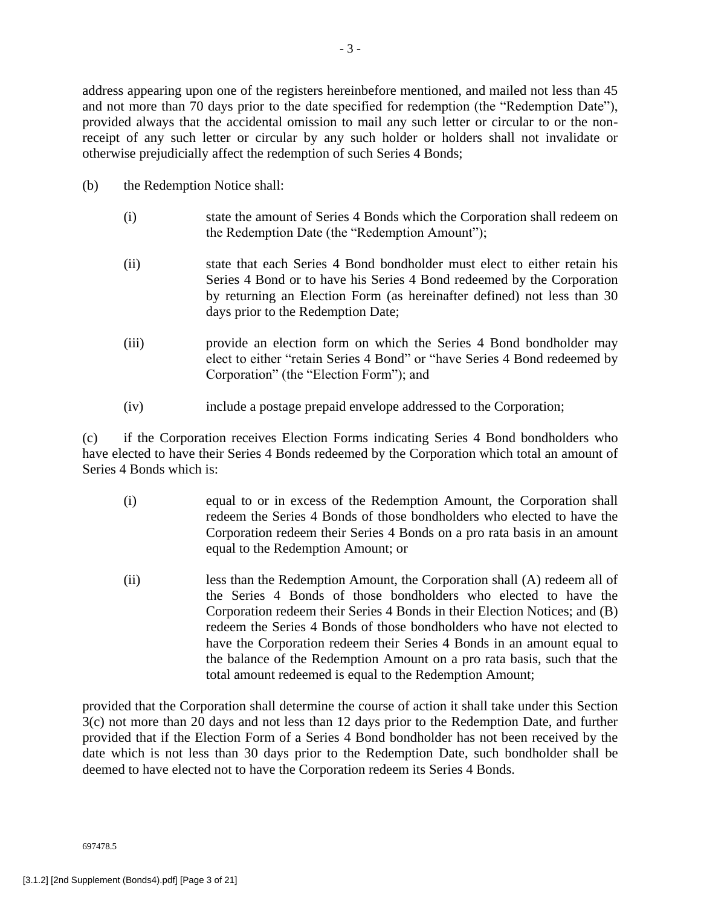address appearing upon one of the registers hereinbefore mentioned, and mailed not less than 45 and not more than 70 days prior to the date specified for redemption (the "Redemption Date"), provided always that the accidental omission to mail any such letter or circular to or the nonreceipt of any such letter or circular by any such holder or holders shall not invalidate or otherwise prejudicially affect the redemption of such Series 4 Bonds;

- (b) the Redemption Notice shall:
	- (i) state the amount of Series 4 Bonds which the Corporation shall redeem on the Redemption Date (the "Redemption Amount");
	- (ii) state that each Series 4 Bond bondholder must elect to either retain his Series 4 Bond or to have his Series 4 Bond redeemed by the Corporation by returning an Election Form (as hereinafter defined) not less than 30 days prior to the Redemption Date;
	- (iii) provide an election form on which the Series 4 Bond bondholder may elect to either "retain Series 4 Bond" or "have Series 4 Bond redeemed by Corporation" (the "Election Form"); and
	- (iv) include a postage prepaid envelope addressed to the Corporation;

(c) if the Corporation receives Election Forms indicating Series 4 Bond bondholders who have elected to have their Series 4 Bonds redeemed by the Corporation which total an amount of Series 4 Bonds which is:

- (i) equal to or in excess of the Redemption Amount, the Corporation shall redeem the Series 4 Bonds of those bondholders who elected to have the Corporation redeem their Series 4 Bonds on a pro rata basis in an amount equal to the Redemption Amount; or
- (ii) less than the Redemption Amount, the Corporation shall (A) redeem all of the Series 4 Bonds of those bondholders who elected to have the Corporation redeem their Series 4 Bonds in their Election Notices; and (B) redeem the Series 4 Bonds of those bondholders who have not elected to have the Corporation redeem their Series 4 Bonds in an amount equal to the balance of the Redemption Amount on a pro rata basis, such that the total amount redeemed is equal to the Redemption Amount;

provided that the Corporation shall determine the course of action it shall take under this Section 3(c) not more than 20 days and not less than 12 days prior to the Redemption Date, and further provided that if the Election Form of a Series 4 Bond bondholder has not been received by the date which is not less than 30 days prior to the Redemption Date, such bondholder shall be deemed to have elected not to have the Corporation redeem its Series 4 Bonds.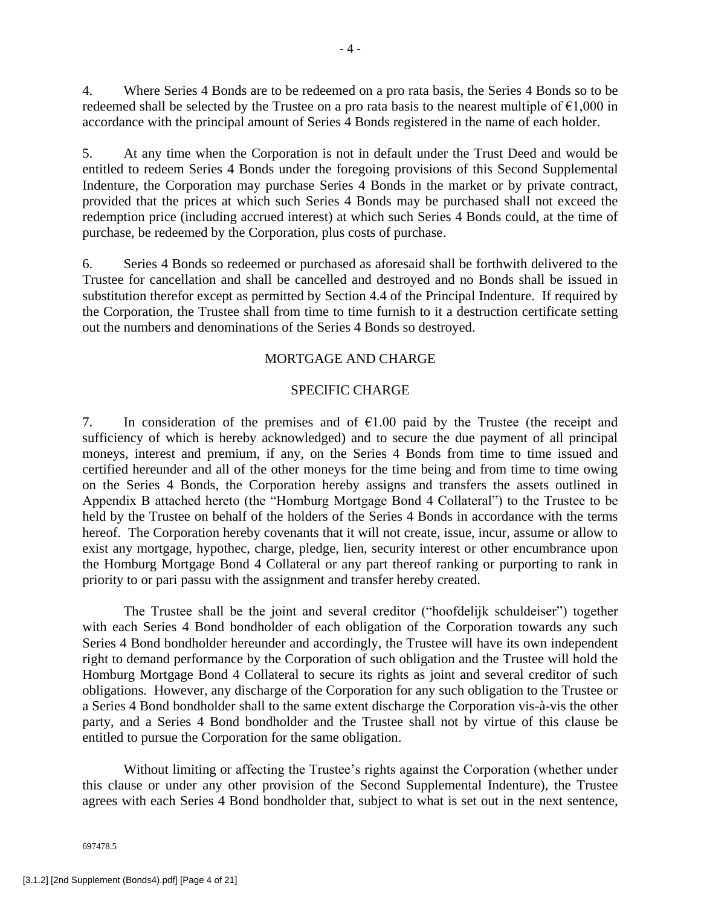4. Where Series 4 Bonds are to be redeemed on a pro rata basis, the Series 4 Bonds so to be redeemed shall be selected by the Trustee on a pro rata basis to the nearest multiple of  $\epsilon$ 1,000 in accordance with the principal amount of Series 4 Bonds registered in the name of each holder.

5. At any time when the Corporation is not in default under the Trust Deed and would be entitled to redeem Series 4 Bonds under the foregoing provisions of this Second Supplemental Indenture, the Corporation may purchase Series 4 Bonds in the market or by private contract, provided that the prices at which such Series 4 Bonds may be purchased shall not exceed the redemption price (including accrued interest) at which such Series 4 Bonds could, at the time of purchase, be redeemed by the Corporation, plus costs of purchase.

6. Series 4 Bonds so redeemed or purchased as aforesaid shall be forthwith delivered to the Trustee for cancellation and shall be cancelled and destroyed and no Bonds shall be issued in substitution therefor except as permitted by Section 4.4 of the Principal Indenture. If required by the Corporation, the Trustee shall from time to time furnish to it a destruction certificate setting out the numbers and denominations of the Series 4 Bonds so destroyed.

# MORTGAGE AND CHARGE

## SPECIFIC CHARGE

7. In consideration of the premises and of  $\epsilon$ 1.00 paid by the Trustee (the receipt and sufficiency of which is hereby acknowledged) and to secure the due payment of all principal moneys, interest and premium, if any, on the Series 4 Bonds from time to time issued and certified hereunder and all of the other moneys for the time being and from time to time owing on the Series 4 Bonds, the Corporation hereby assigns and transfers the assets outlined in Appendix B attached hereto (the "Homburg Mortgage Bond 4 Collateral") to the Trustee to be held by the Trustee on behalf of the holders of the Series 4 Bonds in accordance with the terms hereof. The Corporation hereby covenants that it will not create, issue, incur, assume or allow to exist any mortgage, hypothec, charge, pledge, lien, security interest or other encumbrance upon the Homburg Mortgage Bond 4 Collateral or any part thereof ranking or purporting to rank in priority to or pari passu with the assignment and transfer hereby created.

The Trustee shall be the joint and several creditor ("hoofdelijk schuldeiser") together with each Series 4 Bond bondholder of each obligation of the Corporation towards any such Series 4 Bond bondholder hereunder and accordingly, the Trustee will have its own independent right to demand performance by the Corporation of such obligation and the Trustee will hold the Homburg Mortgage Bond 4 Collateral to secure its rights as joint and several creditor of such obligations. However, any discharge of the Corporation for any such obligation to the Trustee or a Series 4 Bond bondholder shall to the same extent discharge the Corporation vis-à-vis the other party, and a Series 4 Bond bondholder and the Trustee shall not by virtue of this clause be entitled to pursue the Corporation for the same obligation.

Without limiting or affecting the Trustee's rights against the Corporation (whether under this clause or under any other provision of the Second Supplemental Indenture), the Trustee agrees with each Series 4 Bond bondholder that, subject to what is set out in the next sentence,

697478.5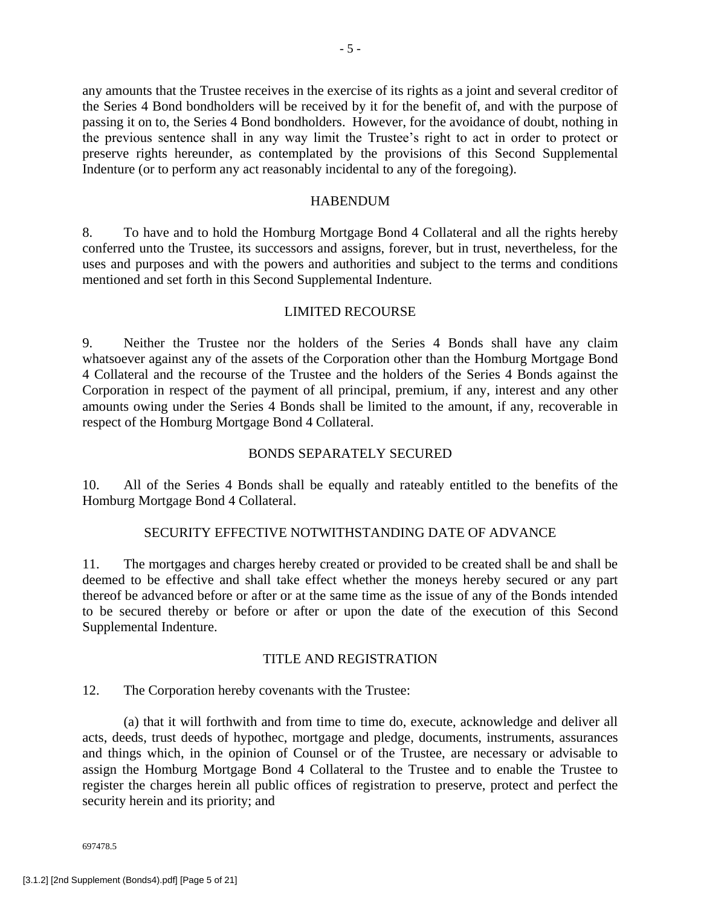any amounts that the Trustee receives in the exercise of its rights as a joint and several creditor of the Series 4 Bond bondholders will be received by it for the benefit of, and with the purpose of passing it on to, the Series 4 Bond bondholders. However, for the avoidance of doubt, nothing in the previous sentence shall in any way limit the Trustee's right to act in order to protect or preserve rights hereunder, as contemplated by the provisions of this Second Supplemental Indenture (or to perform any act reasonably incidental to any of the foregoing).

### HABENDUM

8. To have and to hold the Homburg Mortgage Bond 4 Collateral and all the rights hereby conferred unto the Trustee, its successors and assigns, forever, but in trust, nevertheless, for the uses and purposes and with the powers and authorities and subject to the terms and conditions mentioned and set forth in this Second Supplemental Indenture.

# LIMITED RECOURSE

9. Neither the Trustee nor the holders of the Series 4 Bonds shall have any claim whatsoever against any of the assets of the Corporation other than the Homburg Mortgage Bond 4 Collateral and the recourse of the Trustee and the holders of the Series 4 Bonds against the Corporation in respect of the payment of all principal, premium, if any, interest and any other amounts owing under the Series 4 Bonds shall be limited to the amount, if any, recoverable in respect of the Homburg Mortgage Bond 4 Collateral.

# BONDS SEPARATELY SECURED

10. All of the Series 4 Bonds shall be equally and rateably entitled to the benefits of the Homburg Mortgage Bond 4 Collateral.

# SECURITY EFFECTIVE NOTWITHSTANDING DATE OF ADVANCE

11. The mortgages and charges hereby created or provided to be created shall be and shall be deemed to be effective and shall take effect whether the moneys hereby secured or any part thereof be advanced before or after or at the same time as the issue of any of the Bonds intended to be secured thereby or before or after or upon the date of the execution of this Second Supplemental Indenture.

# TITLE AND REGISTRATION

12. The Corporation hereby covenants with the Trustee:

(a) that it will forthwith and from time to time do, execute, acknowledge and deliver all acts, deeds, trust deeds of hypothec, mortgage and pledge, documents, instruments, assurances and things which, in the opinion of Counsel or of the Trustee, are necessary or advisable to assign the Homburg Mortgage Bond 4 Collateral to the Trustee and to enable the Trustee to register the charges herein all public offices of registration to preserve, protect and perfect the security herein and its priority; and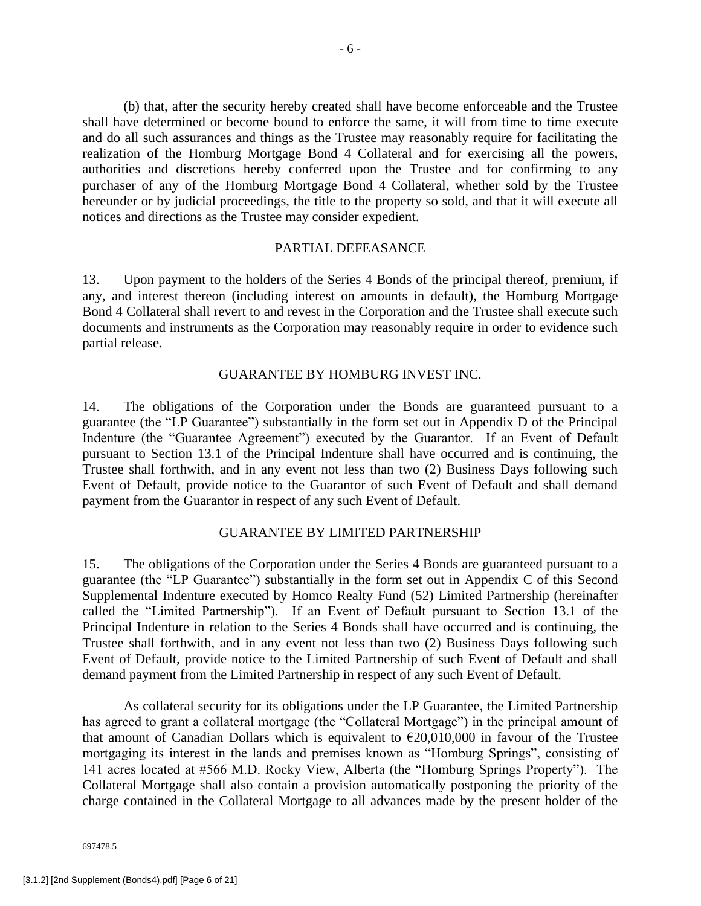(b) that, after the security hereby created shall have become enforceable and the Trustee shall have determined or become bound to enforce the same, it will from time to time execute and do all such assurances and things as the Trustee may reasonably require for facilitating the realization of the Homburg Mortgage Bond 4 Collateral and for exercising all the powers, authorities and discretions hereby conferred upon the Trustee and for confirming to any purchaser of any of the Homburg Mortgage Bond 4 Collateral, whether sold by the Trustee hereunder or by judicial proceedings, the title to the property so sold, and that it will execute all notices and directions as the Trustee may consider expedient.

## PARTIAL DEFEASANCE

13. Upon payment to the holders of the Series 4 Bonds of the principal thereof, premium, if any, and interest thereon (including interest on amounts in default), the Homburg Mortgage Bond 4 Collateral shall revert to and revest in the Corporation and the Trustee shall execute such documents and instruments as the Corporation may reasonably require in order to evidence such partial release.

### GUARANTEE BY HOMBURG INVEST INC.

14. The obligations of the Corporation under the Bonds are guaranteed pursuant to a guarantee (the "LP Guarantee") substantially in the form set out in Appendix D of the Principal Indenture (the "Guarantee Agreement") executed by the Guarantor. If an Event of Default pursuant to Section 13.1 of the Principal Indenture shall have occurred and is continuing, the Trustee shall forthwith, and in any event not less than two (2) Business Days following such Event of Default, provide notice to the Guarantor of such Event of Default and shall demand payment from the Guarantor in respect of any such Event of Default.

# GUARANTEE BY LIMITED PARTNERSHIP

15. The obligations of the Corporation under the Series 4 Bonds are guaranteed pursuant to a guarantee (the "LP Guarantee") substantially in the form set out in Appendix C of this Second Supplemental Indenture executed by Homco Realty Fund (52) Limited Partnership (hereinafter called the "Limited Partnership"). If an Event of Default pursuant to Section 13.1 of the Principal Indenture in relation to the Series 4 Bonds shall have occurred and is continuing, the Trustee shall forthwith, and in any event not less than two (2) Business Days following such Event of Default, provide notice to the Limited Partnership of such Event of Default and shall demand payment from the Limited Partnership in respect of any such Event of Default.

As collateral security for its obligations under the LP Guarantee, the Limited Partnership has agreed to grant a collateral mortgage (the "Collateral Mortgage") in the principal amount of that amount of Canadian Dollars which is equivalent to  $\epsilon$ 20,010,000 in favour of the Trustee mortgaging its interest in the lands and premises known as "Homburg Springs", consisting of 141 acres located at #566 M.D. Rocky View, Alberta (the "Homburg Springs Property"). The Collateral Mortgage shall also contain a provision automatically postponing the priority of the charge contained in the Collateral Mortgage to all advances made by the present holder of the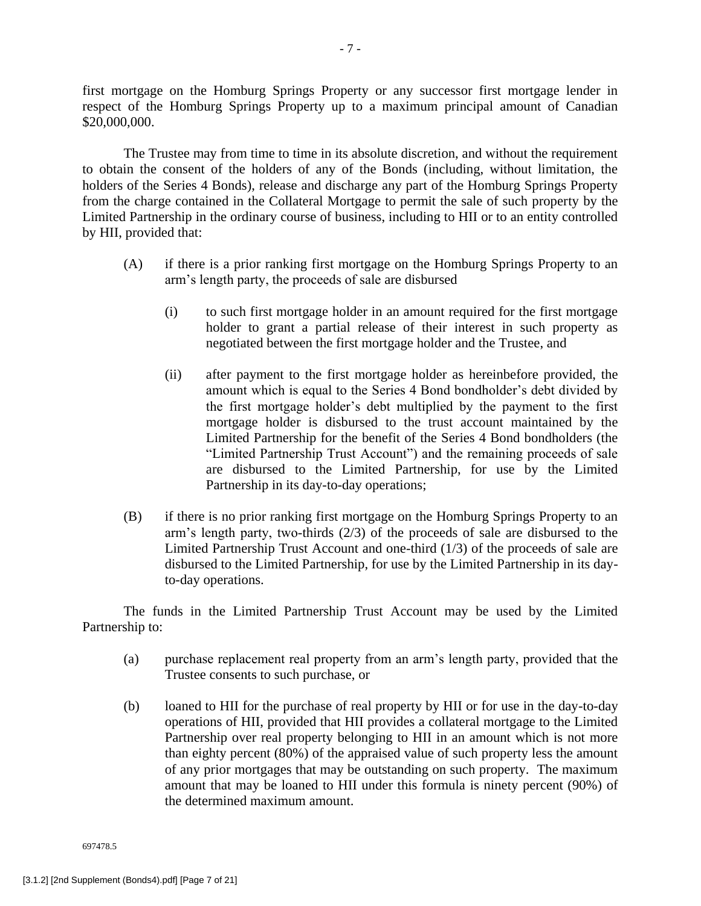first mortgage on the Homburg Springs Property or any successor first mortgage lender in respect of the Homburg Springs Property up to a maximum principal amount of Canadian \$20,000,000.

The Trustee may from time to time in its absolute discretion, and without the requirement to obtain the consent of the holders of any of the Bonds (including, without limitation, the holders of the Series 4 Bonds), release and discharge any part of the Homburg Springs Property from the charge contained in the Collateral Mortgage to permit the sale of such property by the Limited Partnership in the ordinary course of business, including to HII or to an entity controlled by HII, provided that:

- (A) if there is a prior ranking first mortgage on the Homburg Springs Property to an arm's length party, the proceeds of sale are disbursed
	- (i) to such first mortgage holder in an amount required for the first mortgage holder to grant a partial release of their interest in such property as negotiated between the first mortgage holder and the Trustee, and
	- (ii) after payment to the first mortgage holder as hereinbefore provided, the amount which is equal to the Series 4 Bond bondholder's debt divided by the first mortgage holder's debt multiplied by the payment to the first mortgage holder is disbursed to the trust account maintained by the Limited Partnership for the benefit of the Series 4 Bond bondholders (the "Limited Partnership Trust Account") and the remaining proceeds of sale are disbursed to the Limited Partnership, for use by the Limited Partnership in its day-to-day operations;
- (B) if there is no prior ranking first mortgage on the Homburg Springs Property to an arm's length party, two-thirds (2/3) of the proceeds of sale are disbursed to the Limited Partnership Trust Account and one-third (1/3) of the proceeds of sale are disbursed to the Limited Partnership, for use by the Limited Partnership in its dayto-day operations.

The funds in the Limited Partnership Trust Account may be used by the Limited Partnership to:

- (a) purchase replacement real property from an arm's length party, provided that the Trustee consents to such purchase, or
- (b) loaned to HII for the purchase of real property by HII or for use in the day-to-day operations of HII, provided that HII provides a collateral mortgage to the Limited Partnership over real property belonging to HII in an amount which is not more than eighty percent (80%) of the appraised value of such property less the amount of any prior mortgages that may be outstanding on such property. The maximum amount that may be loaned to HII under this formula is ninety percent (90%) of the determined maximum amount.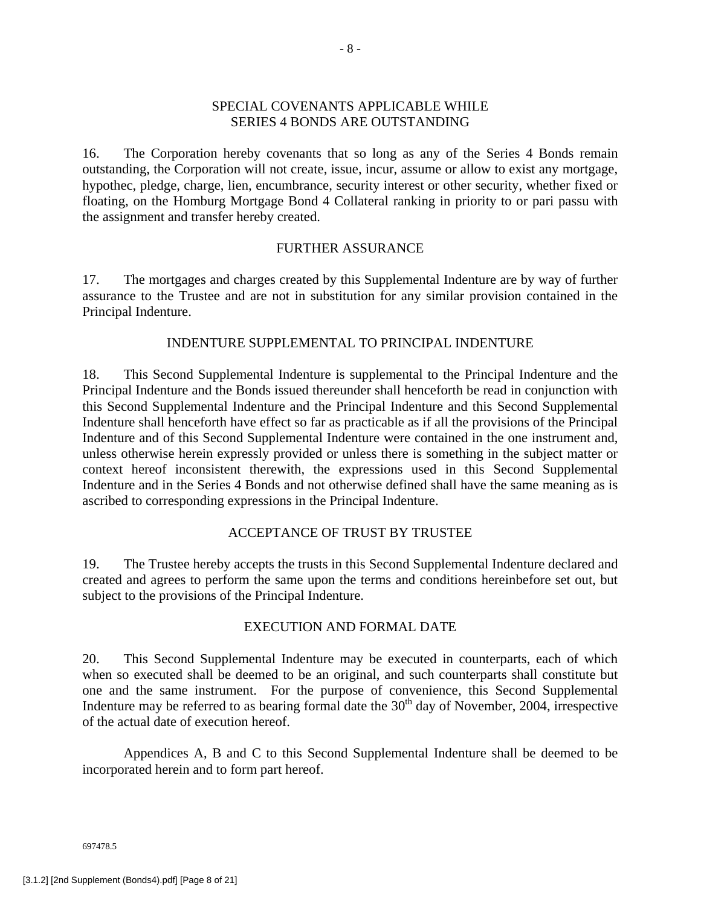## SPECIAL COVENANTS APPLICABLE WHILE SERIES 4 BONDS ARE OUTSTANDING

16. The Corporation hereby covenants that so long as any of the Series 4 Bonds remain outstanding, the Corporation will not create, issue, incur, assume or allow to exist any mortgage, hypothec, pledge, charge, lien, encumbrance, security interest or other security, whether fixed or floating, on the Homburg Mortgage Bond 4 Collateral ranking in priority to or pari passu with the assignment and transfer hereby created.

# FURTHER ASSURANCE

17. The mortgages and charges created by this Supplemental Indenture are by way of further assurance to the Trustee and are not in substitution for any similar provision contained in the Principal Indenture.

# INDENTURE SUPPLEMENTAL TO PRINCIPAL INDENTURE

18. This Second Supplemental Indenture is supplemental to the Principal Indenture and the Principal Indenture and the Bonds issued thereunder shall henceforth be read in conjunction with this Second Supplemental Indenture and the Principal Indenture and this Second Supplemental Indenture shall henceforth have effect so far as practicable as if all the provisions of the Principal Indenture and of this Second Supplemental Indenture were contained in the one instrument and, unless otherwise herein expressly provided or unless there is something in the subject matter or context hereof inconsistent therewith, the expressions used in this Second Supplemental Indenture and in the Series 4 Bonds and not otherwise defined shall have the same meaning as is ascribed to corresponding expressions in the Principal Indenture.

# ACCEPTANCE OF TRUST BY TRUSTEE

19. The Trustee hereby accepts the trusts in this Second Supplemental Indenture declared and created and agrees to perform the same upon the terms and conditions hereinbefore set out, but subject to the provisions of the Principal Indenture.

# EXECUTION AND FORMAL DATE

20. This Second Supplemental Indenture may be executed in counterparts, each of which when so executed shall be deemed to be an original, and such counterparts shall constitute but one and the same instrument. For the purpose of convenience, this Second Supplemental Indenture may be referred to as bearing formal date the  $30<sup>th</sup>$  day of November, 2004, irrespective of the actual date of execution hereof.

Appendices A, B and C to this Second Supplemental Indenture shall be deemed to be incorporated herein and to form part hereof.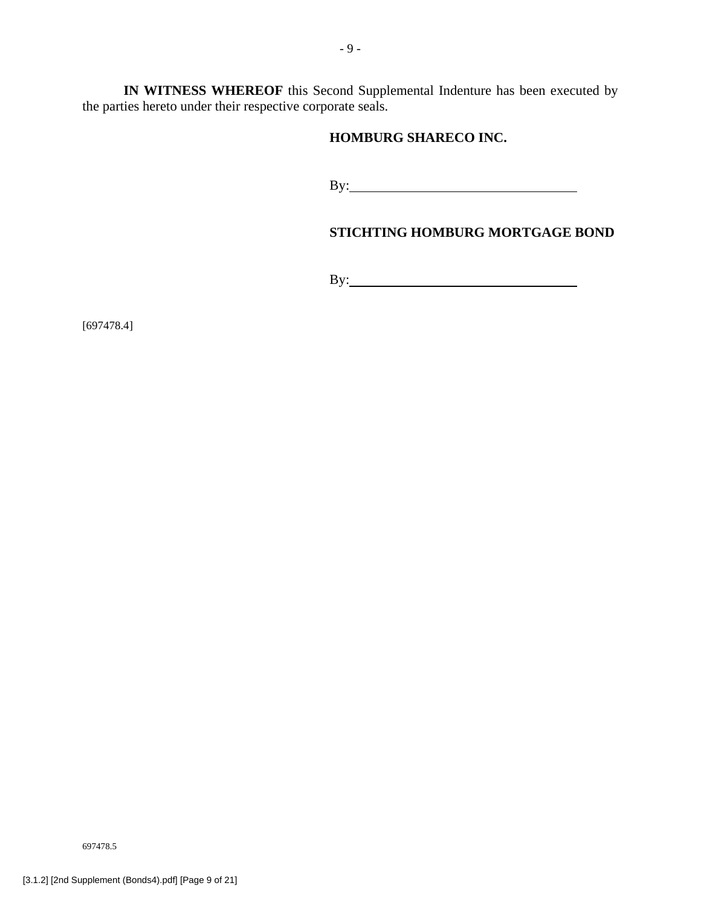**IN WITNESS WHEREOF** this Second Supplemental Indenture has been executed by the parties hereto under their respective corporate seals.

# **HOMBURG SHARECO INC.**

By:

# **STICHTING HOMBURG MORTGAGE BOND**

By:

[697478.4]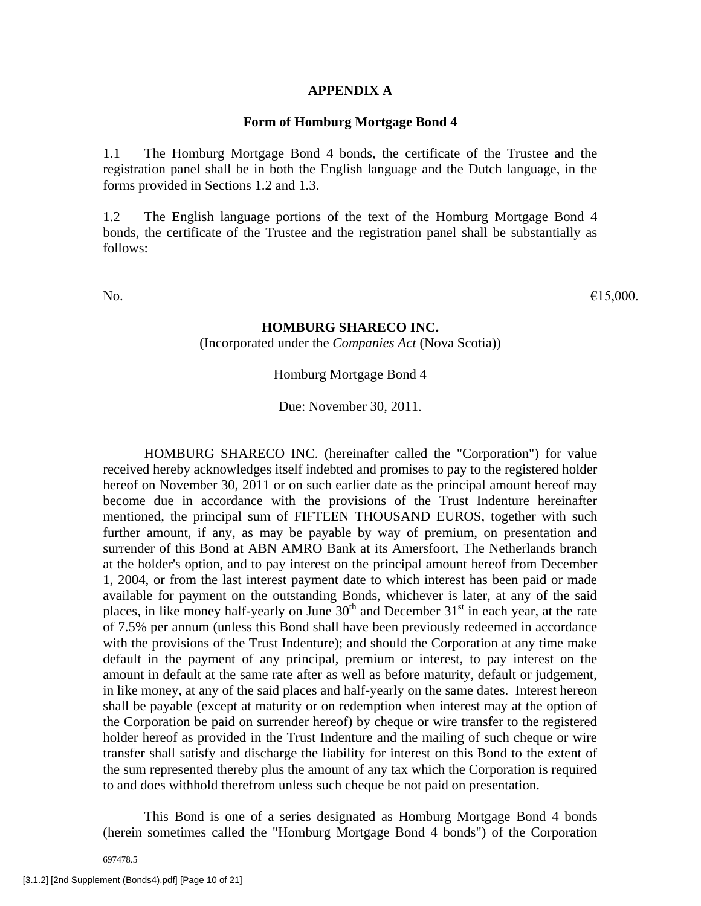#### **APPENDIX A**

#### **Form of Homburg Mortgage Bond 4**

1.1 The Homburg Mortgage Bond 4 bonds, the certificate of the Trustee and the registration panel shall be in both the English language and the Dutch language, in the forms provided in Sections 1.2 and 1.3.

1.2 The English language portions of the text of the Homburg Mortgage Bond 4 bonds, the certificate of the Trustee and the registration panel shall be substantially as follows:

No.  $\epsilon$ 15,000.

#### **HOMBURG SHARECO INC.**

(Incorporated under the *Companies Act* (Nova Scotia))

Homburg Mortgage Bond 4

Due: November 30, 2011.

HOMBURG SHARECO INC. (hereinafter called the "Corporation") for value received hereby acknowledges itself indebted and promises to pay to the registered holder hereof on November 30, 2011 or on such earlier date as the principal amount hereof may become due in accordance with the provisions of the Trust Indenture hereinafter mentioned, the principal sum of FIFTEEN THOUSAND EUROS, together with such further amount, if any, as may be payable by way of premium, on presentation and surrender of this Bond at ABN AMRO Bank at its Amersfoort, The Netherlands branch at the holder's option, and to pay interest on the principal amount hereof from December 1, 2004, or from the last interest payment date to which interest has been paid or made available for payment on the outstanding Bonds, whichever is later, at any of the said places, in like money half-yearly on June  $30<sup>th</sup>$  and December  $31<sup>st</sup>$  in each year, at the rate of 7.5% per annum (unless this Bond shall have been previously redeemed in accordance with the provisions of the Trust Indenture); and should the Corporation at any time make default in the payment of any principal, premium or interest, to pay interest on the amount in default at the same rate after as well as before maturity, default or judgement, in like money, at any of the said places and half-yearly on the same dates. Interest hereon shall be payable (except at maturity or on redemption when interest may at the option of the Corporation be paid on surrender hereof) by cheque or wire transfer to the registered holder hereof as provided in the Trust Indenture and the mailing of such cheque or wire transfer shall satisfy and discharge the liability for interest on this Bond to the extent of the sum represented thereby plus the amount of any tax which the Corporation is required to and does withhold therefrom unless such cheque be not paid on presentation.

This Bond is one of a series designated as Homburg Mortgage Bond 4 bonds (herein sometimes called the "Homburg Mortgage Bond 4 bonds") of the Corporation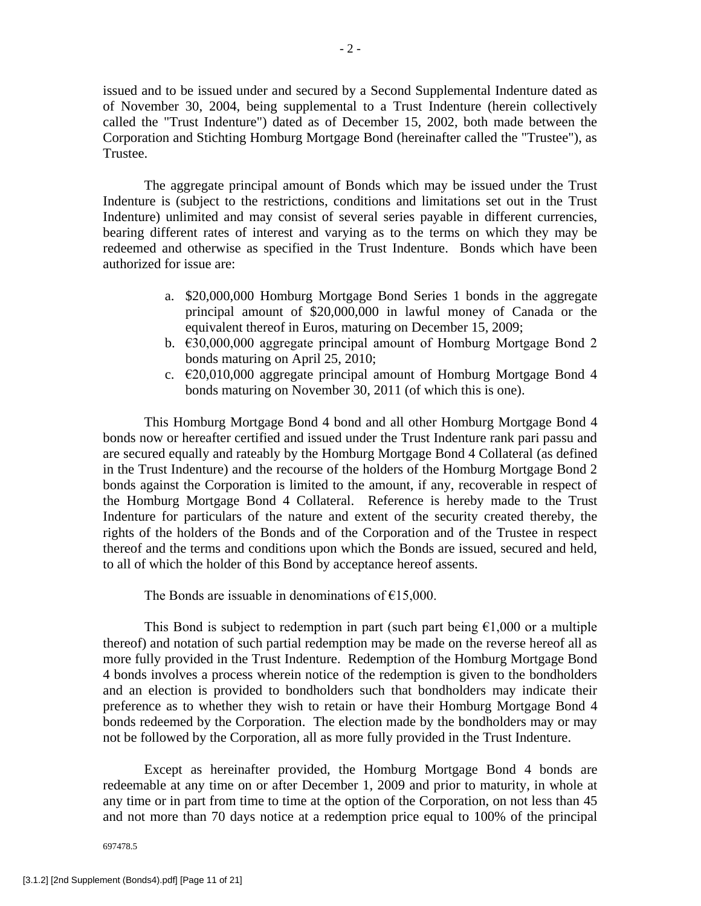issued and to be issued under and secured by a Second Supplemental Indenture dated as of November 30, 2004, being supplemental to a Trust Indenture (herein collectively called the "Trust Indenture") dated as of December 15, 2002, both made between the Corporation and Stichting Homburg Mortgage Bond (hereinafter called the "Trustee"), as Trustee.

The aggregate principal amount of Bonds which may be issued under the Trust Indenture is (subject to the restrictions, conditions and limitations set out in the Trust Indenture) unlimited and may consist of several series payable in different currencies, bearing different rates of interest and varying as to the terms on which they may be redeemed and otherwise as specified in the Trust Indenture. Bonds which have been authorized for issue are:

- a. \$20,000,000 Homburg Mortgage Bond Series 1 bonds in the aggregate principal amount of \$20,000,000 in lawful money of Canada or the equivalent thereof in Euros, maturing on December 15, 2009;
- b. €30,000,000 aggregate principal amount of Homburg Mortgage Bond 2 bonds maturing on April 25, 2010;
- c. €20,010,000 aggregate principal amount of Homburg Mortgage Bond 4 bonds maturing on November 30, 2011 (of which this is one).

This Homburg Mortgage Bond 4 bond and all other Homburg Mortgage Bond 4 bonds now or hereafter certified and issued under the Trust Indenture rank pari passu and are secured equally and rateably by the Homburg Mortgage Bond 4 Collateral (as defined in the Trust Indenture) and the recourse of the holders of the Homburg Mortgage Bond 2 bonds against the Corporation is limited to the amount, if any, recoverable in respect of the Homburg Mortgage Bond 4 Collateral. Reference is hereby made to the Trust Indenture for particulars of the nature and extent of the security created thereby, the rights of the holders of the Bonds and of the Corporation and of the Trustee in respect thereof and the terms and conditions upon which the Bonds are issued, secured and held, to all of which the holder of this Bond by acceptance hereof assents.

The Bonds are issuable in denominations of  $E$ 15,000.

This Bond is subject to redemption in part (such part being  $\epsilon$ 1,000 or a multiple thereof) and notation of such partial redemption may be made on the reverse hereof all as more fully provided in the Trust Indenture. Redemption of the Homburg Mortgage Bond 4 bonds involves a process wherein notice of the redemption is given to the bondholders and an election is provided to bondholders such that bondholders may indicate their preference as to whether they wish to retain or have their Homburg Mortgage Bond 4 bonds redeemed by the Corporation. The election made by the bondholders may or may not be followed by the Corporation, all as more fully provided in the Trust Indenture.

Except as hereinafter provided, the Homburg Mortgage Bond 4 bonds are redeemable at any time on or after December 1, 2009 and prior to maturity, in whole at any time or in part from time to time at the option of the Corporation, on not less than 45 and not more than 70 days notice at a redemption price equal to 100% of the principal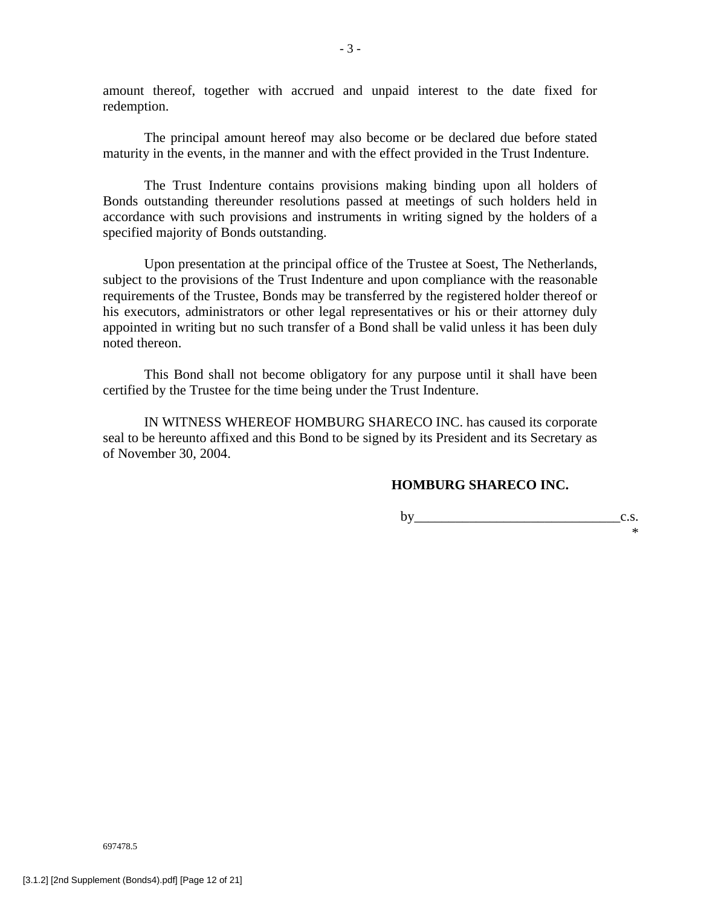amount thereof, together with accrued and unpaid interest to the date fixed for redemption.

The principal amount hereof may also become or be declared due before stated maturity in the events, in the manner and with the effect provided in the Trust Indenture.

The Trust Indenture contains provisions making binding upon all holders of Bonds outstanding thereunder resolutions passed at meetings of such holders held in accordance with such provisions and instruments in writing signed by the holders of a specified majority of Bonds outstanding.

Upon presentation at the principal office of the Trustee at Soest, The Netherlands, subject to the provisions of the Trust Indenture and upon compliance with the reasonable requirements of the Trustee, Bonds may be transferred by the registered holder thereof or his executors, administrators or other legal representatives or his or their attorney duly appointed in writing but no such transfer of a Bond shall be valid unless it has been duly noted thereon.

This Bond shall not become obligatory for any purpose until it shall have been certified by the Trustee for the time being under the Trust Indenture.

IN WITNESS WHEREOF HOMBURG SHARECO INC. has caused its corporate seal to be hereunto affixed and this Bond to be signed by its President and its Secretary as of November 30, 2004.

# **HOMBURG SHARECO INC.**

by  $\qquad c.s.$ \*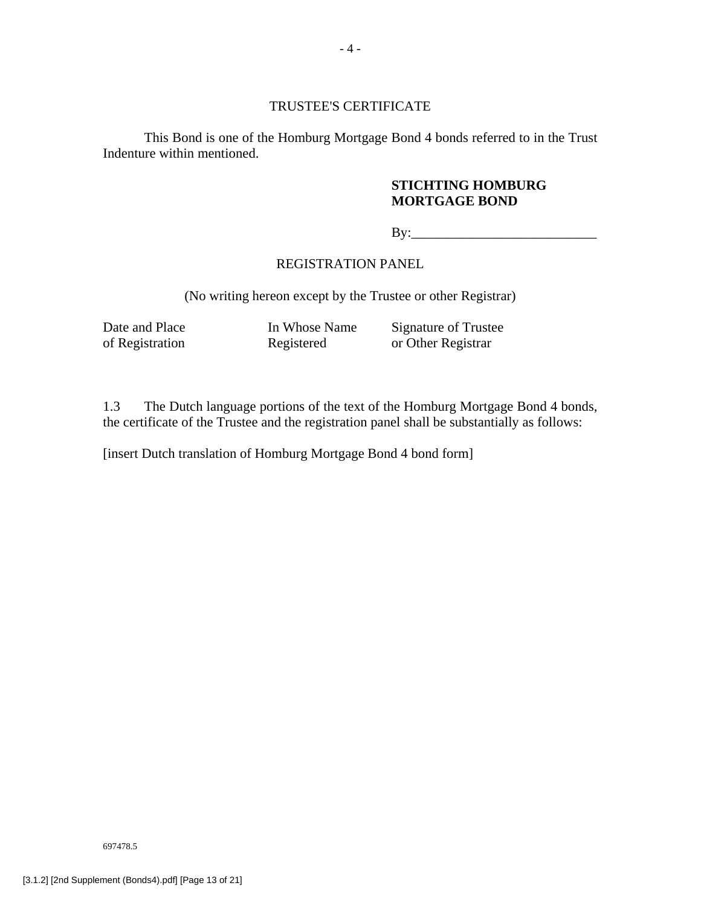### TRUSTEE'S CERTIFICATE

This Bond is one of the Homburg Mortgage Bond 4 bonds referred to in the Trust Indenture within mentioned.

# **STICHTING HOMBURG MORTGAGE BOND**

By:\_\_\_\_\_\_\_\_\_\_\_\_\_\_\_\_\_\_\_\_\_\_\_\_\_\_\_

# REGISTRATION PANEL

(No writing hereon except by the Trustee or other Registrar)

Date and Place In Whose Name Signature of Trustee<br>of Registration Registered or Other Registrar Registered or Other Registrar

1.3 The Dutch language portions of the text of the Homburg Mortgage Bond 4 bonds, the certificate of the Trustee and the registration panel shall be substantially as follows:

[insert Dutch translation of Homburg Mortgage Bond 4 bond form]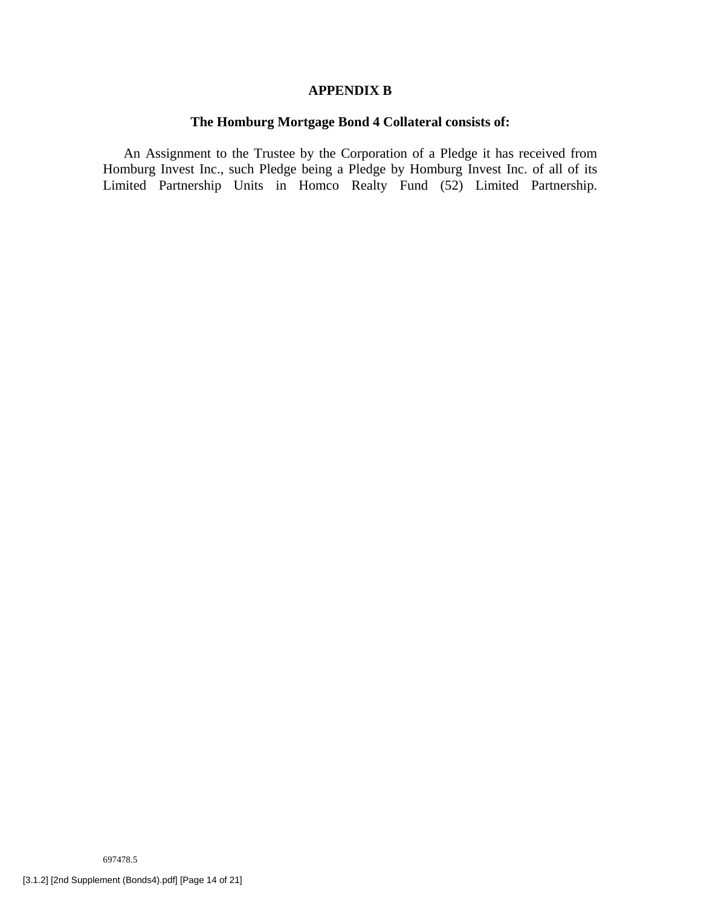### **APPENDIX B**

# **The Homburg Mortgage Bond 4 Collateral consists of:**

An Assignment to the Trustee by the Corporation of a Pledge it has received from Homburg Invest Inc., such Pledge being a Pledge by Homburg Invest Inc. of all of its Limited Partnership Units in Homco Realty Fund (52) Limited Partnership.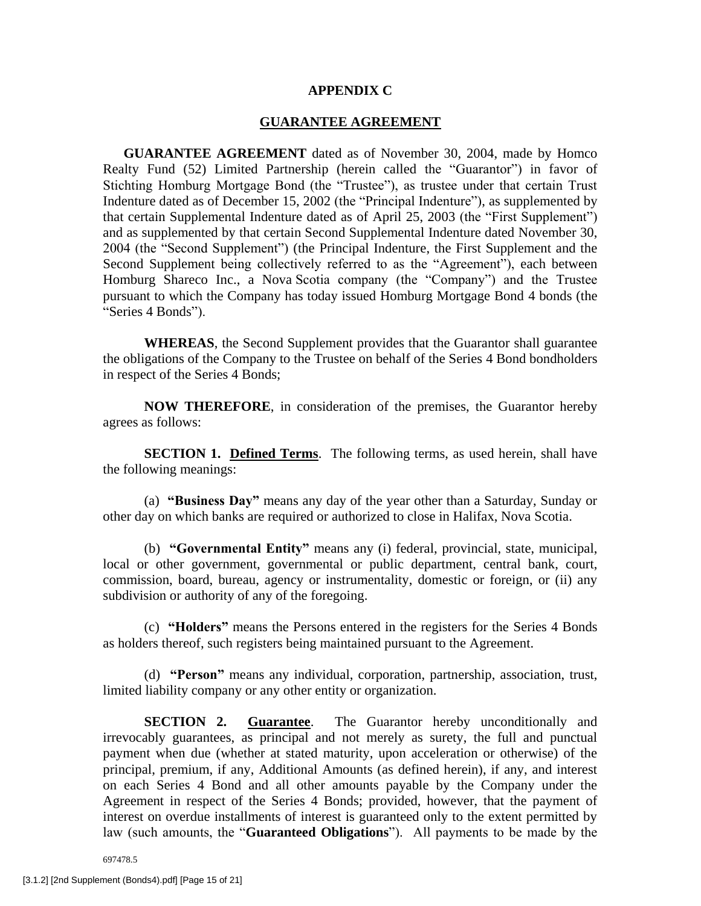#### **APPENDIX C**

#### **GUARANTEE AGREEMENT**

**GUARANTEE AGREEMENT** dated as of November 30, 2004, made by Homco Realty Fund (52) Limited Partnership (herein called the "Guarantor") in favor of Stichting Homburg Mortgage Bond (the "Trustee"), as trustee under that certain Trust Indenture dated as of December 15, 2002 (the "Principal Indenture"), as supplemented by that certain Supplemental Indenture dated as of April 25, 2003 (the "First Supplement") and as supplemented by that certain Second Supplemental Indenture dated November 30, 2004 (the "Second Supplement") (the Principal Indenture, the First Supplement and the Second Supplement being collectively referred to as the "Agreement"), each between Homburg Shareco Inc., a Nova Scotia company (the "Company") and the Trustee pursuant to which the Company has today issued Homburg Mortgage Bond 4 bonds (the "Series 4 Bonds").

**WHEREAS**, the Second Supplement provides that the Guarantor shall guarantee the obligations of the Company to the Trustee on behalf of the Series 4 Bond bondholders in respect of the Series 4 Bonds;

**NOW THEREFORE**, in consideration of the premises, the Guarantor hereby agrees as follows:

**SECTION 1. Defined Terms**. The following terms, as used herein, shall have the following meanings:

(a) **"Business Day"** means any day of the year other than a Saturday, Sunday or other day on which banks are required or authorized to close in Halifax, Nova Scotia.

(b) **"Governmental Entity"** means any (i) federal, provincial, state, municipal, local or other government, governmental or public department, central bank, court, commission, board, bureau, agency or instrumentality, domestic or foreign, or (ii) any subdivision or authority of any of the foregoing.

(c) **"Holders"** means the Persons entered in the registers for the Series 4 Bonds as holders thereof, such registers being maintained pursuant to the Agreement.

(d) **"Person"** means any individual, corporation, partnership, association, trust, limited liability company or any other entity or organization.

**SECTION 2. Guarantee.** The Guarantor hereby unconditionally and irrevocably guarantees, as principal and not merely as surety, the full and punctual payment when due (whether at stated maturity, upon acceleration or otherwise) of the principal, premium, if any, Additional Amounts (as defined herein), if any, and interest on each Series 4 Bond and all other amounts payable by the Company under the Agreement in respect of the Series 4 Bonds; provided, however, that the payment of interest on overdue installments of interest is guaranteed only to the extent permitted by law (such amounts, the "**Guaranteed Obligations**"). All payments to be made by the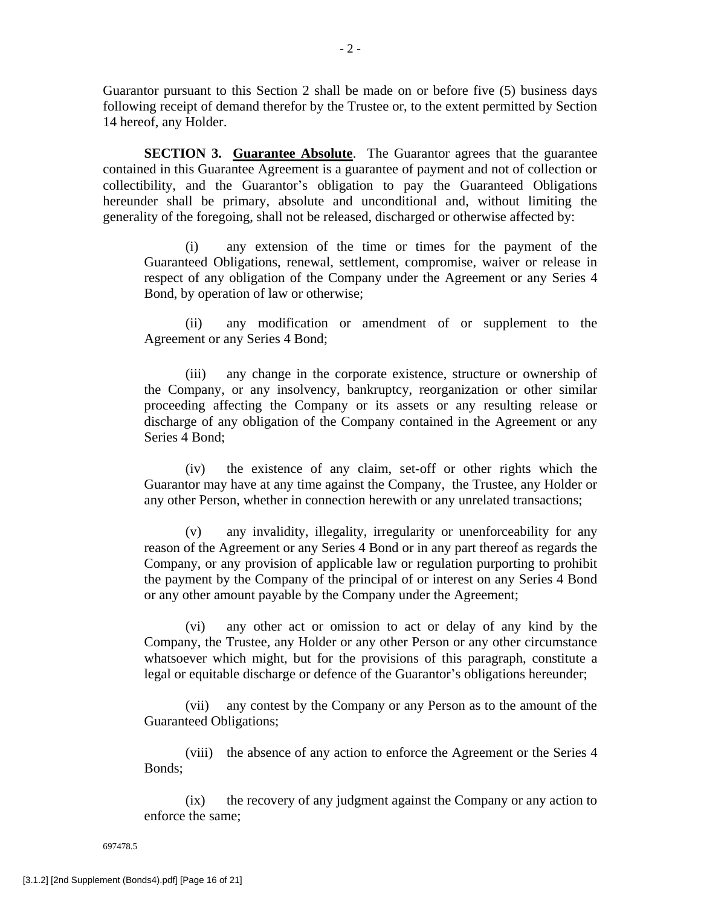Guarantor pursuant to this Section 2 shall be made on or before five (5) business days following receipt of demand therefor by the Trustee or, to the extent permitted by Section 14 hereof, any Holder.

**SECTION 3. Guarantee Absolute**. The Guarantor agrees that the guarantee contained in this Guarantee Agreement is a guarantee of payment and not of collection or collectibility, and the Guarantor's obligation to pay the Guaranteed Obligations hereunder shall be primary, absolute and unconditional and, without limiting the generality of the foregoing, shall not be released, discharged or otherwise affected by:

(i) any extension of the time or times for the payment of the Guaranteed Obligations, renewal, settlement, compromise, waiver or release in respect of any obligation of the Company under the Agreement or any Series 4 Bond, by operation of law or otherwise;

(ii) any modification or amendment of or supplement to the Agreement or any Series 4 Bond;

(iii) any change in the corporate existence, structure or ownership of the Company, or any insolvency, bankruptcy, reorganization or other similar proceeding affecting the Company or its assets or any resulting release or discharge of any obligation of the Company contained in the Agreement or any Series 4 Bond;

(iv) the existence of any claim, set-off or other rights which the Guarantor may have at any time against the Company, the Trustee, any Holder or any other Person, whether in connection herewith or any unrelated transactions;

(v) any invalidity, illegality, irregularity or unenforceability for any reason of the Agreement or any Series 4 Bond or in any part thereof as regards the Company, or any provision of applicable law or regulation purporting to prohibit the payment by the Company of the principal of or interest on any Series 4 Bond or any other amount payable by the Company under the Agreement;

(vi) any other act or omission to act or delay of any kind by the Company, the Trustee, any Holder or any other Person or any other circumstance whatsoever which might, but for the provisions of this paragraph, constitute a legal or equitable discharge or defence of the Guarantor's obligations hereunder;

(vii) any contest by the Company or any Person as to the amount of the Guaranteed Obligations;

(viii) the absence of any action to enforce the Agreement or the Series 4 Bonds;

(ix) the recovery of any judgment against the Company or any action to enforce the same;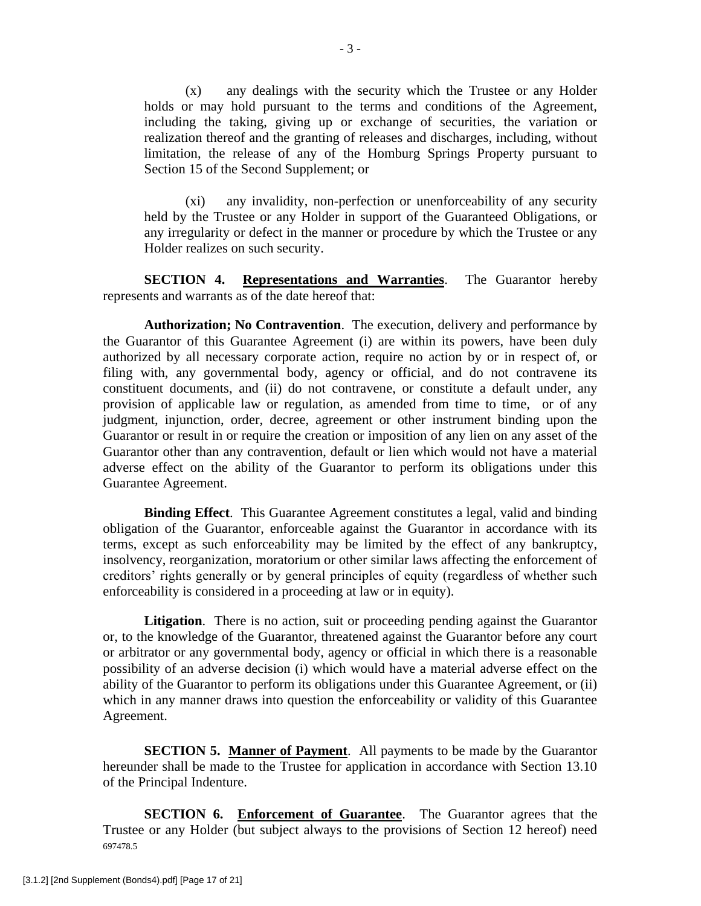(x) any dealings with the security which the Trustee or any Holder holds or may hold pursuant to the terms and conditions of the Agreement, including the taking, giving up or exchange of securities, the variation or realization thereof and the granting of releases and discharges, including, without limitation, the release of any of the Homburg Springs Property pursuant to Section 15 of the Second Supplement; or

(xi) any invalidity, non-perfection or unenforceability of any security held by the Trustee or any Holder in support of the Guaranteed Obligations, or any irregularity or defect in the manner or procedure by which the Trustee or any Holder realizes on such security.

**SECTION 4. Representations and Warranties**. The Guarantor hereby represents and warrants as of the date hereof that:

**Authorization; No Contravention**. The execution, delivery and performance by the Guarantor of this Guarantee Agreement (i) are within its powers, have been duly authorized by all necessary corporate action, require no action by or in respect of, or filing with, any governmental body, agency or official, and do not contravene its constituent documents, and (ii) do not contravene, or constitute a default under, any provision of applicable law or regulation, as amended from time to time, or of any judgment, injunction, order, decree, agreement or other instrument binding upon the Guarantor or result in or require the creation or imposition of any lien on any asset of the Guarantor other than any contravention, default or lien which would not have a material adverse effect on the ability of the Guarantor to perform its obligations under this Guarantee Agreement.

**Binding Effect**. This Guarantee Agreement constitutes a legal, valid and binding obligation of the Guarantor, enforceable against the Guarantor in accordance with its terms, except as such enforceability may be limited by the effect of any bankruptcy, insolvency, reorganization, moratorium or other similar laws affecting the enforcement of creditors' rights generally or by general principles of equity (regardless of whether such enforceability is considered in a proceeding at law or in equity).

**Litigation**. There is no action, suit or proceeding pending against the Guarantor or, to the knowledge of the Guarantor, threatened against the Guarantor before any court or arbitrator or any governmental body, agency or official in which there is a reasonable possibility of an adverse decision (i) which would have a material adverse effect on the ability of the Guarantor to perform its obligations under this Guarantee Agreement, or (ii) which in any manner draws into question the enforceability or validity of this Guarantee Agreement.

**SECTION 5. Manner of Payment**. All payments to be made by the Guarantor hereunder shall be made to the Trustee for application in accordance with Section 13.10 of the Principal Indenture.

697478.5 **SECTION 6. Enforcement of Guarantee**. The Guarantor agrees that the Trustee or any Holder (but subject always to the provisions of Section 12 hereof) need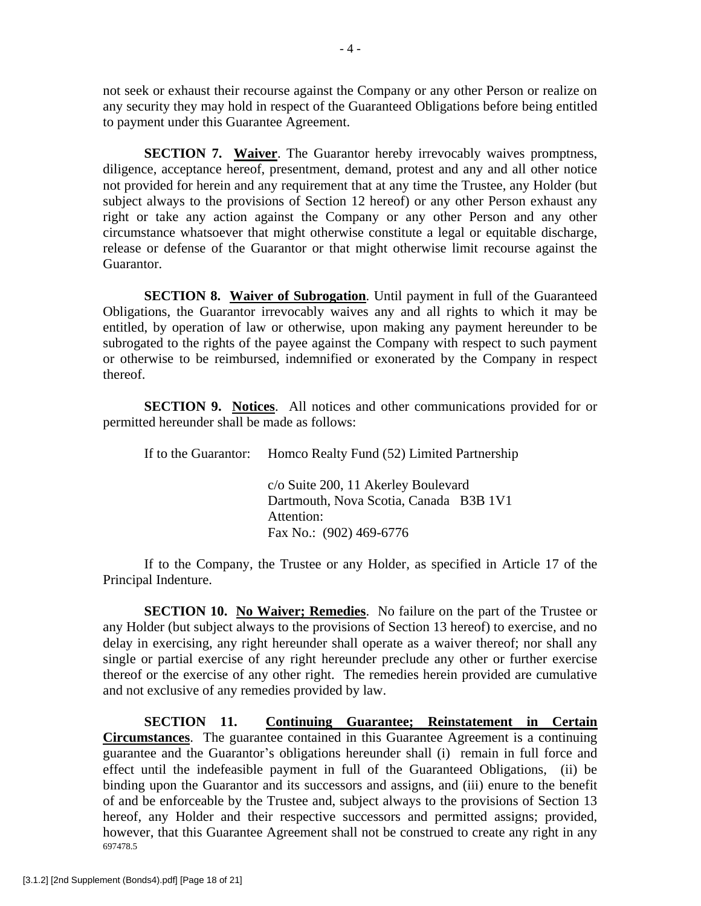not seek or exhaust their recourse against the Company or any other Person or realize on any security they may hold in respect of the Guaranteed Obligations before being entitled to payment under this Guarantee Agreement.

**SECTION 7. Waiver**. The Guarantor hereby irrevocably waives promptness, diligence, acceptance hereof, presentment, demand, protest and any and all other notice not provided for herein and any requirement that at any time the Trustee, any Holder (but subject always to the provisions of Section 12 hereof) or any other Person exhaust any right or take any action against the Company or any other Person and any other circumstance whatsoever that might otherwise constitute a legal or equitable discharge, release or defense of the Guarantor or that might otherwise limit recourse against the Guarantor.

**SECTION 8. Waiver of Subrogation**. Until payment in full of the Guaranteed Obligations, the Guarantor irrevocably waives any and all rights to which it may be entitled, by operation of law or otherwise, upon making any payment hereunder to be subrogated to the rights of the payee against the Company with respect to such payment or otherwise to be reimbursed, indemnified or exonerated by the Company in respect thereof.

**SECTION 9. Notices**. All notices and other communications provided for or permitted hereunder shall be made as follows:

If to the Guarantor: Homco Realty Fund (52) Limited Partnership

c/o Suite 200, 11 Akerley Boulevard Dartmouth, Nova Scotia, Canada B3B 1V1 Attention: Fax No.: (902) 469-6776

If to the Company, the Trustee or any Holder, as specified in Article 17 of the Principal Indenture.

**SECTION 10. No Waiver; Remedies.** No failure on the part of the Trustee or any Holder (but subject always to the provisions of Section 13 hereof) to exercise, and no delay in exercising, any right hereunder shall operate as a waiver thereof; nor shall any single or partial exercise of any right hereunder preclude any other or further exercise thereof or the exercise of any other right. The remedies herein provided are cumulative and not exclusive of any remedies provided by law.

697478.5 **SECTION 11. Continuing Guarantee; Reinstatement in Certain Circumstances**. The guarantee contained in this Guarantee Agreement is a continuing guarantee and the Guarantor's obligations hereunder shall (i) remain in full force and effect until the indefeasible payment in full of the Guaranteed Obligations, (ii) be binding upon the Guarantor and its successors and assigns, and (iii) enure to the benefit of and be enforceable by the Trustee and, subject always to the provisions of Section 13 hereof, any Holder and their respective successors and permitted assigns; provided, however, that this Guarantee Agreement shall not be construed to create any right in any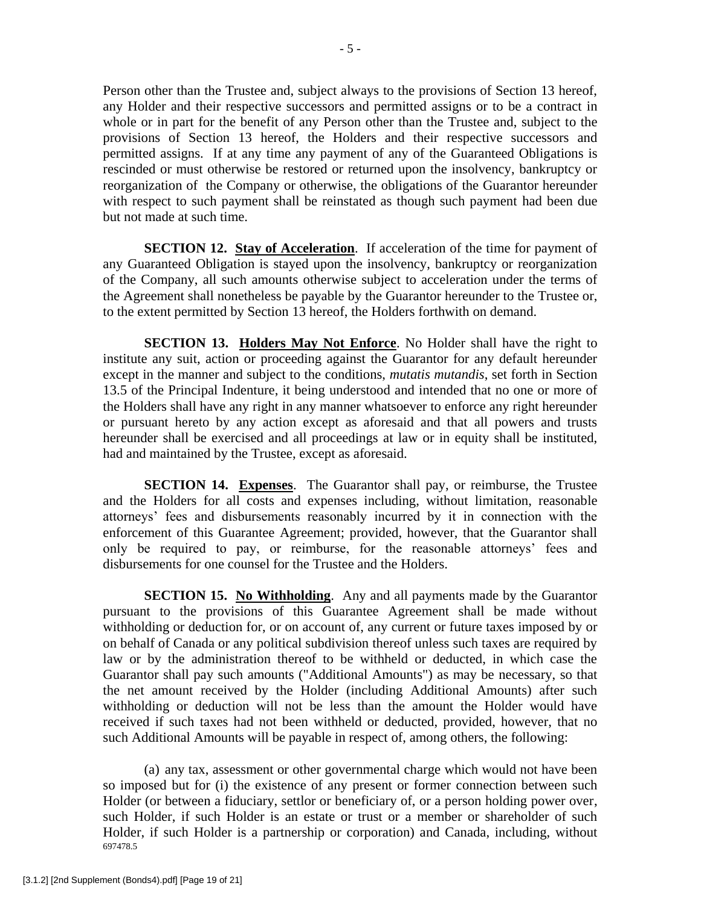Person other than the Trustee and, subject always to the provisions of Section 13 hereof, any Holder and their respective successors and permitted assigns or to be a contract in whole or in part for the benefit of any Person other than the Trustee and, subject to the provisions of Section 13 hereof, the Holders and their respective successors and permitted assigns. If at any time any payment of any of the Guaranteed Obligations is rescinded or must otherwise be restored or returned upon the insolvency, bankruptcy or reorganization of the Company or otherwise, the obligations of the Guarantor hereunder with respect to such payment shall be reinstated as though such payment had been due but not made at such time.

**SECTION 12. Stay of Acceleration**. If acceleration of the time for payment of any Guaranteed Obligation is stayed upon the insolvency, bankruptcy or reorganization of the Company, all such amounts otherwise subject to acceleration under the terms of the Agreement shall nonetheless be payable by the Guarantor hereunder to the Trustee or, to the extent permitted by Section 13 hereof, the Holders forthwith on demand.

**SECTION 13. Holders May Not Enforce**. No Holder shall have the right to institute any suit, action or proceeding against the Guarantor for any default hereunder except in the manner and subject to the conditions, *mutatis mutandis*, set forth in Section 13.5 of the Principal Indenture, it being understood and intended that no one or more of the Holders shall have any right in any manner whatsoever to enforce any right hereunder or pursuant hereto by any action except as aforesaid and that all powers and trusts hereunder shall be exercised and all proceedings at law or in equity shall be instituted, had and maintained by the Trustee, except as aforesaid.

**SECTION 14. Expenses**. The Guarantor shall pay, or reimburse, the Trustee and the Holders for all costs and expenses including, without limitation, reasonable attorneys' fees and disbursements reasonably incurred by it in connection with the enforcement of this Guarantee Agreement; provided, however, that the Guarantor shall only be required to pay, or reimburse, for the reasonable attorneys' fees and disbursements for one counsel for the Trustee and the Holders.

**SECTION 15. No Withholding.** Any and all payments made by the Guarantor pursuant to the provisions of this Guarantee Agreement shall be made without withholding or deduction for, or on account of, any current or future taxes imposed by or on behalf of Canada or any political subdivision thereof unless such taxes are required by law or by the administration thereof to be withheld or deducted, in which case the Guarantor shall pay such amounts ("Additional Amounts") as may be necessary, so that the net amount received by the Holder (including Additional Amounts) after such withholding or deduction will not be less than the amount the Holder would have received if such taxes had not been withheld or deducted, provided, however, that no such Additional Amounts will be payable in respect of, among others, the following:

697478.5 (a) any tax, assessment or other governmental charge which would not have been so imposed but for (i) the existence of any present or former connection between such Holder (or between a fiduciary, settlor or beneficiary of, or a person holding power over, such Holder, if such Holder is an estate or trust or a member or shareholder of such Holder, if such Holder is a partnership or corporation) and Canada, including, without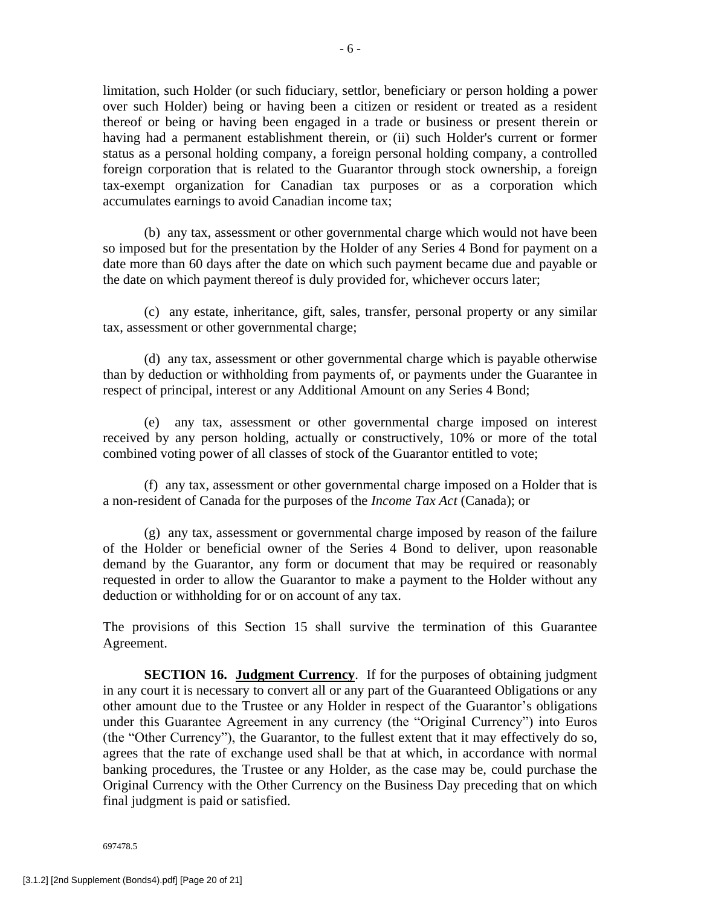limitation, such Holder (or such fiduciary, settlor, beneficiary or person holding a power over such Holder) being or having been a citizen or resident or treated as a resident thereof or being or having been engaged in a trade or business or present therein or having had a permanent establishment therein, or (ii) such Holder's current or former status as a personal holding company, a foreign personal holding company, a controlled foreign corporation that is related to the Guarantor through stock ownership, a foreign tax-exempt organization for Canadian tax purposes or as a corporation which accumulates earnings to avoid Canadian income tax;

(b) any tax, assessment or other governmental charge which would not have been so imposed but for the presentation by the Holder of any Series 4 Bond for payment on a date more than 60 days after the date on which such payment became due and payable or the date on which payment thereof is duly provided for, whichever occurs later;

(c) any estate, inheritance, gift, sales, transfer, personal property or any similar tax, assessment or other governmental charge;

(d) any tax, assessment or other governmental charge which is payable otherwise than by deduction or withholding from payments of, or payments under the Guarantee in respect of principal, interest or any Additional Amount on any Series 4 Bond;

(e) any tax, assessment or other governmental charge imposed on interest received by any person holding, actually or constructively, 10% or more of the total combined voting power of all classes of stock of the Guarantor entitled to vote;

(f) any tax, assessment or other governmental charge imposed on a Holder that is a non-resident of Canada for the purposes of the *Income Tax Act* (Canada); or

(g) any tax, assessment or governmental charge imposed by reason of the failure of the Holder or beneficial owner of the Series 4 Bond to deliver, upon reasonable demand by the Guarantor, any form or document that may be required or reasonably requested in order to allow the Guarantor to make a payment to the Holder without any deduction or withholding for or on account of any tax.

The provisions of this Section 15 shall survive the termination of this Guarantee Agreement.

**SECTION 16. Judgment Currency**. If for the purposes of obtaining judgment in any court it is necessary to convert all or any part of the Guaranteed Obligations or any other amount due to the Trustee or any Holder in respect of the Guarantor's obligations under this Guarantee Agreement in any currency (the "Original Currency") into Euros (the "Other Currency"), the Guarantor, to the fullest extent that it may effectively do so, agrees that the rate of exchange used shall be that at which, in accordance with normal banking procedures, the Trustee or any Holder, as the case may be, could purchase the Original Currency with the Other Currency on the Business Day preceding that on which final judgment is paid or satisfied.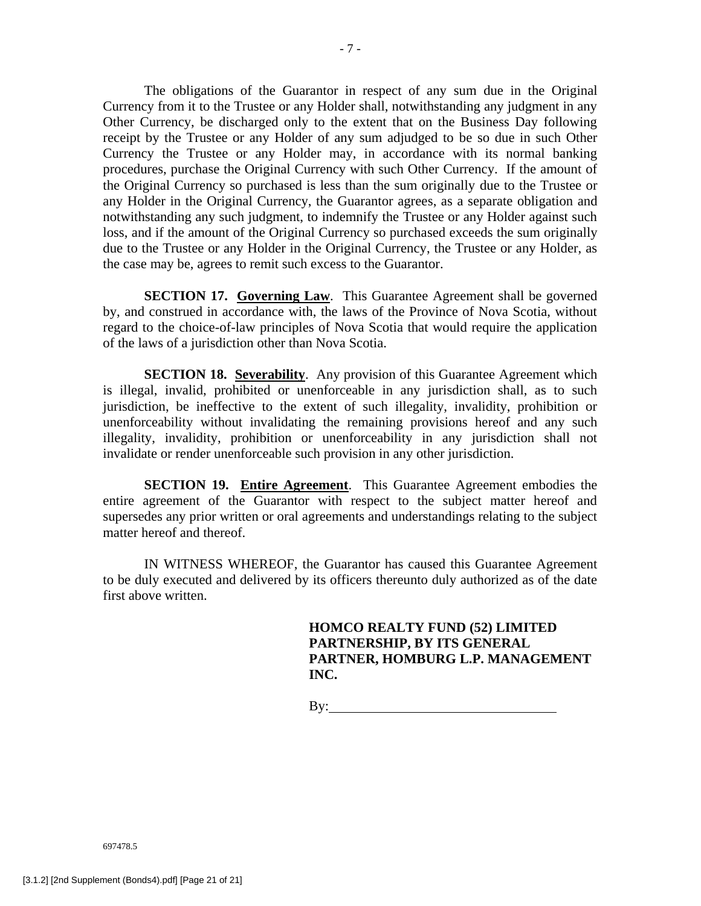The obligations of the Guarantor in respect of any sum due in the Original Currency from it to the Trustee or any Holder shall, notwithstanding any judgment in any Other Currency, be discharged only to the extent that on the Business Day following receipt by the Trustee or any Holder of any sum adjudged to be so due in such Other Currency the Trustee or any Holder may, in accordance with its normal banking procedures, purchase the Original Currency with such Other Currency. If the amount of the Original Currency so purchased is less than the sum originally due to the Trustee or any Holder in the Original Currency, the Guarantor agrees, as a separate obligation and notwithstanding any such judgment, to indemnify the Trustee or any Holder against such loss, and if the amount of the Original Currency so purchased exceeds the sum originally due to the Trustee or any Holder in the Original Currency, the Trustee or any Holder, as the case may be, agrees to remit such excess to the Guarantor.

**SECTION 17. Governing Law.** This Guarantee Agreement shall be governed by, and construed in accordance with, the laws of the Province of Nova Scotia, without regard to the choice-of-law principles of Nova Scotia that would require the application of the laws of a jurisdiction other than Nova Scotia.

**SECTION 18. Severability.** Any provision of this Guarantee Agreement which is illegal, invalid, prohibited or unenforceable in any jurisdiction shall, as to such jurisdiction, be ineffective to the extent of such illegality, invalidity, prohibition or unenforceability without invalidating the remaining provisions hereof and any such illegality, invalidity, prohibition or unenforceability in any jurisdiction shall not invalidate or render unenforceable such provision in any other jurisdiction.

**SECTION 19. Entire Agreement**. This Guarantee Agreement embodies the entire agreement of the Guarantor with respect to the subject matter hereof and supersedes any prior written or oral agreements and understandings relating to the subject matter hereof and thereof.

IN WITNESS WHEREOF, the Guarantor has caused this Guarantee Agreement to be duly executed and delivered by its officers thereunto duly authorized as of the date first above written.

> **HOMCO REALTY FUND (52) LIMITED PARTNERSHIP, BY ITS GENERAL PARTNER, HOMBURG L.P. MANAGEMENT INC.**

By: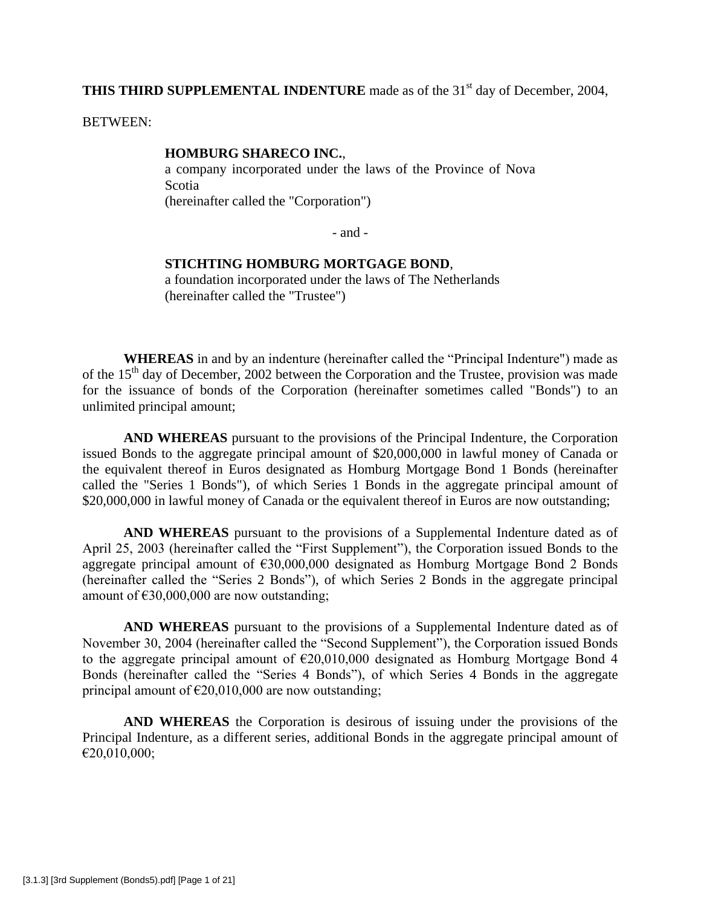**THIS THIRD SUPPLEMENTAL INDENTURE** made as of the 31<sup>st</sup> day of December, 2004,

BETWEEN:

#### **HOMBURG SHARECO INC.**,

a company incorporated under the laws of the Province of Nova Scotia (hereinafter called the "Corporation")

- and -

### **STICHTING HOMBURG MORTGAGE BOND**,

a foundation incorporated under the laws of The Netherlands (hereinafter called the "Trustee")

**WHEREAS** in and by an indenture (hereinafter called the "Principal Indenture") made as of the  $15<sup>th</sup>$  day of December, 2002 between the Corporation and the Trustee, provision was made for the issuance of bonds of the Corporation (hereinafter sometimes called "Bonds") to an unlimited principal amount;

**AND WHEREAS** pursuant to the provisions of the Principal Indenture, the Corporation issued Bonds to the aggregate principal amount of \$20,000,000 in lawful money of Canada or the equivalent thereof in Euros designated as Homburg Mortgage Bond 1 Bonds (hereinafter called the "Series 1 Bonds"), of which Series 1 Bonds in the aggregate principal amount of \$20,000,000 in lawful money of Canada or the equivalent thereof in Euros are now outstanding;

**AND WHEREAS** pursuant to the provisions of a Supplemental Indenture dated as of April 25, 2003 (hereinafter called the "First Supplement"), the Corporation issued Bonds to the aggregate principal amount of €30,000,000 designated as Homburg Mortgage Bond 2 Bonds (hereinafter called the "Series 2 Bonds"), of which Series 2 Bonds in the aggregate principal amount of  $£30,000,000$  are now outstanding;

**AND WHEREAS** pursuant to the provisions of a Supplemental Indenture dated as of November 30, 2004 (hereinafter called the "Second Supplement"), the Corporation issued Bonds to the aggregate principal amount of  $\epsilon$ 20,010,000 designated as Homburg Mortgage Bond 4 Bonds (hereinafter called the "Series 4 Bonds"), of which Series 4 Bonds in the aggregate principal amount of  $\epsilon$ 20,010,000 are now outstanding;

**AND WHEREAS** the Corporation is desirous of issuing under the provisions of the Principal Indenture, as a different series, additional Bonds in the aggregate principal amount of  $€20,010,000;$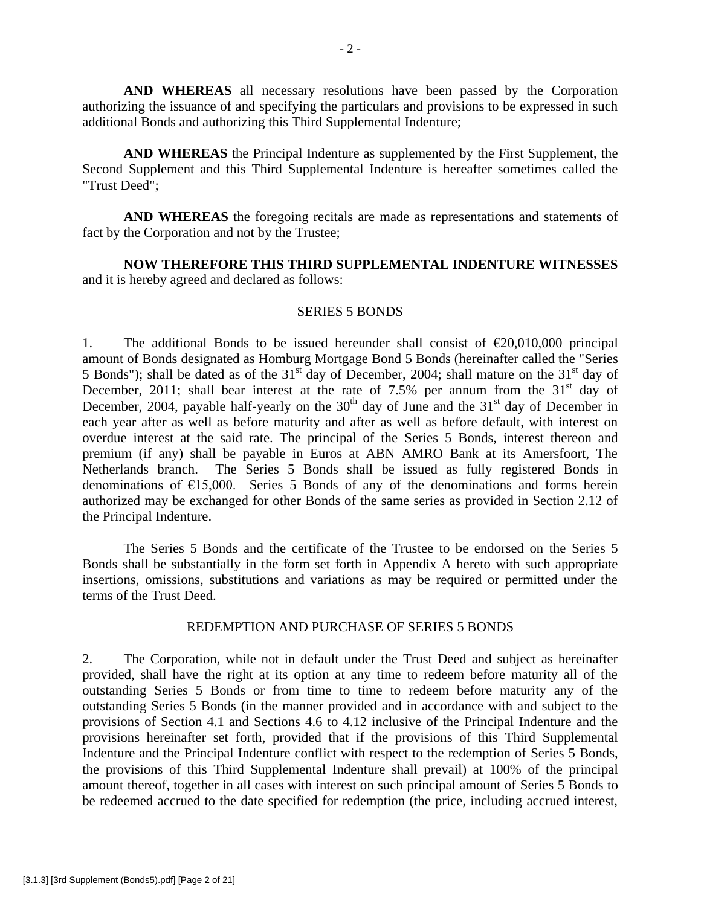**AND WHEREAS** all necessary resolutions have been passed by the Corporation authorizing the issuance of and specifying the particulars and provisions to be expressed in such additional Bonds and authorizing this Third Supplemental Indenture;

**AND WHEREAS** the Principal Indenture as supplemented by the First Supplement, the Second Supplement and this Third Supplemental Indenture is hereafter sometimes called the "Trust Deed";

**AND WHEREAS** the foregoing recitals are made as representations and statements of fact by the Corporation and not by the Trustee;

**NOW THEREFORE THIS THIRD SUPPLEMENTAL INDENTURE WITNESSES** and it is hereby agreed and declared as follows:

#### SERIES 5 BONDS

1. The additional Bonds to be issued hereunder shall consist of  $\epsilon$ 20,010,000 principal amount of Bonds designated as Homburg Mortgage Bond 5 Bonds (hereinafter called the "Series 5 Bonds"); shall be dated as of the  $31<sup>st</sup>$  day of December, 2004; shall mature on the  $31<sup>st</sup>$  day of December, 2011; shall bear interest at the rate of 7.5% per annum from the  $31<sup>st</sup>$  day of December, 2004, payable half-yearly on the  $30<sup>th</sup>$  day of June and the  $31<sup>st</sup>$  day of December in each year after as well as before maturity and after as well as before default, with interest on overdue interest at the said rate. The principal of the Series 5 Bonds, interest thereon and premium (if any) shall be payable in Euros at ABN AMRO Bank at its Amersfoort, The Netherlands branch. The Series 5 Bonds shall be issued as fully registered Bonds in denominations of  $E15,000$ . Series 5 Bonds of any of the denominations and forms herein authorized may be exchanged for other Bonds of the same series as provided in Section 2.12 of the Principal Indenture.

The Series 5 Bonds and the certificate of the Trustee to be endorsed on the Series 5 Bonds shall be substantially in the form set forth in Appendix A hereto with such appropriate insertions, omissions, substitutions and variations as may be required or permitted under the terms of the Trust Deed.

### REDEMPTION AND PURCHASE OF SERIES 5 BONDS

2. The Corporation, while not in default under the Trust Deed and subject as hereinafter provided, shall have the right at its option at any time to redeem before maturity all of the outstanding Series 5 Bonds or from time to time to redeem before maturity any of the outstanding Series 5 Bonds (in the manner provided and in accordance with and subject to the provisions of Section 4.1 and Sections 4.6 to 4.12 inclusive of the Principal Indenture and the provisions hereinafter set forth, provided that if the provisions of this Third Supplemental Indenture and the Principal Indenture conflict with respect to the redemption of Series 5 Bonds, the provisions of this Third Supplemental Indenture shall prevail) at 100% of the principal amount thereof, together in all cases with interest on such principal amount of Series 5 Bonds to be redeemed accrued to the date specified for redemption (the price, including accrued interest,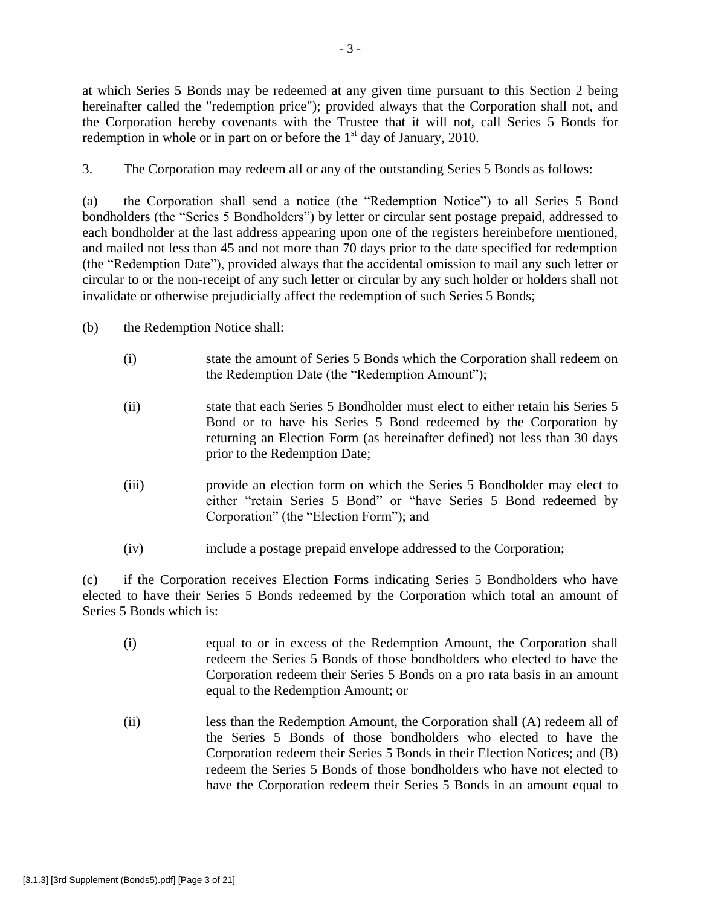at which Series 5 Bonds may be redeemed at any given time pursuant to this Section 2 being hereinafter called the "redemption price"); provided always that the Corporation shall not, and the Corporation hereby covenants with the Trustee that it will not, call Series 5 Bonds for redemption in whole or in part on or before the  $1<sup>st</sup>$  day of January, 2010.

3. The Corporation may redeem all or any of the outstanding Series 5 Bonds as follows:

(a) the Corporation shall send a notice (the "Redemption Notice") to all Series 5 Bond bondholders (the "Series 5 Bondholders") by letter or circular sent postage prepaid, addressed to each bondholder at the last address appearing upon one of the registers hereinbefore mentioned, and mailed not less than 45 and not more than 70 days prior to the date specified for redemption (the "Redemption Date"), provided always that the accidental omission to mail any such letter or circular to or the non-receipt of any such letter or circular by any such holder or holders shall not invalidate or otherwise prejudicially affect the redemption of such Series 5 Bonds;

(b) the Redemption Notice shall:

- (i) state the amount of Series 5 Bonds which the Corporation shall redeem on the Redemption Date (the "Redemption Amount");
- (ii) state that each Series 5 Bondholder must elect to either retain his Series 5 Bond or to have his Series 5 Bond redeemed by the Corporation by returning an Election Form (as hereinafter defined) not less than 30 days prior to the Redemption Date;
- (iii) provide an election form on which the Series 5 Bondholder may elect to either "retain Series 5 Bond" or "have Series 5 Bond redeemed by Corporation" (the "Election Form"); and
- (iv) include a postage prepaid envelope addressed to the Corporation;

(c) if the Corporation receives Election Forms indicating Series 5 Bondholders who have elected to have their Series 5 Bonds redeemed by the Corporation which total an amount of Series 5 Bonds which is:

- (i) equal to or in excess of the Redemption Amount, the Corporation shall redeem the Series 5 Bonds of those bondholders who elected to have the Corporation redeem their Series 5 Bonds on a pro rata basis in an amount equal to the Redemption Amount; or
- (ii) less than the Redemption Amount, the Corporation shall (A) redeem all of the Series 5 Bonds of those bondholders who elected to have the Corporation redeem their Series 5 Bonds in their Election Notices; and (B) redeem the Series 5 Bonds of those bondholders who have not elected to have the Corporation redeem their Series 5 Bonds in an amount equal to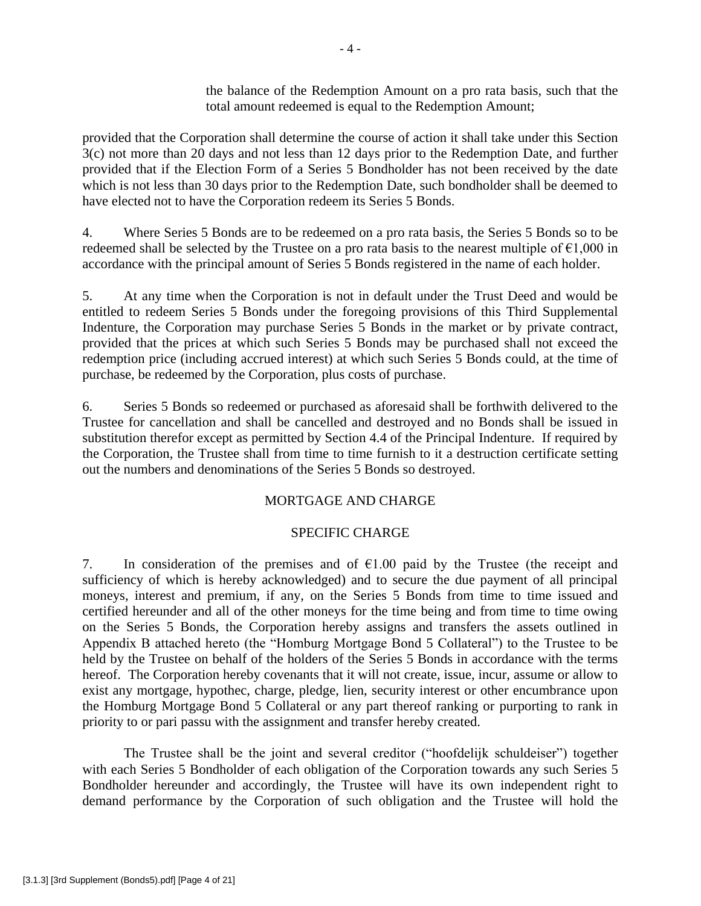the balance of the Redemption Amount on a pro rata basis, such that the total amount redeemed is equal to the Redemption Amount;

provided that the Corporation shall determine the course of action it shall take under this Section 3(c) not more than 20 days and not less than 12 days prior to the Redemption Date, and further provided that if the Election Form of a Series 5 Bondholder has not been received by the date which is not less than 30 days prior to the Redemption Date, such bondholder shall be deemed to have elected not to have the Corporation redeem its Series 5 Bonds.

4. Where Series 5 Bonds are to be redeemed on a pro rata basis, the Series 5 Bonds so to be redeemed shall be selected by the Trustee on a pro rata basis to the nearest multiple of  $\epsilon$ 1,000 in accordance with the principal amount of Series 5 Bonds registered in the name of each holder.

5. At any time when the Corporation is not in default under the Trust Deed and would be entitled to redeem Series 5 Bonds under the foregoing provisions of this Third Supplemental Indenture, the Corporation may purchase Series 5 Bonds in the market or by private contract, provided that the prices at which such Series 5 Bonds may be purchased shall not exceed the redemption price (including accrued interest) at which such Series 5 Bonds could, at the time of purchase, be redeemed by the Corporation, plus costs of purchase.

6. Series 5 Bonds so redeemed or purchased as aforesaid shall be forthwith delivered to the Trustee for cancellation and shall be cancelled and destroyed and no Bonds shall be issued in substitution therefor except as permitted by Section 4.4 of the Principal Indenture. If required by the Corporation, the Trustee shall from time to time furnish to it a destruction certificate setting out the numbers and denominations of the Series 5 Bonds so destroyed.

# MORTGAGE AND CHARGE

### SPECIFIC CHARGE

7. In consideration of the premises and of  $\epsilon$ 1.00 paid by the Trustee (the receipt and sufficiency of which is hereby acknowledged) and to secure the due payment of all principal moneys, interest and premium, if any, on the Series 5 Bonds from time to time issued and certified hereunder and all of the other moneys for the time being and from time to time owing on the Series 5 Bonds, the Corporation hereby assigns and transfers the assets outlined in Appendix B attached hereto (the "Homburg Mortgage Bond 5 Collateral") to the Trustee to be held by the Trustee on behalf of the holders of the Series 5 Bonds in accordance with the terms hereof. The Corporation hereby covenants that it will not create, issue, incur, assume or allow to exist any mortgage, hypothec, charge, pledge, lien, security interest or other encumbrance upon the Homburg Mortgage Bond 5 Collateral or any part thereof ranking or purporting to rank in priority to or pari passu with the assignment and transfer hereby created.

The Trustee shall be the joint and several creditor ("hoofdelijk schuldeiser") together with each Series 5 Bondholder of each obligation of the Corporation towards any such Series 5 Bondholder hereunder and accordingly, the Trustee will have its own independent right to demand performance by the Corporation of such obligation and the Trustee will hold the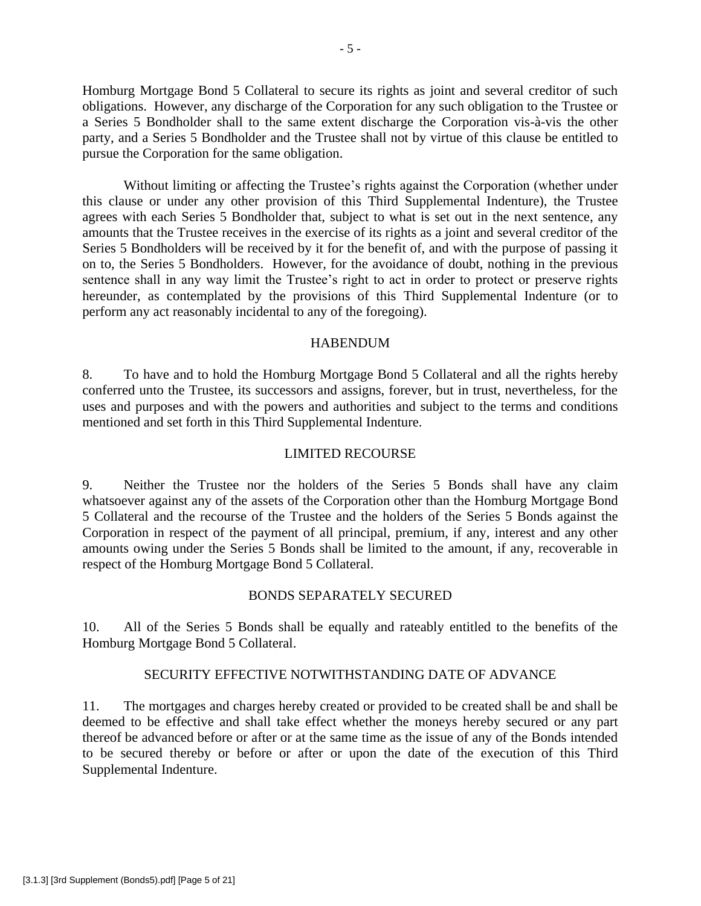Homburg Mortgage Bond 5 Collateral to secure its rights as joint and several creditor of such obligations. However, any discharge of the Corporation for any such obligation to the Trustee or a Series 5 Bondholder shall to the same extent discharge the Corporation vis-à-vis the other party, and a Series 5 Bondholder and the Trustee shall not by virtue of this clause be entitled to pursue the Corporation for the same obligation.

Without limiting or affecting the Trustee's rights against the Corporation (whether under this clause or under any other provision of this Third Supplemental Indenture), the Trustee agrees with each Series 5 Bondholder that, subject to what is set out in the next sentence, any amounts that the Trustee receives in the exercise of its rights as a joint and several creditor of the Series 5 Bondholders will be received by it for the benefit of, and with the purpose of passing it on to, the Series 5 Bondholders. However, for the avoidance of doubt, nothing in the previous sentence shall in any way limit the Trustee's right to act in order to protect or preserve rights hereunder, as contemplated by the provisions of this Third Supplemental Indenture (or to perform any act reasonably incidental to any of the foregoing).

#### HABENDUM

8. To have and to hold the Homburg Mortgage Bond 5 Collateral and all the rights hereby conferred unto the Trustee, its successors and assigns, forever, but in trust, nevertheless, for the uses and purposes and with the powers and authorities and subject to the terms and conditions mentioned and set forth in this Third Supplemental Indenture.

#### LIMITED RECOURSE

9. Neither the Trustee nor the holders of the Series 5 Bonds shall have any claim whatsoever against any of the assets of the Corporation other than the Homburg Mortgage Bond 5 Collateral and the recourse of the Trustee and the holders of the Series 5 Bonds against the Corporation in respect of the payment of all principal, premium, if any, interest and any other amounts owing under the Series 5 Bonds shall be limited to the amount, if any, recoverable in respect of the Homburg Mortgage Bond 5 Collateral.

#### BONDS SEPARATELY SECURED

10. All of the Series 5 Bonds shall be equally and rateably entitled to the benefits of the Homburg Mortgage Bond 5 Collateral.

### SECURITY EFFECTIVE NOTWITHSTANDING DATE OF ADVANCE

11. The mortgages and charges hereby created or provided to be created shall be and shall be deemed to be effective and shall take effect whether the moneys hereby secured or any part thereof be advanced before or after or at the same time as the issue of any of the Bonds intended to be secured thereby or before or after or upon the date of the execution of this Third Supplemental Indenture.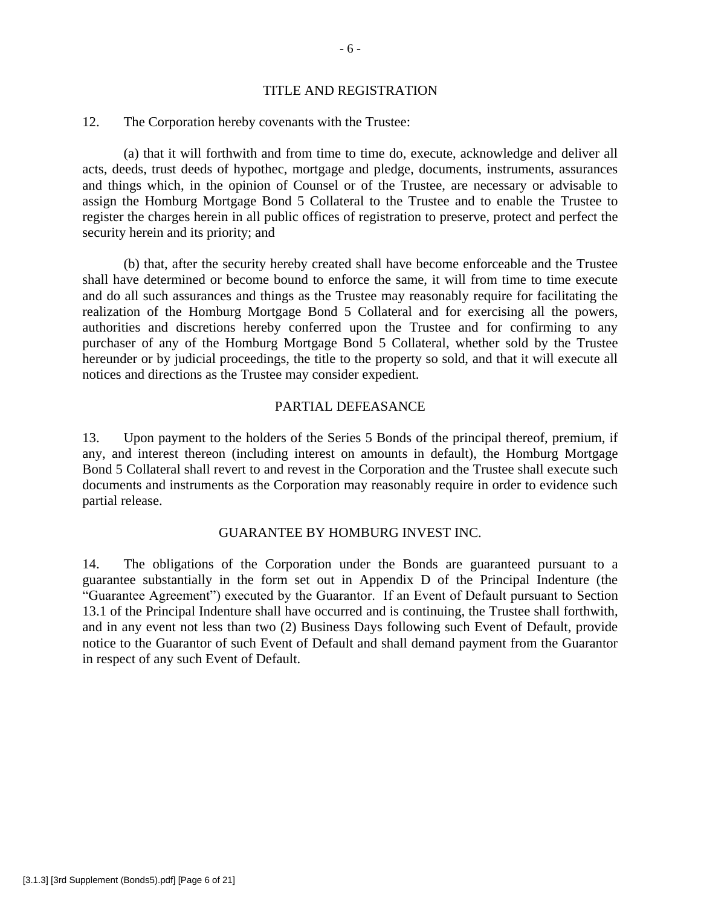#### TITLE AND REGISTRATION

#### 12. The Corporation hereby covenants with the Trustee:

(a) that it will forthwith and from time to time do, execute, acknowledge and deliver all acts, deeds, trust deeds of hypothec, mortgage and pledge, documents, instruments, assurances and things which, in the opinion of Counsel or of the Trustee, are necessary or advisable to assign the Homburg Mortgage Bond 5 Collateral to the Trustee and to enable the Trustee to register the charges herein in all public offices of registration to preserve, protect and perfect the security herein and its priority; and

(b) that, after the security hereby created shall have become enforceable and the Trustee shall have determined or become bound to enforce the same, it will from time to time execute and do all such assurances and things as the Trustee may reasonably require for facilitating the realization of the Homburg Mortgage Bond 5 Collateral and for exercising all the powers, authorities and discretions hereby conferred upon the Trustee and for confirming to any purchaser of any of the Homburg Mortgage Bond 5 Collateral, whether sold by the Trustee hereunder or by judicial proceedings, the title to the property so sold, and that it will execute all notices and directions as the Trustee may consider expedient.

### PARTIAL DEFEASANCE

13. Upon payment to the holders of the Series 5 Bonds of the principal thereof, premium, if any, and interest thereon (including interest on amounts in default), the Homburg Mortgage Bond 5 Collateral shall revert to and revest in the Corporation and the Trustee shall execute such documents and instruments as the Corporation may reasonably require in order to evidence such partial release.

#### GUARANTEE BY HOMBURG INVEST INC.

14. The obligations of the Corporation under the Bonds are guaranteed pursuant to a guarantee substantially in the form set out in Appendix D of the Principal Indenture (the "Guarantee Agreement") executed by the Guarantor. If an Event of Default pursuant to Section 13.1 of the Principal Indenture shall have occurred and is continuing, the Trustee shall forthwith, and in any event not less than two (2) Business Days following such Event of Default, provide notice to the Guarantor of such Event of Default and shall demand payment from the Guarantor in respect of any such Event of Default.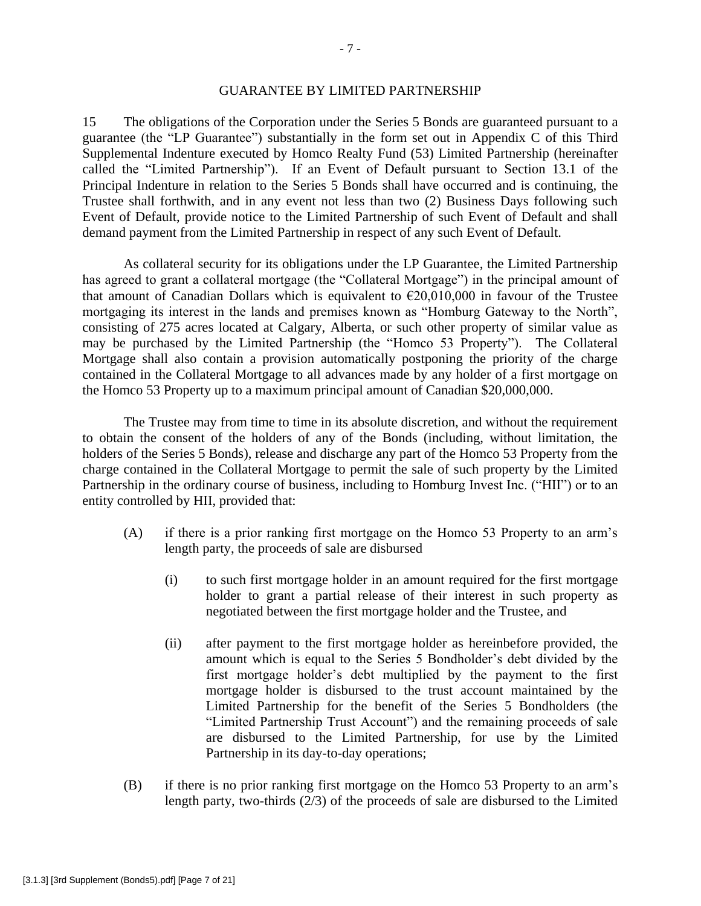### GUARANTEE BY LIMITED PARTNERSHIP

15 The obligations of the Corporation under the Series 5 Bonds are guaranteed pursuant to a guarantee (the "LP Guarantee") substantially in the form set out in Appendix C of this Third Supplemental Indenture executed by Homco Realty Fund (53) Limited Partnership (hereinafter called the "Limited Partnership"). If an Event of Default pursuant to Section 13.1 of the Principal Indenture in relation to the Series 5 Bonds shall have occurred and is continuing, the Trustee shall forthwith, and in any event not less than two (2) Business Days following such Event of Default, provide notice to the Limited Partnership of such Event of Default and shall demand payment from the Limited Partnership in respect of any such Event of Default.

As collateral security for its obligations under the LP Guarantee, the Limited Partnership has agreed to grant a collateral mortgage (the "Collateral Mortgage") in the principal amount of that amount of Canadian Dollars which is equivalent to  $\epsilon$ 20,010,000 in favour of the Trustee mortgaging its interest in the lands and premises known as "Homburg Gateway to the North", consisting of 275 acres located at Calgary, Alberta, or such other property of similar value as may be purchased by the Limited Partnership (the "Homco 53 Property"). The Collateral Mortgage shall also contain a provision automatically postponing the priority of the charge contained in the Collateral Mortgage to all advances made by any holder of a first mortgage on the Homco 53 Property up to a maximum principal amount of Canadian \$20,000,000.

The Trustee may from time to time in its absolute discretion, and without the requirement to obtain the consent of the holders of any of the Bonds (including, without limitation, the holders of the Series 5 Bonds), release and discharge any part of the Homco 53 Property from the charge contained in the Collateral Mortgage to permit the sale of such property by the Limited Partnership in the ordinary course of business, including to Homburg Invest Inc. ("HII") or to an entity controlled by HII, provided that:

- (A) if there is a prior ranking first mortgage on the Homco 53 Property to an arm's length party, the proceeds of sale are disbursed
	- (i) to such first mortgage holder in an amount required for the first mortgage holder to grant a partial release of their interest in such property as negotiated between the first mortgage holder and the Trustee, and
	- (ii) after payment to the first mortgage holder as hereinbefore provided, the amount which is equal to the Series 5 Bondholder's debt divided by the first mortgage holder's debt multiplied by the payment to the first mortgage holder is disbursed to the trust account maintained by the Limited Partnership for the benefit of the Series 5 Bondholders (the "Limited Partnership Trust Account") and the remaining proceeds of sale are disbursed to the Limited Partnership, for use by the Limited Partnership in its day-to-day operations;
- (B) if there is no prior ranking first mortgage on the Homco 53 Property to an arm's length party, two-thirds (2/3) of the proceeds of sale are disbursed to the Limited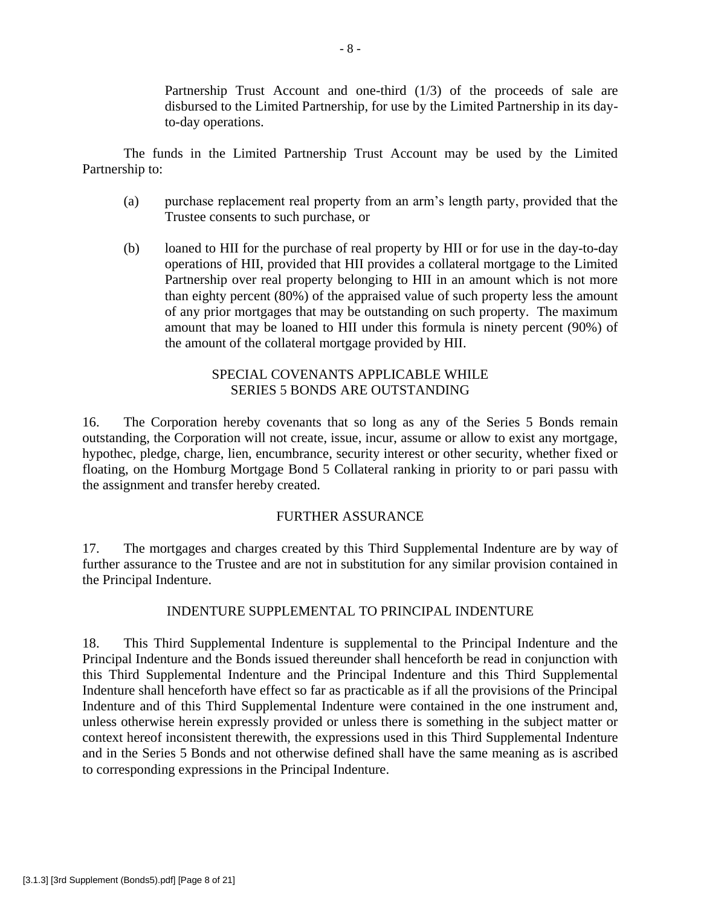Partnership Trust Account and one-third (1/3) of the proceeds of sale are disbursed to the Limited Partnership, for use by the Limited Partnership in its dayto-day operations.

The funds in the Limited Partnership Trust Account may be used by the Limited Partnership to:

- (a) purchase replacement real property from an arm's length party, provided that the Trustee consents to such purchase, or
- (b) loaned to HII for the purchase of real property by HII or for use in the day-to-day operations of HII, provided that HII provides a collateral mortgage to the Limited Partnership over real property belonging to HII in an amount which is not more than eighty percent (80%) of the appraised value of such property less the amount of any prior mortgages that may be outstanding on such property. The maximum amount that may be loaned to HII under this formula is ninety percent (90%) of the amount of the collateral mortgage provided by HII.

# SPECIAL COVENANTS APPLICABLE WHILE SERIES 5 BONDS ARE OUTSTANDING

16. The Corporation hereby covenants that so long as any of the Series 5 Bonds remain outstanding, the Corporation will not create, issue, incur, assume or allow to exist any mortgage, hypothec, pledge, charge, lien, encumbrance, security interest or other security, whether fixed or floating, on the Homburg Mortgage Bond 5 Collateral ranking in priority to or pari passu with the assignment and transfer hereby created.

# FURTHER ASSURANCE

17. The mortgages and charges created by this Third Supplemental Indenture are by way of further assurance to the Trustee and are not in substitution for any similar provision contained in the Principal Indenture.

# INDENTURE SUPPLEMENTAL TO PRINCIPAL INDENTURE

18. This Third Supplemental Indenture is supplemental to the Principal Indenture and the Principal Indenture and the Bonds issued thereunder shall henceforth be read in conjunction with this Third Supplemental Indenture and the Principal Indenture and this Third Supplemental Indenture shall henceforth have effect so far as practicable as if all the provisions of the Principal Indenture and of this Third Supplemental Indenture were contained in the one instrument and, unless otherwise herein expressly provided or unless there is something in the subject matter or context hereof inconsistent therewith, the expressions used in this Third Supplemental Indenture and in the Series 5 Bonds and not otherwise defined shall have the same meaning as is ascribed to corresponding expressions in the Principal Indenture.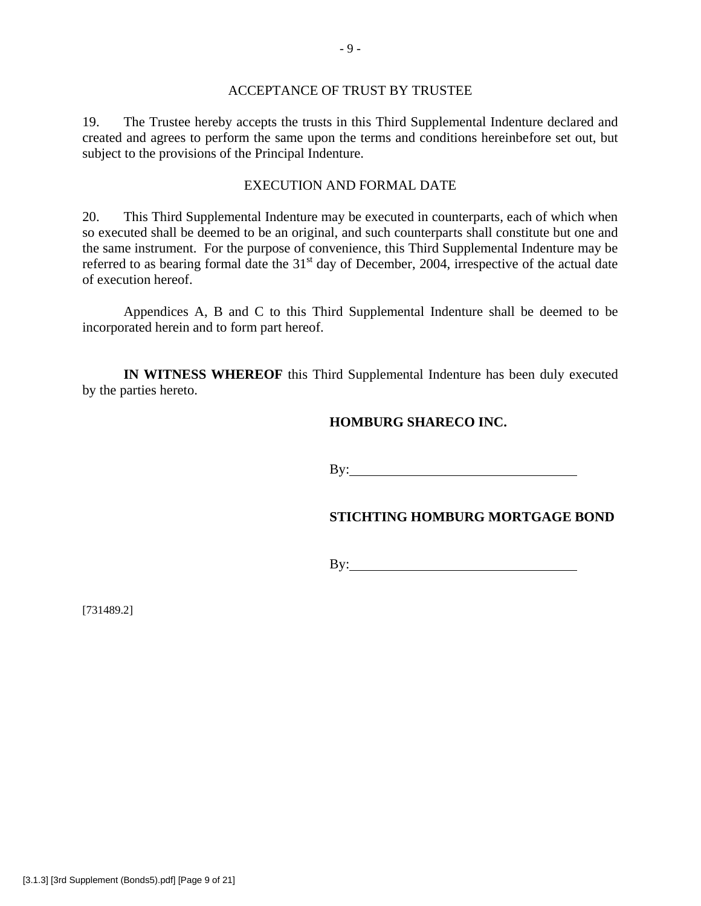### ACCEPTANCE OF TRUST BY TRUSTEE

19. The Trustee hereby accepts the trusts in this Third Supplemental Indenture declared and created and agrees to perform the same upon the terms and conditions hereinbefore set out, but subject to the provisions of the Principal Indenture.

### EXECUTION AND FORMAL DATE

20. This Third Supplemental Indenture may be executed in counterparts, each of which when so executed shall be deemed to be an original, and such counterparts shall constitute but one and the same instrument. For the purpose of convenience, this Third Supplemental Indenture may be referred to as bearing formal date the  $31<sup>st</sup>$  day of December, 2004, irrespective of the actual date of execution hereof.

Appendices A, B and C to this Third Supplemental Indenture shall be deemed to be incorporated herein and to form part hereof.

**IN WITNESS WHEREOF** this Third Supplemental Indenture has been duly executed by the parties hereto.

### **HOMBURG SHARECO INC.**

By:  $\blacksquare$ 

### **STICHTING HOMBURG MORTGAGE BOND**

By:

[731489.2]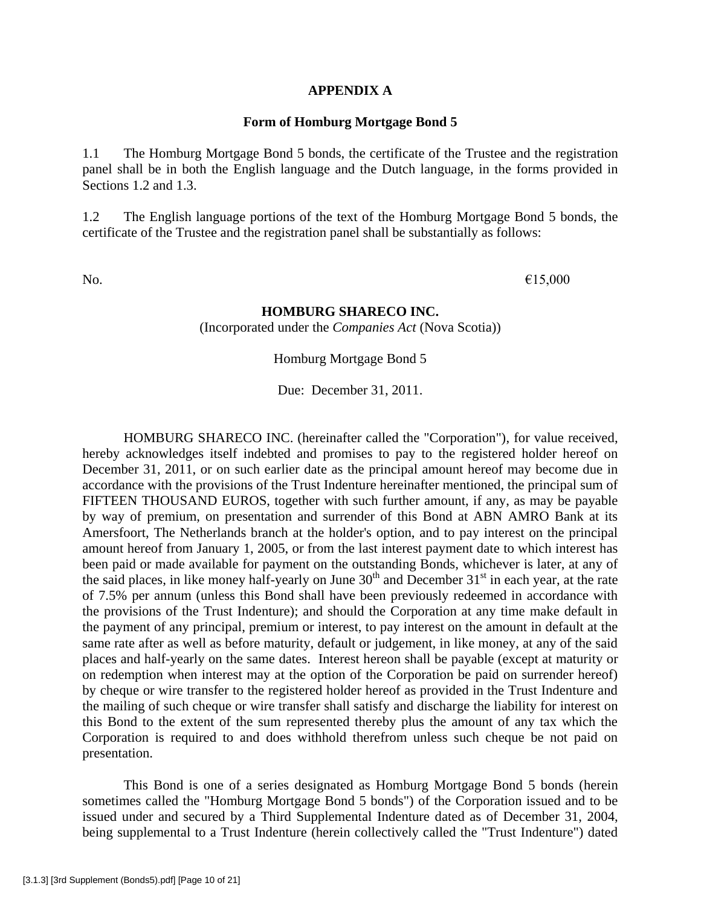#### **APPENDIX A**

#### **Form of Homburg Mortgage Bond 5**

1.1 The Homburg Mortgage Bond 5 bonds, the certificate of the Trustee and the registration panel shall be in both the English language and the Dutch language, in the forms provided in Sections 1.2 and 1.3.

1.2 The English language portions of the text of the Homburg Mortgage Bond 5 bonds, the certificate of the Trustee and the registration panel shall be substantially as follows:

No.  $\epsilon$ 15,000

### **HOMBURG SHARECO INC.**

(Incorporated under the *Companies Act* (Nova Scotia))

Homburg Mortgage Bond 5

Due: December 31, 2011.

HOMBURG SHARECO INC. (hereinafter called the "Corporation"), for value received, hereby acknowledges itself indebted and promises to pay to the registered holder hereof on December 31, 2011, or on such earlier date as the principal amount hereof may become due in accordance with the provisions of the Trust Indenture hereinafter mentioned, the principal sum of FIFTEEN THOUSAND EUROS, together with such further amount, if any, as may be payable by way of premium, on presentation and surrender of this Bond at ABN AMRO Bank at its Amersfoort, The Netherlands branch at the holder's option, and to pay interest on the principal amount hereof from January 1, 2005, or from the last interest payment date to which interest has been paid or made available for payment on the outstanding Bonds, whichever is later, at any of the said places, in like money half-yearly on June  $30<sup>th</sup>$  and December  $31<sup>st</sup>$  in each year, at the rate of 7.5% per annum (unless this Bond shall have been previously redeemed in accordance with the provisions of the Trust Indenture); and should the Corporation at any time make default in the payment of any principal, premium or interest, to pay interest on the amount in default at the same rate after as well as before maturity, default or judgement, in like money, at any of the said places and half-yearly on the same dates. Interest hereon shall be payable (except at maturity or on redemption when interest may at the option of the Corporation be paid on surrender hereof) by cheque or wire transfer to the registered holder hereof as provided in the Trust Indenture and the mailing of such cheque or wire transfer shall satisfy and discharge the liability for interest on this Bond to the extent of the sum represented thereby plus the amount of any tax which the Corporation is required to and does withhold therefrom unless such cheque be not paid on presentation.

This Bond is one of a series designated as Homburg Mortgage Bond 5 bonds (herein sometimes called the "Homburg Mortgage Bond 5 bonds") of the Corporation issued and to be issued under and secured by a Third Supplemental Indenture dated as of December 31, 2004, being supplemental to a Trust Indenture (herein collectively called the "Trust Indenture") dated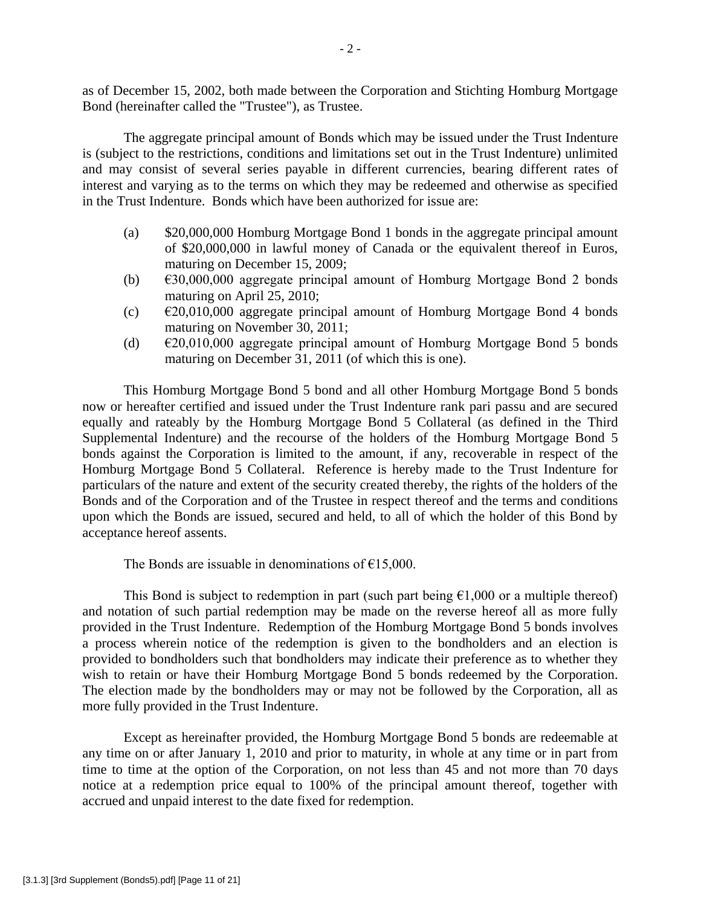as of December 15, 2002, both made between the Corporation and Stichting Homburg Mortgage Bond (hereinafter called the "Trustee"), as Trustee.

The aggregate principal amount of Bonds which may be issued under the Trust Indenture is (subject to the restrictions, conditions and limitations set out in the Trust Indenture) unlimited and may consist of several series payable in different currencies, bearing different rates of interest and varying as to the terms on which they may be redeemed and otherwise as specified in the Trust Indenture. Bonds which have been authorized for issue are:

- (a) \$20,000,000 Homburg Mortgage Bond 1 bonds in the aggregate principal amount of \$20,000,000 in lawful money of Canada or the equivalent thereof in Euros, maturing on December 15, 2009;
- (b)  $\epsilon$ 30,000,000 aggregate principal amount of Homburg Mortgage Bond 2 bonds maturing on April 25, 2010;
- (c)  $\epsilon$  £20,010,000 aggregate principal amount of Homburg Mortgage Bond 4 bonds maturing on November 30, 2011;
- (d)  $\epsilon$ 20,010,000 aggregate principal amount of Homburg Mortgage Bond 5 bonds maturing on December 31, 2011 (of which this is one).

This Homburg Mortgage Bond 5 bond and all other Homburg Mortgage Bond 5 bonds now or hereafter certified and issued under the Trust Indenture rank pari passu and are secured equally and rateably by the Homburg Mortgage Bond 5 Collateral (as defined in the Third Supplemental Indenture) and the recourse of the holders of the Homburg Mortgage Bond 5 bonds against the Corporation is limited to the amount, if any, recoverable in respect of the Homburg Mortgage Bond 5 Collateral. Reference is hereby made to the Trust Indenture for particulars of the nature and extent of the security created thereby, the rights of the holders of the Bonds and of the Corporation and of the Trustee in respect thereof and the terms and conditions upon which the Bonds are issued, secured and held, to all of which the holder of this Bond by acceptance hereof assents.

The Bonds are issuable in denominations of  $E$ 15,000.

This Bond is subject to redemption in part (such part being  $\epsilon$ 1,000 or a multiple thereof) and notation of such partial redemption may be made on the reverse hereof all as more fully provided in the Trust Indenture. Redemption of the Homburg Mortgage Bond 5 bonds involves a process wherein notice of the redemption is given to the bondholders and an election is provided to bondholders such that bondholders may indicate their preference as to whether they wish to retain or have their Homburg Mortgage Bond 5 bonds redeemed by the Corporation. The election made by the bondholders may or may not be followed by the Corporation, all as more fully provided in the Trust Indenture.

Except as hereinafter provided, the Homburg Mortgage Bond 5 bonds are redeemable at any time on or after January 1, 2010 and prior to maturity, in whole at any time or in part from time to time at the option of the Corporation, on not less than 45 and not more than 70 days notice at a redemption price equal to 100% of the principal amount thereof, together with accrued and unpaid interest to the date fixed for redemption.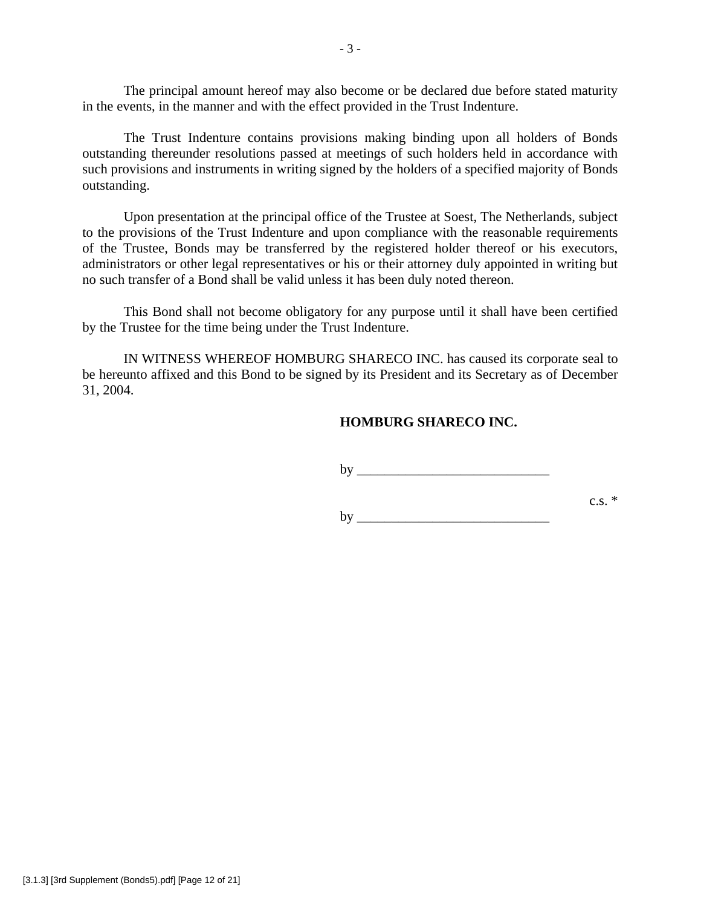The principal amount hereof may also become or be declared due before stated maturity in the events, in the manner and with the effect provided in the Trust Indenture.

The Trust Indenture contains provisions making binding upon all holders of Bonds outstanding thereunder resolutions passed at meetings of such holders held in accordance with such provisions and instruments in writing signed by the holders of a specified majority of Bonds outstanding.

Upon presentation at the principal office of the Trustee at Soest, The Netherlands, subject to the provisions of the Trust Indenture and upon compliance with the reasonable requirements of the Trustee, Bonds may be transferred by the registered holder thereof or his executors, administrators or other legal representatives or his or their attorney duly appointed in writing but no such transfer of a Bond shall be valid unless it has been duly noted thereon.

This Bond shall not become obligatory for any purpose until it shall have been certified by the Trustee for the time being under the Trust Indenture.

IN WITNESS WHEREOF HOMBURG SHARECO INC. has caused its corporate seal to be hereunto affixed and this Bond to be signed by its President and its Secretary as of December 31, 2004.

### **HOMBURG SHARECO INC.**

by \_\_\_\_\_\_\_\_\_\_\_\_\_\_\_\_\_\_\_\_\_\_\_\_\_\_\_\_

 $\mathbf{b} \mathbf{v}$ 

 $c.s.$  \*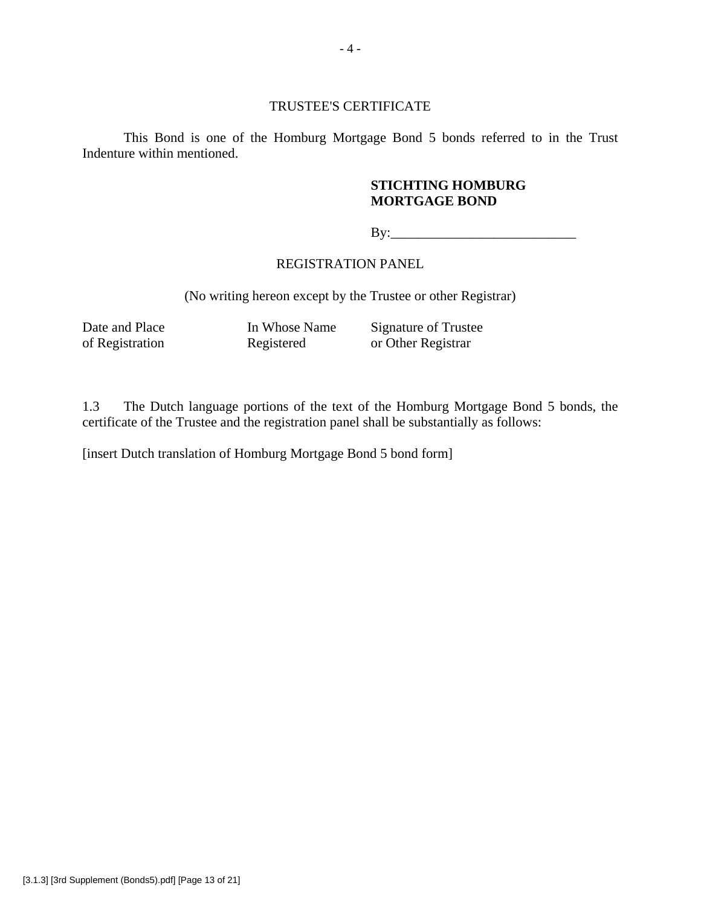### TRUSTEE'S CERTIFICATE

This Bond is one of the Homburg Mortgage Bond 5 bonds referred to in the Trust Indenture within mentioned.

### **STICHTING HOMBURG MORTGAGE BOND**

By:\_\_\_\_\_\_\_\_\_\_\_\_\_\_\_\_\_\_\_\_\_\_\_\_\_\_\_

### REGISTRATION PANEL

(No writing hereon except by the Trustee or other Registrar)

Date and Place In Whose Name Signature of Trustee<br>of Registration Registered or Other Registrar of Registration Registered or Other Registrar

1.3 The Dutch language portions of the text of the Homburg Mortgage Bond 5 bonds, the certificate of the Trustee and the registration panel shall be substantially as follows:

[insert Dutch translation of Homburg Mortgage Bond 5 bond form]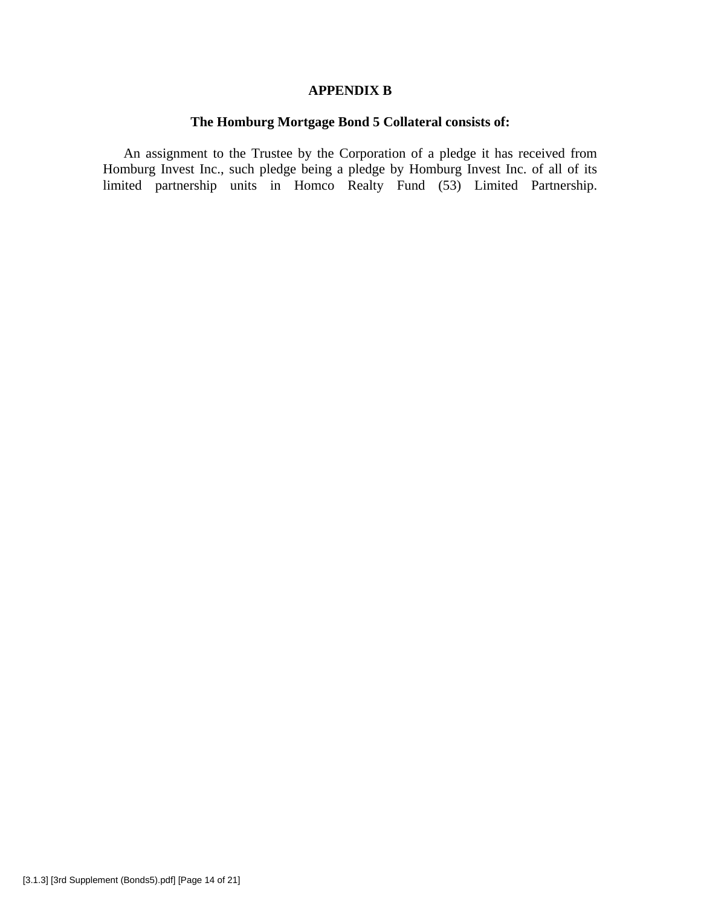### **APPENDIX B**

# **The Homburg Mortgage Bond 5 Collateral consists of:**

An assignment to the Trustee by the Corporation of a pledge it has received from Homburg Invest Inc., such pledge being a pledge by Homburg Invest Inc. of all of its limited partnership units in Homco Realty Fund (53) Limited Partnership.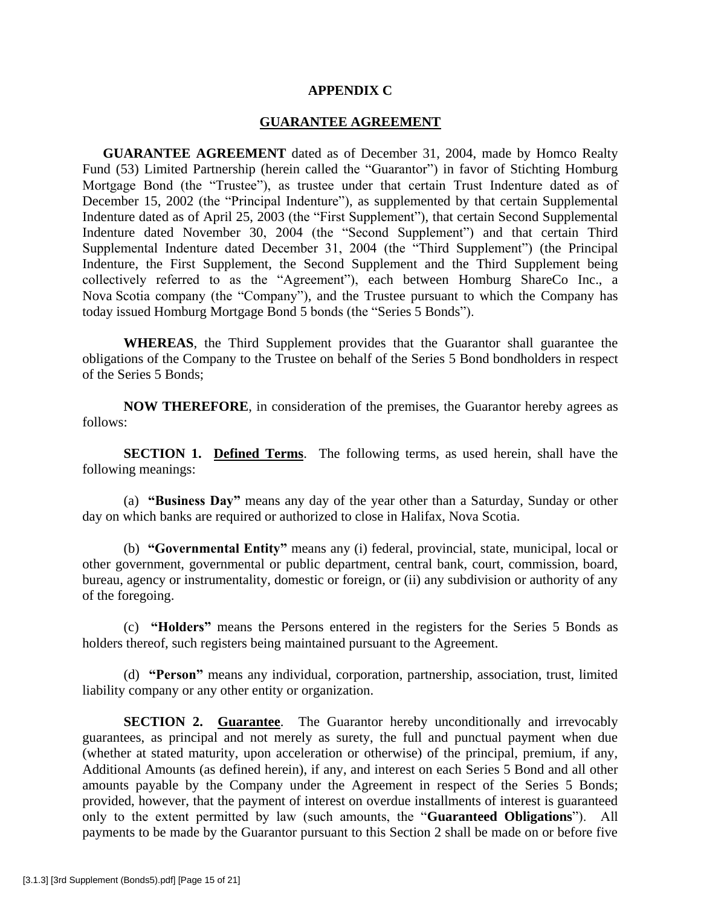#### **APPENDIX C**

#### **GUARANTEE AGREEMENT**

**GUARANTEE AGREEMENT** dated as of December 31, 2004, made by Homco Realty Fund (53) Limited Partnership (herein called the "Guarantor") in favor of Stichting Homburg Mortgage Bond (the "Trustee"), as trustee under that certain Trust Indenture dated as of December 15, 2002 (the "Principal Indenture"), as supplemented by that certain Supplemental Indenture dated as of April 25, 2003 (the "First Supplement"), that certain Second Supplemental Indenture dated November 30, 2004 (the "Second Supplement") and that certain Third Supplemental Indenture dated December 31, 2004 (the "Third Supplement") (the Principal Indenture, the First Supplement, the Second Supplement and the Third Supplement being collectively referred to as the "Agreement"), each between Homburg ShareCo Inc., a Nova Scotia company (the "Company"), and the Trustee pursuant to which the Company has today issued Homburg Mortgage Bond 5 bonds (the "Series 5 Bonds").

**WHEREAS**, the Third Supplement provides that the Guarantor shall guarantee the obligations of the Company to the Trustee on behalf of the Series 5 Bond bondholders in respect of the Series 5 Bonds;

**NOW THEREFORE**, in consideration of the premises, the Guarantor hereby agrees as follows:

**SECTION 1. Defined Terms**. The following terms, as used herein, shall have the following meanings:

(a) **"Business Day"** means any day of the year other than a Saturday, Sunday or other day on which banks are required or authorized to close in Halifax, Nova Scotia.

(b) **"Governmental Entity"** means any (i) federal, provincial, state, municipal, local or other government, governmental or public department, central bank, court, commission, board, bureau, agency or instrumentality, domestic or foreign, or (ii) any subdivision or authority of any of the foregoing.

(c) **"Holders"** means the Persons entered in the registers for the Series 5 Bonds as holders thereof, such registers being maintained pursuant to the Agreement.

(d) **"Person"** means any individual, corporation, partnership, association, trust, limited liability company or any other entity or organization.

**SECTION 2. Guarantee.** The Guarantor hereby unconditionally and irrevocably guarantees, as principal and not merely as surety, the full and punctual payment when due (whether at stated maturity, upon acceleration or otherwise) of the principal, premium, if any, Additional Amounts (as defined herein), if any, and interest on each Series 5 Bond and all other amounts payable by the Company under the Agreement in respect of the Series 5 Bonds; provided, however, that the payment of interest on overdue installments of interest is guaranteed only to the extent permitted by law (such amounts, the "**Guaranteed Obligations**"). All payments to be made by the Guarantor pursuant to this Section 2 shall be made on or before five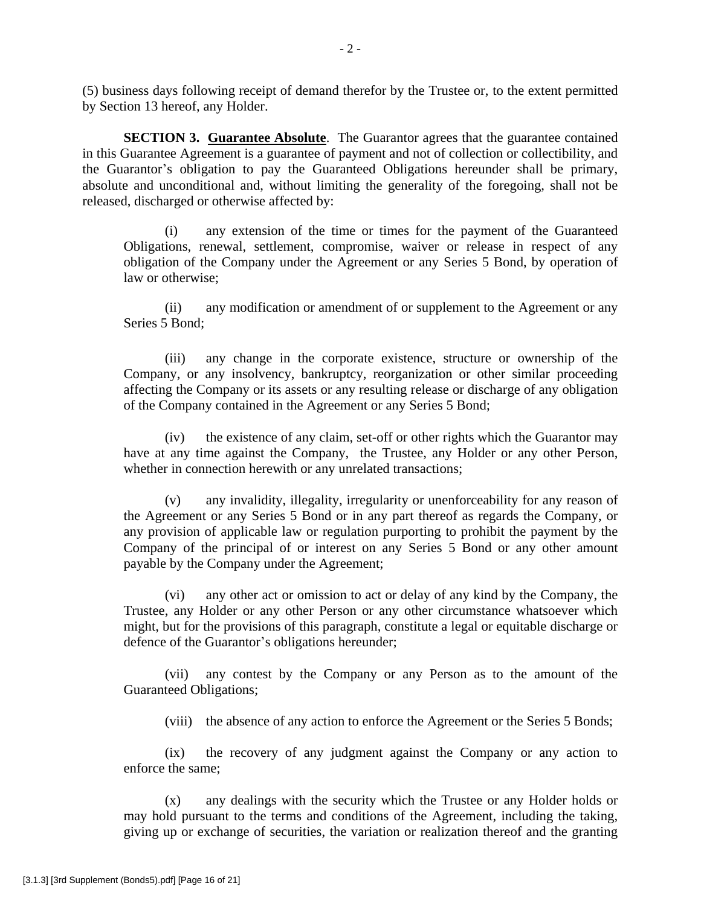(5) business days following receipt of demand therefor by the Trustee or, to the extent permitted by Section 13 hereof, any Holder.

**SECTION 3. Guarantee Absolute.** The Guarantor agrees that the guarantee contained in this Guarantee Agreement is a guarantee of payment and not of collection or collectibility, and the Guarantor's obligation to pay the Guaranteed Obligations hereunder shall be primary, absolute and unconditional and, without limiting the generality of the foregoing, shall not be released, discharged or otherwise affected by:

(i) any extension of the time or times for the payment of the Guaranteed Obligations, renewal, settlement, compromise, waiver or release in respect of any obligation of the Company under the Agreement or any Series 5 Bond, by operation of law or otherwise;

(ii) any modification or amendment of or supplement to the Agreement or any Series 5 Bond;

(iii) any change in the corporate existence, structure or ownership of the Company, or any insolvency, bankruptcy, reorganization or other similar proceeding affecting the Company or its assets or any resulting release or discharge of any obligation of the Company contained in the Agreement or any Series 5 Bond;

(iv) the existence of any claim, set-off or other rights which the Guarantor may have at any time against the Company, the Trustee, any Holder or any other Person, whether in connection herewith or any unrelated transactions;

(v) any invalidity, illegality, irregularity or unenforceability for any reason of the Agreement or any Series 5 Bond or in any part thereof as regards the Company, or any provision of applicable law or regulation purporting to prohibit the payment by the Company of the principal of or interest on any Series 5 Bond or any other amount payable by the Company under the Agreement;

(vi) any other act or omission to act or delay of any kind by the Company, the Trustee, any Holder or any other Person or any other circumstance whatsoever which might, but for the provisions of this paragraph, constitute a legal or equitable discharge or defence of the Guarantor's obligations hereunder;

(vii) any contest by the Company or any Person as to the amount of the Guaranteed Obligations;

(viii) the absence of any action to enforce the Agreement or the Series 5 Bonds;

(ix) the recovery of any judgment against the Company or any action to enforce the same;

(x) any dealings with the security which the Trustee or any Holder holds or may hold pursuant to the terms and conditions of the Agreement, including the taking, giving up or exchange of securities, the variation or realization thereof and the granting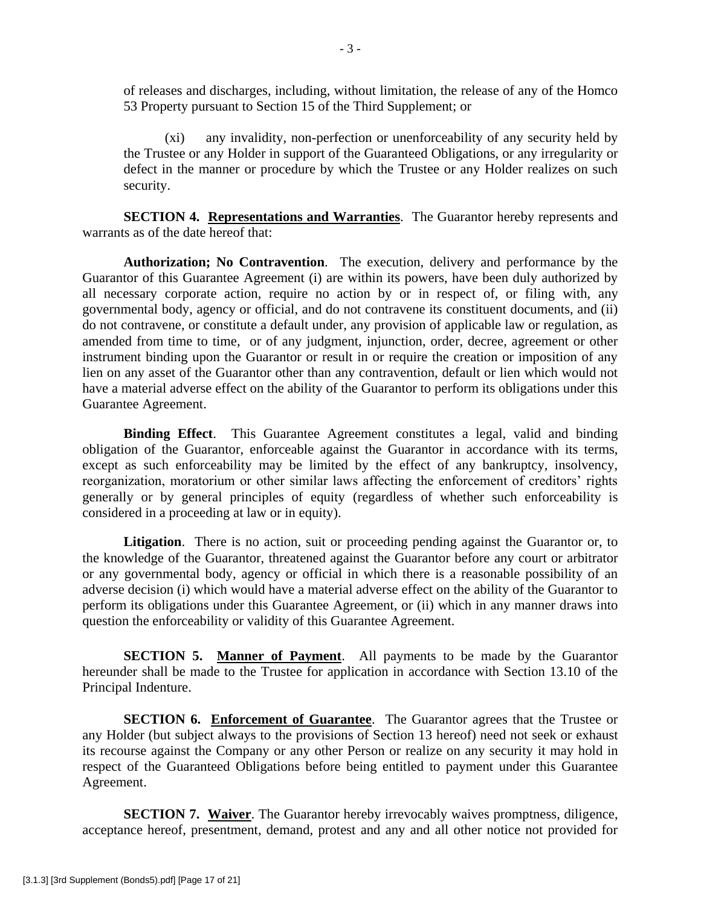of releases and discharges, including, without limitation, the release of any of the Homco 53 Property pursuant to Section 15 of the Third Supplement; or

(xi) any invalidity, non-perfection or unenforceability of any security held by the Trustee or any Holder in support of the Guaranteed Obligations, or any irregularity or defect in the manner or procedure by which the Trustee or any Holder realizes on such security.

**SECTION 4. Representations and Warranties**. The Guarantor hereby represents and warrants as of the date hereof that:

**Authorization; No Contravention**. The execution, delivery and performance by the Guarantor of this Guarantee Agreement (i) are within its powers, have been duly authorized by all necessary corporate action, require no action by or in respect of, or filing with, any governmental body, agency or official, and do not contravene its constituent documents, and (ii) do not contravene, or constitute a default under, any provision of applicable law or regulation, as amended from time to time, or of any judgment, injunction, order, decree, agreement or other instrument binding upon the Guarantor or result in or require the creation or imposition of any lien on any asset of the Guarantor other than any contravention, default or lien which would not have a material adverse effect on the ability of the Guarantor to perform its obligations under this Guarantee Agreement.

**Binding Effect**. This Guarantee Agreement constitutes a legal, valid and binding obligation of the Guarantor, enforceable against the Guarantor in accordance with its terms, except as such enforceability may be limited by the effect of any bankruptcy, insolvency, reorganization, moratorium or other similar laws affecting the enforcement of creditors' rights generally or by general principles of equity (regardless of whether such enforceability is considered in a proceeding at law or in equity).

Litigation. There is no action, suit or proceeding pending against the Guarantor or, to the knowledge of the Guarantor, threatened against the Guarantor before any court or arbitrator or any governmental body, agency or official in which there is a reasonable possibility of an adverse decision (i) which would have a material adverse effect on the ability of the Guarantor to perform its obligations under this Guarantee Agreement, or (ii) which in any manner draws into question the enforceability or validity of this Guarantee Agreement.

**SECTION 5. Manner of Payment**. All payments to be made by the Guarantor hereunder shall be made to the Trustee for application in accordance with Section 13.10 of the Principal Indenture.

**SECTION 6. Enforcement of Guarantee**. The Guarantor agrees that the Trustee or any Holder (but subject always to the provisions of Section 13 hereof) need not seek or exhaust its recourse against the Company or any other Person or realize on any security it may hold in respect of the Guaranteed Obligations before being entitled to payment under this Guarantee Agreement.

**SECTION 7. Waiver**. The Guarantor hereby irrevocably waives promptness, diligence, acceptance hereof, presentment, demand, protest and any and all other notice not provided for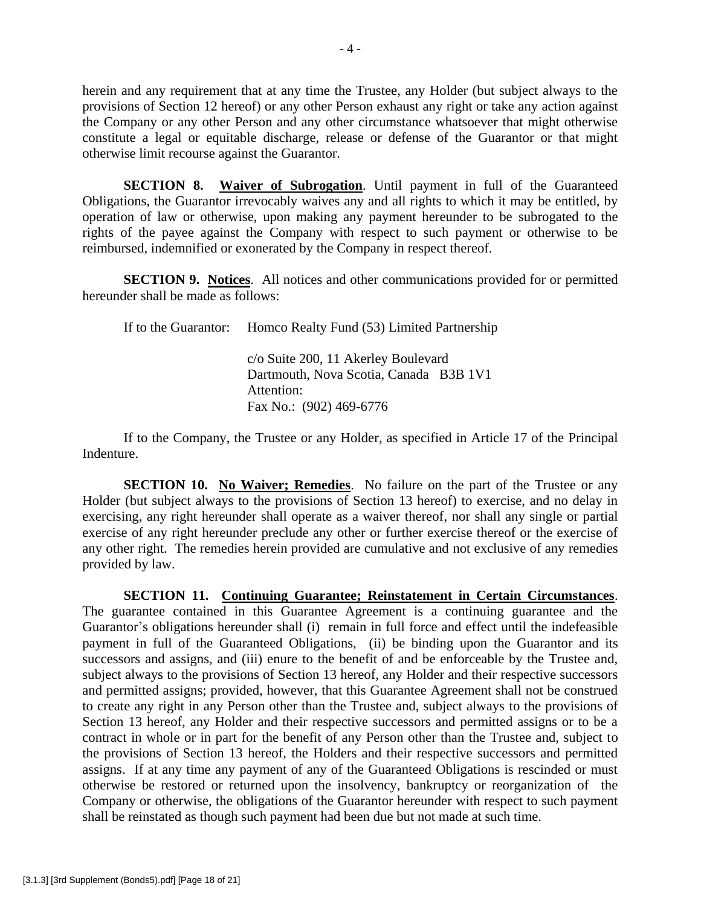herein and any requirement that at any time the Trustee, any Holder (but subject always to the provisions of Section 12 hereof) or any other Person exhaust any right or take any action against the Company or any other Person and any other circumstance whatsoever that might otherwise constitute a legal or equitable discharge, release or defense of the Guarantor or that might otherwise limit recourse against the Guarantor.

**SECTION 8. Waiver of Subrogation.** Until payment in full of the Guaranteed Obligations, the Guarantor irrevocably waives any and all rights to which it may be entitled, by operation of law or otherwise, upon making any payment hereunder to be subrogated to the rights of the payee against the Company with respect to such payment or otherwise to be reimbursed, indemnified or exonerated by the Company in respect thereof.

**SECTION 9. Notices**. All notices and other communications provided for or permitted hereunder shall be made as follows:

If to the Guarantor: Homco Realty Fund (53) Limited Partnership

c/o Suite 200, 11 Akerley Boulevard Dartmouth, Nova Scotia, Canada B3B 1V1 Attention: Fax No.: (902) 469-6776

If to the Company, the Trustee or any Holder, as specified in Article 17 of the Principal Indenture.

**SECTION 10. No Waiver; Remedies.** No failure on the part of the Trustee or any Holder (but subject always to the provisions of Section 13 hereof) to exercise, and no delay in exercising, any right hereunder shall operate as a waiver thereof, nor shall any single or partial exercise of any right hereunder preclude any other or further exercise thereof or the exercise of any other right. The remedies herein provided are cumulative and not exclusive of any remedies provided by law.

**SECTION 11. Continuing Guarantee; Reinstatement in Certain Circumstances**. The guarantee contained in this Guarantee Agreement is a continuing guarantee and the Guarantor's obligations hereunder shall (i) remain in full force and effect until the indefeasible payment in full of the Guaranteed Obligations, (ii) be binding upon the Guarantor and its successors and assigns, and (iii) enure to the benefit of and be enforceable by the Trustee and, subject always to the provisions of Section 13 hereof, any Holder and their respective successors and permitted assigns; provided, however, that this Guarantee Agreement shall not be construed to create any right in any Person other than the Trustee and, subject always to the provisions of Section 13 hereof, any Holder and their respective successors and permitted assigns or to be a contract in whole or in part for the benefit of any Person other than the Trustee and, subject to the provisions of Section 13 hereof, the Holders and their respective successors and permitted assigns. If at any time any payment of any of the Guaranteed Obligations is rescinded or must otherwise be restored or returned upon the insolvency, bankruptcy or reorganization of the Company or otherwise, the obligations of the Guarantor hereunder with respect to such payment shall be reinstated as though such payment had been due but not made at such time.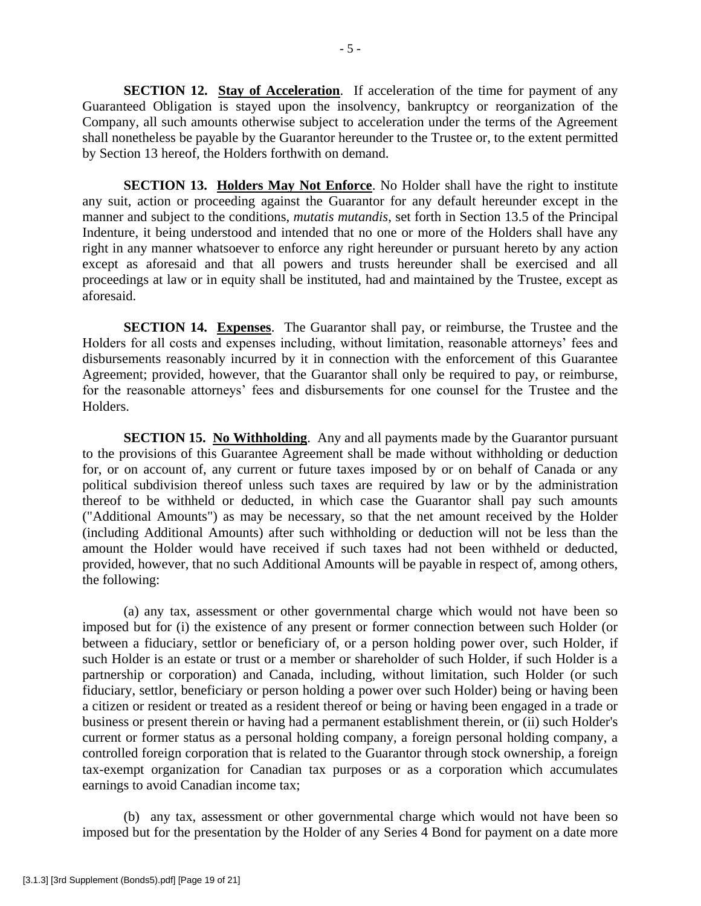**SECTION 12. Stay of Acceleration.** If acceleration of the time for payment of any Guaranteed Obligation is stayed upon the insolvency, bankruptcy or reorganization of the Company, all such amounts otherwise subject to acceleration under the terms of the Agreement shall nonetheless be payable by the Guarantor hereunder to the Trustee or, to the extent permitted by Section 13 hereof, the Holders forthwith on demand.

**SECTION 13. Holders May Not Enforce.** No Holder shall have the right to institute any suit, action or proceeding against the Guarantor for any default hereunder except in the manner and subject to the conditions, *mutatis mutandis*, set forth in Section 13.5 of the Principal Indenture, it being understood and intended that no one or more of the Holders shall have any right in any manner whatsoever to enforce any right hereunder or pursuant hereto by any action except as aforesaid and that all powers and trusts hereunder shall be exercised and all proceedings at law or in equity shall be instituted, had and maintained by the Trustee, except as aforesaid.

**SECTION 14. Expenses**. The Guarantor shall pay, or reimburse, the Trustee and the Holders for all costs and expenses including, without limitation, reasonable attorneys' fees and disbursements reasonably incurred by it in connection with the enforcement of this Guarantee Agreement; provided, however, that the Guarantor shall only be required to pay, or reimburse, for the reasonable attorneys' fees and disbursements for one counsel for the Trustee and the Holders.

**SECTION 15. No Withholding.** Any and all payments made by the Guarantor pursuant to the provisions of this Guarantee Agreement shall be made without withholding or deduction for, or on account of, any current or future taxes imposed by or on behalf of Canada or any political subdivision thereof unless such taxes are required by law or by the administration thereof to be withheld or deducted, in which case the Guarantor shall pay such amounts ("Additional Amounts") as may be necessary, so that the net amount received by the Holder (including Additional Amounts) after such withholding or deduction will not be less than the amount the Holder would have received if such taxes had not been withheld or deducted, provided, however, that no such Additional Amounts will be payable in respect of, among others, the following:

(a) any tax, assessment or other governmental charge which would not have been so imposed but for (i) the existence of any present or former connection between such Holder (or between a fiduciary, settlor or beneficiary of, or a person holding power over, such Holder, if such Holder is an estate or trust or a member or shareholder of such Holder, if such Holder is a partnership or corporation) and Canada, including, without limitation, such Holder (or such fiduciary, settlor, beneficiary or person holding a power over such Holder) being or having been a citizen or resident or treated as a resident thereof or being or having been engaged in a trade or business or present therein or having had a permanent establishment therein, or (ii) such Holder's current or former status as a personal holding company, a foreign personal holding company, a controlled foreign corporation that is related to the Guarantor through stock ownership, a foreign tax-exempt organization for Canadian tax purposes or as a corporation which accumulates earnings to avoid Canadian income tax;

(b) any tax, assessment or other governmental charge which would not have been so imposed but for the presentation by the Holder of any Series 4 Bond for payment on a date more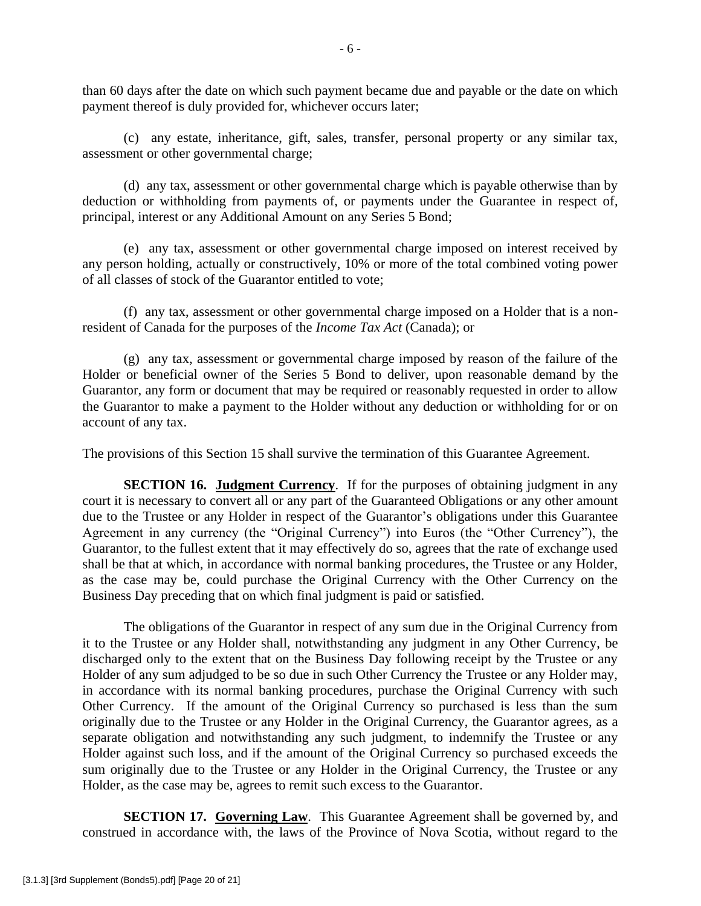than 60 days after the date on which such payment became due and payable or the date on which payment thereof is duly provided for, whichever occurs later;

(c) any estate, inheritance, gift, sales, transfer, personal property or any similar tax, assessment or other governmental charge;

(d) any tax, assessment or other governmental charge which is payable otherwise than by deduction or withholding from payments of, or payments under the Guarantee in respect of, principal, interest or any Additional Amount on any Series 5 Bond;

(e) any tax, assessment or other governmental charge imposed on interest received by any person holding, actually or constructively, 10% or more of the total combined voting power of all classes of stock of the Guarantor entitled to vote;

(f) any tax, assessment or other governmental charge imposed on a Holder that is a nonresident of Canada for the purposes of the *Income Tax Act* (Canada); or

(g) any tax, assessment or governmental charge imposed by reason of the failure of the Holder or beneficial owner of the Series 5 Bond to deliver, upon reasonable demand by the Guarantor, any form or document that may be required or reasonably requested in order to allow the Guarantor to make a payment to the Holder without any deduction or withholding for or on account of any tax.

The provisions of this Section 15 shall survive the termination of this Guarantee Agreement.

**SECTION 16. Judgment Currency**. If for the purposes of obtaining judgment in any court it is necessary to convert all or any part of the Guaranteed Obligations or any other amount due to the Trustee or any Holder in respect of the Guarantor's obligations under this Guarantee Agreement in any currency (the "Original Currency") into Euros (the "Other Currency"), the Guarantor, to the fullest extent that it may effectively do so, agrees that the rate of exchange used shall be that at which, in accordance with normal banking procedures, the Trustee or any Holder, as the case may be, could purchase the Original Currency with the Other Currency on the Business Day preceding that on which final judgment is paid or satisfied.

The obligations of the Guarantor in respect of any sum due in the Original Currency from it to the Trustee or any Holder shall, notwithstanding any judgment in any Other Currency, be discharged only to the extent that on the Business Day following receipt by the Trustee or any Holder of any sum adjudged to be so due in such Other Currency the Trustee or any Holder may, in accordance with its normal banking procedures, purchase the Original Currency with such Other Currency. If the amount of the Original Currency so purchased is less than the sum originally due to the Trustee or any Holder in the Original Currency, the Guarantor agrees, as a separate obligation and notwithstanding any such judgment, to indemnify the Trustee or any Holder against such loss, and if the amount of the Original Currency so purchased exceeds the sum originally due to the Trustee or any Holder in the Original Currency, the Trustee or any Holder, as the case may be, agrees to remit such excess to the Guarantor.

**SECTION 17. Governing Law**. This Guarantee Agreement shall be governed by, and construed in accordance with, the laws of the Province of Nova Scotia, without regard to the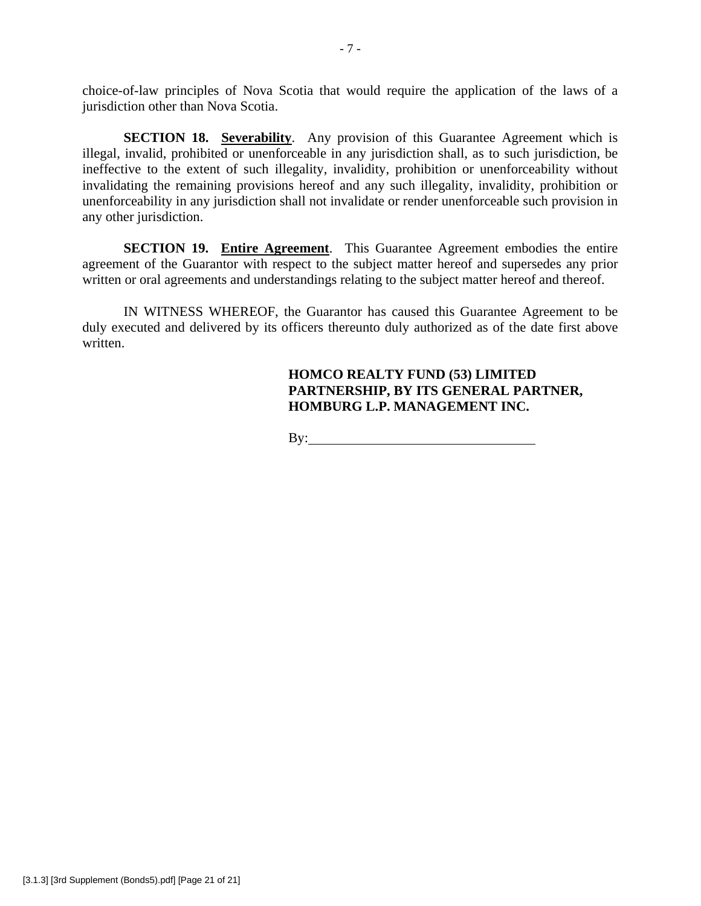choice-of-law principles of Nova Scotia that would require the application of the laws of a jurisdiction other than Nova Scotia.

**SECTION 18. Severability.** Any provision of this Guarantee Agreement which is illegal, invalid, prohibited or unenforceable in any jurisdiction shall, as to such jurisdiction, be ineffective to the extent of such illegality, invalidity, prohibition or unenforceability without invalidating the remaining provisions hereof and any such illegality, invalidity, prohibition or unenforceability in any jurisdiction shall not invalidate or render unenforceable such provision in any other jurisdiction.

**SECTION 19. Entire Agreement**. This Guarantee Agreement embodies the entire agreement of the Guarantor with respect to the subject matter hereof and supersedes any prior written or oral agreements and understandings relating to the subject matter hereof and thereof.

IN WITNESS WHEREOF, the Guarantor has caused this Guarantee Agreement to be duly executed and delivered by its officers thereunto duly authorized as of the date first above written.

# **HOMCO REALTY FUND (53) LIMITED PARTNERSHIP, BY ITS GENERAL PARTNER, HOMBURG L.P. MANAGEMENT INC.**

By: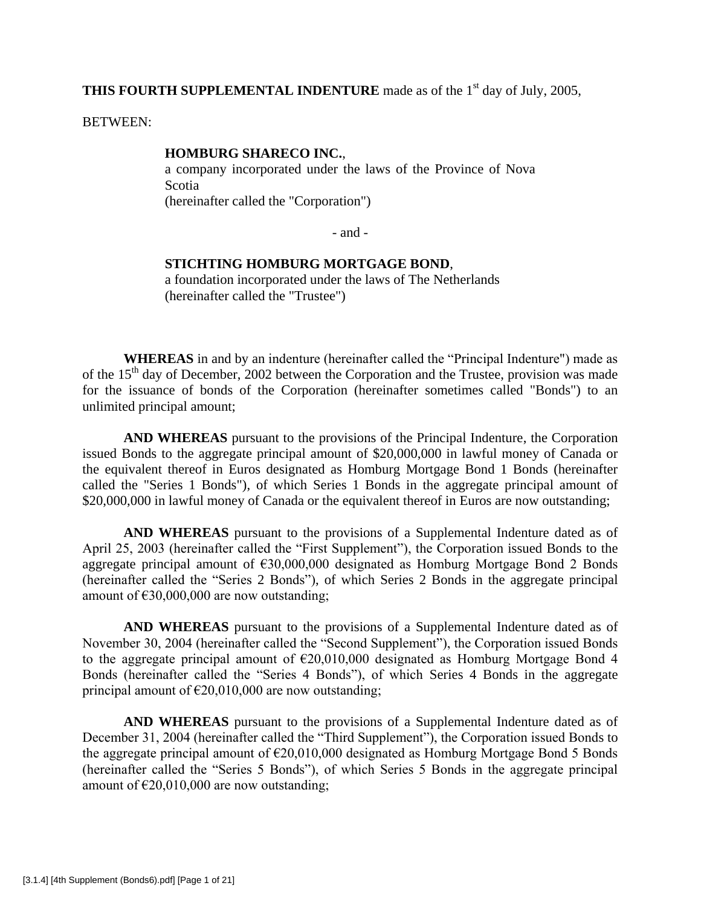# THIS FOURTH SUPPLEMENTAL INDENTURE made as of the 1<sup>st</sup> day of July, 2005,

BETWEEN:

#### **HOMBURG SHARECO INC.**,

a company incorporated under the laws of the Province of Nova Scotia (hereinafter called the "Corporation")

 $-$  and  $-$ 

## **STICHTING HOMBURG MORTGAGE BOND**,

a foundation incorporated under the laws of The Netherlands (hereinafter called the "Trustee")

**WHEREAS** in and by an indenture (hereinafter called the "Principal Indenture") made as of the  $15<sup>th</sup>$  day of December, 2002 between the Corporation and the Trustee, provision was made for the issuance of bonds of the Corporation (hereinafter sometimes called "Bonds") to an unlimited principal amount;

**AND WHEREAS** pursuant to the provisions of the Principal Indenture, the Corporation issued Bonds to the aggregate principal amount of \$20,000,000 in lawful money of Canada or the equivalent thereof in Euros designated as Homburg Mortgage Bond 1 Bonds (hereinafter called the "Series 1 Bonds"), of which Series 1 Bonds in the aggregate principal amount of \$20,000,000 in lawful money of Canada or the equivalent thereof in Euros are now outstanding;

**AND WHEREAS** pursuant to the provisions of a Supplemental Indenture dated as of April 25, 2003 (hereinafter called the "First Supplement"), the Corporation issued Bonds to the aggregate principal amount of €30,000,000 designated as Homburg Mortgage Bond 2 Bonds (hereinafter called the "Series 2 Bonds"), of which Series 2 Bonds in the aggregate principal amount of  $\epsilon$ 30,000,000 are now outstanding;

**AND WHEREAS** pursuant to the provisions of a Supplemental Indenture dated as of November 30, 2004 (hereinafter called the "Second Supplement"), the Corporation issued Bonds to the aggregate principal amount of  $\epsilon$ 20,010,000 designated as Homburg Mortgage Bond 4 Bonds (hereinafter called the "Series 4 Bonds"), of which Series 4 Bonds in the aggregate principal amount of  $\epsilon$ 20,010,000 are now outstanding;

**AND WHEREAS** pursuant to the provisions of a Supplemental Indenture dated as of December 31, 2004 (hereinafter called the "Third Supplement"), the Corporation issued Bonds to the aggregate principal amount of  $\epsilon$ 20,010,000 designated as Homburg Mortgage Bond 5 Bonds (hereinafter called the "Series 5 Bonds"), of which Series 5 Bonds in the aggregate principal amount of  $\epsilon$ 20,010,000 are now outstanding;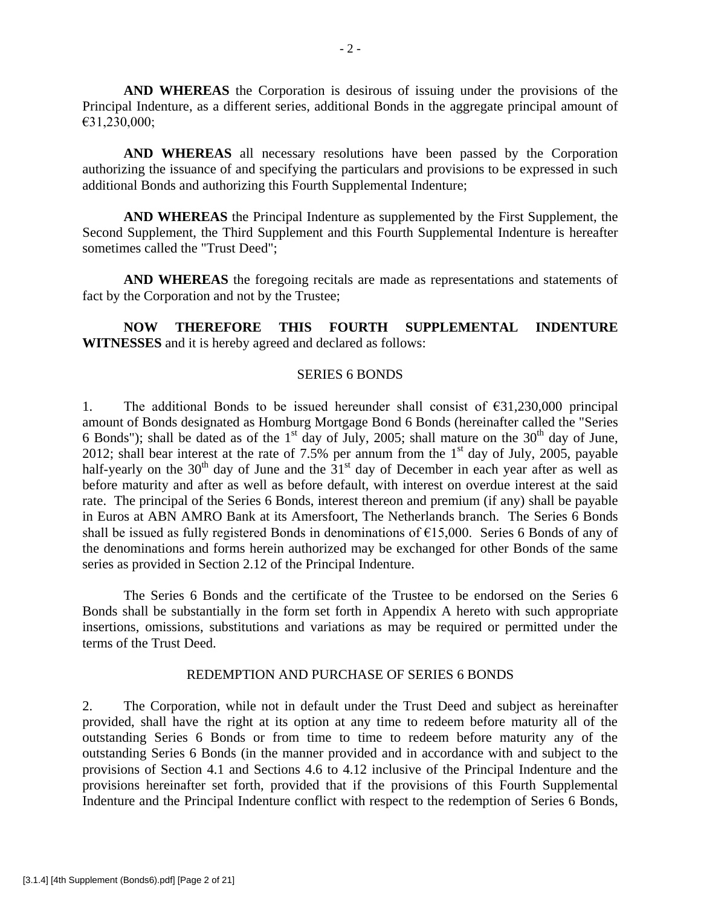**AND WHEREAS** the Corporation is desirous of issuing under the provisions of the Principal Indenture, as a different series, additional Bonds in the aggregate principal amount of €31,230,000;

**AND WHEREAS** all necessary resolutions have been passed by the Corporation authorizing the issuance of and specifying the particulars and provisions to be expressed in such additional Bonds and authorizing this Fourth Supplemental Indenture;

**AND WHEREAS** the Principal Indenture as supplemented by the First Supplement, the Second Supplement, the Third Supplement and this Fourth Supplemental Indenture is hereafter sometimes called the "Trust Deed";

**AND WHEREAS** the foregoing recitals are made as representations and statements of fact by the Corporation and not by the Trustee;

**NOW THEREFORE THIS FOURTH SUPPLEMENTAL INDENTURE WITNESSES** and it is hereby agreed and declared as follows:

### SERIES 6 BONDS

1. The additional Bonds to be issued hereunder shall consist of  $\epsilon$ 31,230,000 principal amount of Bonds designated as Homburg Mortgage Bond 6 Bonds (hereinafter called the "Series 6 Bonds"); shall be dated as of the  $1<sup>st</sup>$  day of July, 2005; shall mature on the  $30<sup>th</sup>$  day of June, 2012; shall bear interest at the rate of 7.5% per annum from the  $1<sup>st</sup>$  day of July, 2005, payable half-yearly on the  $30<sup>th</sup>$  day of June and the  $31<sup>st</sup>$  day of December in each year after as well as before maturity and after as well as before default, with interest on overdue interest at the said rate. The principal of the Series 6 Bonds, interest thereon and premium (if any) shall be payable in Euros at ABN AMRO Bank at its Amersfoort, The Netherlands branch. The Series 6 Bonds shall be issued as fully registered Bonds in denominations of  $\epsilon$ 15,000. Series 6 Bonds of any of the denominations and forms herein authorized may be exchanged for other Bonds of the same series as provided in Section 2.12 of the Principal Indenture.

The Series 6 Bonds and the certificate of the Trustee to be endorsed on the Series 6 Bonds shall be substantially in the form set forth in Appendix A hereto with such appropriate insertions, omissions, substitutions and variations as may be required or permitted under the terms of the Trust Deed.

#### REDEMPTION AND PURCHASE OF SERIES 6 BONDS

2. The Corporation, while not in default under the Trust Deed and subject as hereinafter provided, shall have the right at its option at any time to redeem before maturity all of the outstanding Series 6 Bonds or from time to time to redeem before maturity any of the outstanding Series 6 Bonds (in the manner provided and in accordance with and subject to the provisions of Section 4.1 and Sections 4.6 to 4.12 inclusive of the Principal Indenture and the provisions hereinafter set forth, provided that if the provisions of this Fourth Supplemental Indenture and the Principal Indenture conflict with respect to the redemption of Series 6 Bonds,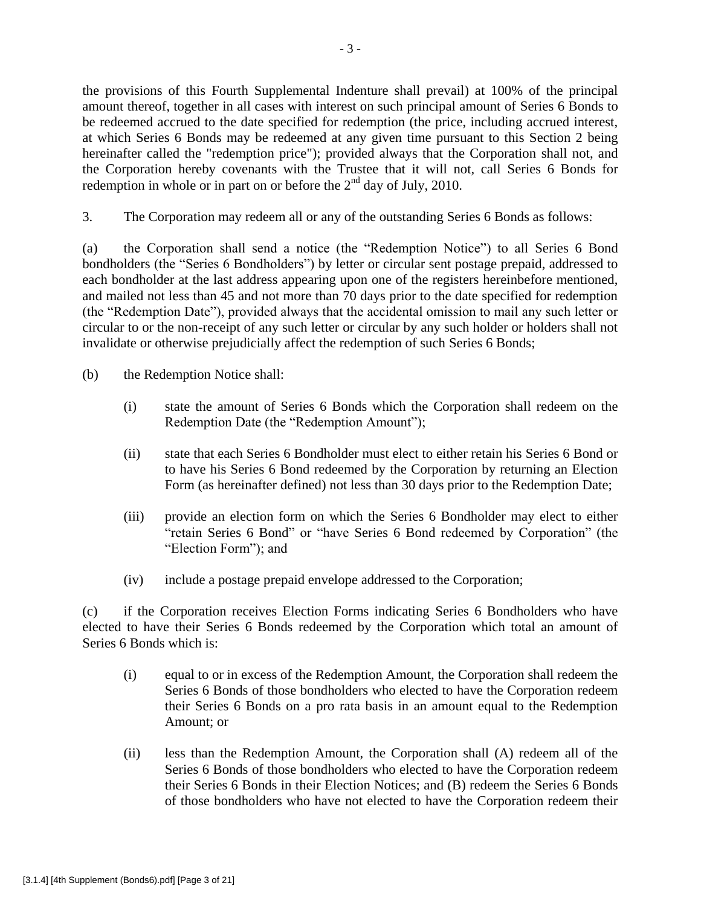the provisions of this Fourth Supplemental Indenture shall prevail) at 100% of the principal amount thereof, together in all cases with interest on such principal amount of Series 6 Bonds to be redeemed accrued to the date specified for redemption (the price, including accrued interest, at which Series 6 Bonds may be redeemed at any given time pursuant to this Section 2 being hereinafter called the "redemption price"); provided always that the Corporation shall not, and the Corporation hereby covenants with the Trustee that it will not, call Series 6 Bonds for redemption in whole or in part on or before the  $2<sup>nd</sup>$  day of July, 2010.

3. The Corporation may redeem all or any of the outstanding Series 6 Bonds as follows:

(a) the Corporation shall send a notice (the "Redemption Notice") to all Series 6 Bond bondholders (the "Series 6 Bondholders") by letter or circular sent postage prepaid, addressed to each bondholder at the last address appearing upon one of the registers hereinbefore mentioned, and mailed not less than 45 and not more than 70 days prior to the date specified for redemption (the "Redemption Date"), provided always that the accidental omission to mail any such letter or circular to or the non-receipt of any such letter or circular by any such holder or holders shall not invalidate or otherwise prejudicially affect the redemption of such Series 6 Bonds;

(b) the Redemption Notice shall:

- (i) state the amount of Series 6 Bonds which the Corporation shall redeem on the Redemption Date (the "Redemption Amount");
- (ii) state that each Series 6 Bondholder must elect to either retain his Series 6 Bond or to have his Series 6 Bond redeemed by the Corporation by returning an Election Form (as hereinafter defined) not less than 30 days prior to the Redemption Date;
- (iii) provide an election form on which the Series 6 Bondholder may elect to either "retain Series 6 Bond" or "have Series 6 Bond redeemed by Corporation" (the "Election Form"); and
- (iv) include a postage prepaid envelope addressed to the Corporation;

(c) if the Corporation receives Election Forms indicating Series 6 Bondholders who have elected to have their Series 6 Bonds redeemed by the Corporation which total an amount of Series 6 Bonds which is:

- (i) equal to or in excess of the Redemption Amount, the Corporation shall redeem the Series 6 Bonds of those bondholders who elected to have the Corporation redeem their Series 6 Bonds on a pro rata basis in an amount equal to the Redemption Amount; or
- (ii) less than the Redemption Amount, the Corporation shall (A) redeem all of the Series 6 Bonds of those bondholders who elected to have the Corporation redeem their Series 6 Bonds in their Election Notices; and (B) redeem the Series 6 Bonds of those bondholders who have not elected to have the Corporation redeem their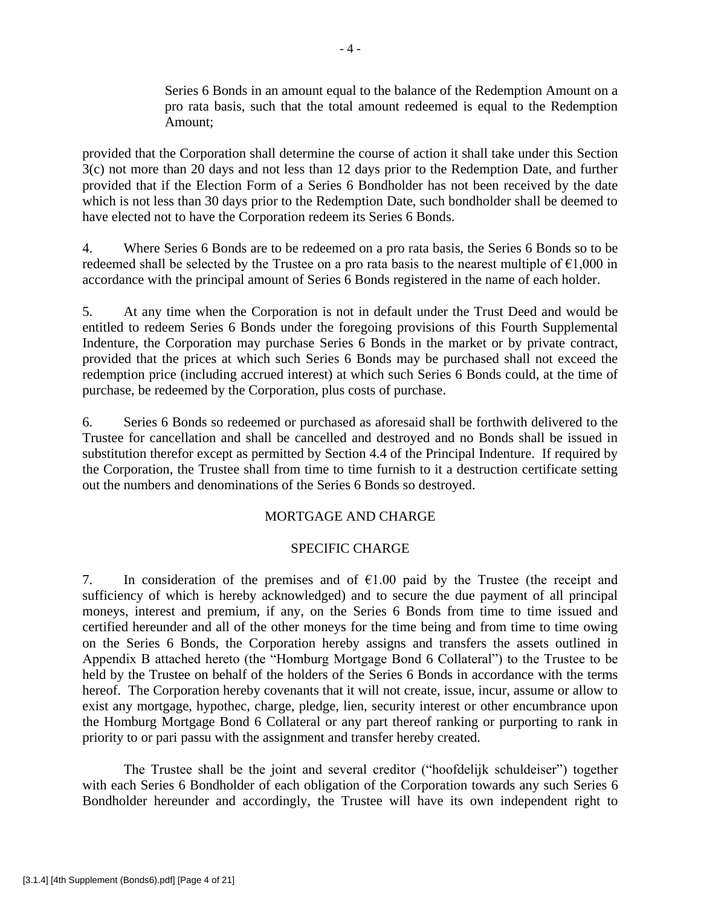Series 6 Bonds in an amount equal to the balance of the Redemption Amount on a pro rata basis, such that the total amount redeemed is equal to the Redemption Amount;

provided that the Corporation shall determine the course of action it shall take under this Section 3(c) not more than 20 days and not less than 12 days prior to the Redemption Date, and further provided that if the Election Form of a Series 6 Bondholder has not been received by the date which is not less than 30 days prior to the Redemption Date, such bondholder shall be deemed to have elected not to have the Corporation redeem its Series 6 Bonds.

4. Where Series 6 Bonds are to be redeemed on a pro rata basis, the Series 6 Bonds so to be redeemed shall be selected by the Trustee on a pro rata basis to the nearest multiple of  $\epsilon$ 1,000 in accordance with the principal amount of Series 6 Bonds registered in the name of each holder.

5. At any time when the Corporation is not in default under the Trust Deed and would be entitled to redeem Series 6 Bonds under the foregoing provisions of this Fourth Supplemental Indenture, the Corporation may purchase Series 6 Bonds in the market or by private contract, provided that the prices at which such Series 6 Bonds may be purchased shall not exceed the redemption price (including accrued interest) at which such Series 6 Bonds could, at the time of purchase, be redeemed by the Corporation, plus costs of purchase.

6. Series 6 Bonds so redeemed or purchased as aforesaid shall be forthwith delivered to the Trustee for cancellation and shall be cancelled and destroyed and no Bonds shall be issued in substitution therefor except as permitted by Section 4.4 of the Principal Indenture. If required by the Corporation, the Trustee shall from time to time furnish to it a destruction certificate setting out the numbers and denominations of the Series 6 Bonds so destroyed.

# MORTGAGE AND CHARGE

# SPECIFIC CHARGE

7. In consideration of the premises and of  $\epsilon$ 1.00 paid by the Trustee (the receipt and sufficiency of which is hereby acknowledged) and to secure the due payment of all principal moneys, interest and premium, if any, on the Series 6 Bonds from time to time issued and certified hereunder and all of the other moneys for the time being and from time to time owing on the Series 6 Bonds, the Corporation hereby assigns and transfers the assets outlined in Appendix B attached hereto (the "Homburg Mortgage Bond 6 Collateral") to the Trustee to be held by the Trustee on behalf of the holders of the Series 6 Bonds in accordance with the terms hereof. The Corporation hereby covenants that it will not create, issue, incur, assume or allow to exist any mortgage, hypothec, charge, pledge, lien, security interest or other encumbrance upon the Homburg Mortgage Bond 6 Collateral or any part thereof ranking or purporting to rank in priority to or pari passu with the assignment and transfer hereby created.

The Trustee shall be the joint and several creditor ("hoofdelijk schuldeiser") together with each Series 6 Bondholder of each obligation of the Corporation towards any such Series 6 Bondholder hereunder and accordingly, the Trustee will have its own independent right to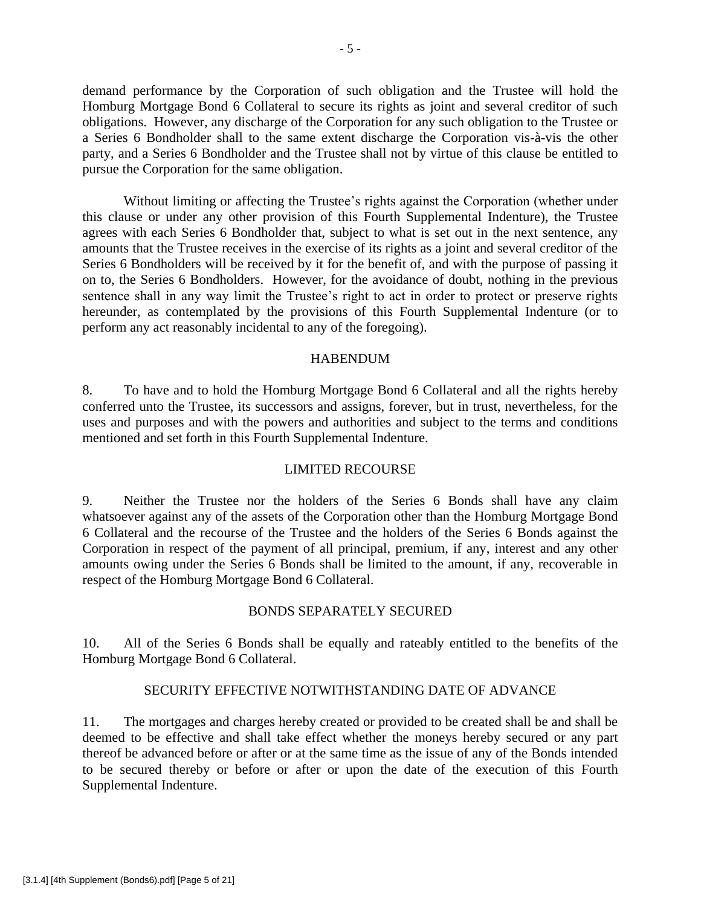demand performance by the Corporation of such obligation and the Trustee will hold the Homburg Mortgage Bond 6 Collateral to secure its rights as joint and several creditor of such obligations. However, any discharge of the Corporation for any such obligation to the Trustee or a Series 6 Bondholder shall to the same extent discharge the Corporation vis-à-vis the other party, and a Series 6 Bondholder and the Trustee shall not by virtue of this clause be entitled to pursue the Corporation for the same obligation.

Without limiting or affecting the Trustee's rights against the Corporation (whether under this clause or under any other provision of this Fourth Supplemental Indenture), the Trustee agrees with each Series 6 Bondholder that, subject to what is set out in the next sentence, any amounts that the Trustee receives in the exercise of its rights as a joint and several creditor of the Series 6 Bondholders will be received by it for the benefit of, and with the purpose of passing it on to, the Series 6 Bondholders. However, for the avoidance of doubt, nothing in the previous sentence shall in any way limit the Trustee's right to act in order to protect or preserve rights hereunder, as contemplated by the provisions of this Fourth Supplemental Indenture (or to perform any act reasonably incidental to any of the foregoing).

### **HABENDUM**

8. To have and to hold the Homburg Mortgage Bond 6 Collateral and all the rights hereby conferred unto the Trustee, its successors and assigns, forever, but in trust, nevertheless, for the uses and purposes and with the powers and authorities and subject to the terms and conditions mentioned and set forth in this Fourth Supplemental Indenture.

### LIMITED RECOURSE

9. Neither the Trustee nor the holders of the Series 6 Bonds shall have any claim whatsoever against any of the assets of the Corporation other than the Homburg Mortgage Bond 6 Collateral and the recourse of the Trustee and the holders of the Series 6 Bonds against the Corporation in respect of the payment of all principal, premium, if any, interest and any other amounts owing under the Series 6 Bonds shall be limited to the amount, if any, recoverable in respect of the Homburg Mortgage Bond 6 Collateral.

### BONDS SEPARATELY SECURED

10. All of the Series 6 Bonds shall be equally and rateably entitled to the benefits of the Homburg Mortgage Bond 6 Collateral.

# SECURITY EFFECTIVE NOTWITHSTANDING DATE OF ADVANCE

11. The mortgages and charges hereby created or provided to be created shall be and shall be deemed to be effective and shall take effect whether the moneys hereby secured or any part thereof be advanced before or after or at the same time as the issue of any of the Bonds intended to be secured thereby or before or after or upon the date of the execution of this Fourth Supplemental Indenture.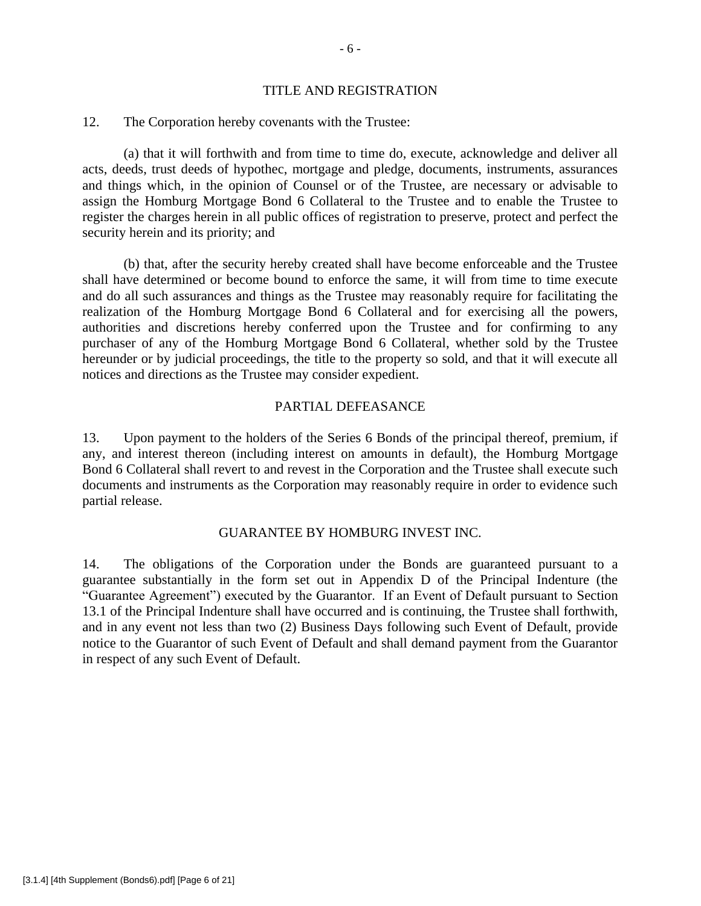#### TITLE AND REGISTRATION

### 12. The Corporation hereby covenants with the Trustee:

(a) that it will forthwith and from time to time do, execute, acknowledge and deliver all acts, deeds, trust deeds of hypothec, mortgage and pledge, documents, instruments, assurances and things which, in the opinion of Counsel or of the Trustee, are necessary or advisable to assign the Homburg Mortgage Bond 6 Collateral to the Trustee and to enable the Trustee to register the charges herein in all public offices of registration to preserve, protect and perfect the security herein and its priority; and

(b) that, after the security hereby created shall have become enforceable and the Trustee shall have determined or become bound to enforce the same, it will from time to time execute and do all such assurances and things as the Trustee may reasonably require for facilitating the realization of the Homburg Mortgage Bond 6 Collateral and for exercising all the powers, authorities and discretions hereby conferred upon the Trustee and for confirming to any purchaser of any of the Homburg Mortgage Bond 6 Collateral, whether sold by the Trustee hereunder or by judicial proceedings, the title to the property so sold, and that it will execute all notices and directions as the Trustee may consider expedient.

### PARTIAL DEFEASANCE

13. Upon payment to the holders of the Series 6 Bonds of the principal thereof, premium, if any, and interest thereon (including interest on amounts in default), the Homburg Mortgage Bond 6 Collateral shall revert to and revest in the Corporation and the Trustee shall execute such documents and instruments as the Corporation may reasonably require in order to evidence such partial release.

### GUARANTEE BY HOMBURG INVEST INC.

14. The obligations of the Corporation under the Bonds are guaranteed pursuant to a guarantee substantially in the form set out in Appendix D of the Principal Indenture (the "Guarantee Agreement") executed by the Guarantor. If an Event of Default pursuant to Section 13.1 of the Principal Indenture shall have occurred and is continuing, the Trustee shall forthwith, and in any event not less than two (2) Business Days following such Event of Default, provide notice to the Guarantor of such Event of Default and shall demand payment from the Guarantor in respect of any such Event of Default.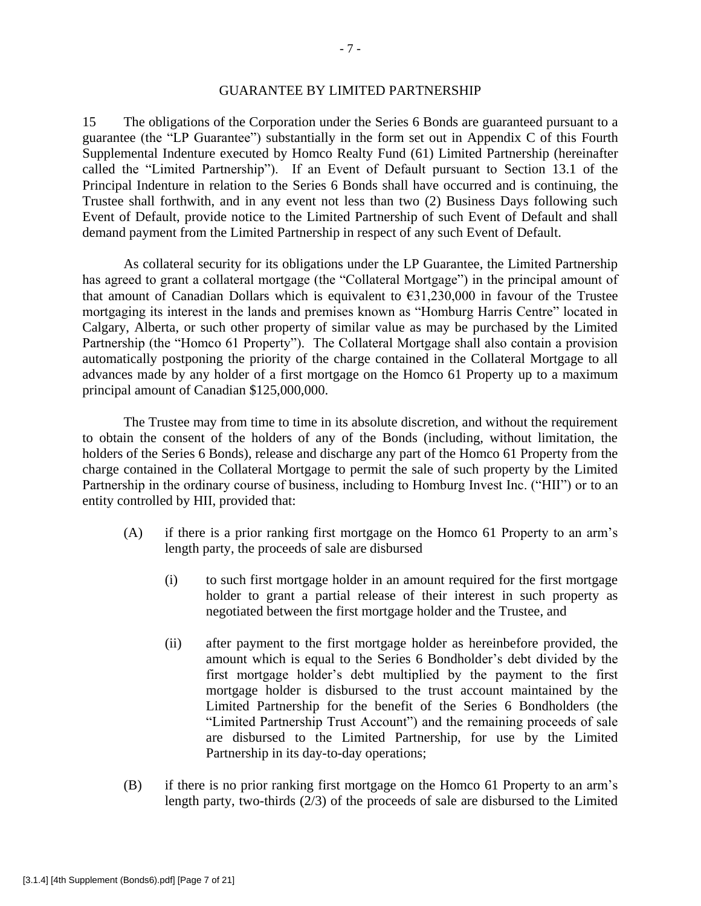#### GUARANTEE BY LIMITED PARTNERSHIP

15 The obligations of the Corporation under the Series 6 Bonds are guaranteed pursuant to a guarantee (the "LP Guarantee") substantially in the form set out in Appendix C of this Fourth Supplemental Indenture executed by Homco Realty Fund (61) Limited Partnership (hereinafter called the "Limited Partnership"). If an Event of Default pursuant to Section 13.1 of the Principal Indenture in relation to the Series 6 Bonds shall have occurred and is continuing, the Trustee shall forthwith, and in any event not less than two (2) Business Days following such Event of Default, provide notice to the Limited Partnership of such Event of Default and shall demand payment from the Limited Partnership in respect of any such Event of Default.

As collateral security for its obligations under the LP Guarantee, the Limited Partnership has agreed to grant a collateral mortgage (the "Collateral Mortgage") in the principal amount of that amount of Canadian Dollars which is equivalent to  $631,230,000$  in favour of the Trustee mortgaging its interest in the lands and premises known as "Homburg Harris Centre" located in Calgary, Alberta, or such other property of similar value as may be purchased by the Limited Partnership (the "Homco 61 Property"). The Collateral Mortgage shall also contain a provision automatically postponing the priority of the charge contained in the Collateral Mortgage to all advances made by any holder of a first mortgage on the Homco 61 Property up to a maximum principal amount of Canadian \$125,000,000.

The Trustee may from time to time in its absolute discretion, and without the requirement to obtain the consent of the holders of any of the Bonds (including, without limitation, the holders of the Series 6 Bonds), release and discharge any part of the Homco 61 Property from the charge contained in the Collateral Mortgage to permit the sale of such property by the Limited Partnership in the ordinary course of business, including to Homburg Invest Inc. ("HII") or to an entity controlled by HII, provided that:

- (A) if there is a prior ranking first mortgage on the Homco 61 Property to an arm's length party, the proceeds of sale are disbursed
	- (i) to such first mortgage holder in an amount required for the first mortgage holder to grant a partial release of their interest in such property as negotiated between the first mortgage holder and the Trustee, and
	- (ii) after payment to the first mortgage holder as hereinbefore provided, the amount which is equal to the Series 6 Bondholder's debt divided by the first mortgage holder's debt multiplied by the payment to the first mortgage holder is disbursed to the trust account maintained by the Limited Partnership for the benefit of the Series 6 Bondholders (the "Limited Partnership Trust Account") and the remaining proceeds of sale are disbursed to the Limited Partnership, for use by the Limited Partnership in its day-to-day operations;
- (B) if there is no prior ranking first mortgage on the Homco 61 Property to an arm's length party, two-thirds (2/3) of the proceeds of sale are disbursed to the Limited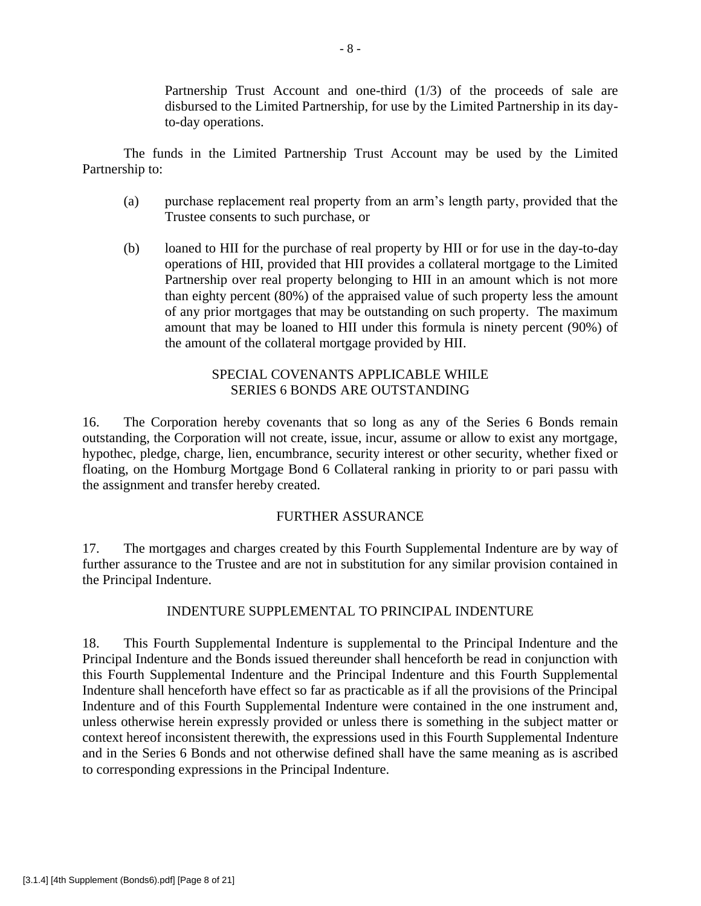Partnership Trust Account and one-third (1/3) of the proceeds of sale are disbursed to the Limited Partnership, for use by the Limited Partnership in its dayto-day operations.

The funds in the Limited Partnership Trust Account may be used by the Limited Partnership to:

- (a) purchase replacement real property from an arm's length party, provided that the Trustee consents to such purchase, or
- (b) loaned to HII for the purchase of real property by HII or for use in the day-to-day operations of HII, provided that HII provides a collateral mortgage to the Limited Partnership over real property belonging to HII in an amount which is not more than eighty percent (80%) of the appraised value of such property less the amount of any prior mortgages that may be outstanding on such property. The maximum amount that may be loaned to HII under this formula is ninety percent (90%) of the amount of the collateral mortgage provided by HII.

# SPECIAL COVENANTS APPLICABLE WHILE SERIES 6 BONDS ARE OUTSTANDING

16. The Corporation hereby covenants that so long as any of the Series 6 Bonds remain outstanding, the Corporation will not create, issue, incur, assume or allow to exist any mortgage, hypothec, pledge, charge, lien, encumbrance, security interest or other security, whether fixed or floating, on the Homburg Mortgage Bond 6 Collateral ranking in priority to or pari passu with the assignment and transfer hereby created.

# FURTHER ASSURANCE

17. The mortgages and charges created by this Fourth Supplemental Indenture are by way of further assurance to the Trustee and are not in substitution for any similar provision contained in the Principal Indenture.

# INDENTURE SUPPLEMENTAL TO PRINCIPAL INDENTURE

18. This Fourth Supplemental Indenture is supplemental to the Principal Indenture and the Principal Indenture and the Bonds issued thereunder shall henceforth be read in conjunction with this Fourth Supplemental Indenture and the Principal Indenture and this Fourth Supplemental Indenture shall henceforth have effect so far as practicable as if all the provisions of the Principal Indenture and of this Fourth Supplemental Indenture were contained in the one instrument and, unless otherwise herein expressly provided or unless there is something in the subject matter or context hereof inconsistent therewith, the expressions used in this Fourth Supplemental Indenture and in the Series 6 Bonds and not otherwise defined shall have the same meaning as is ascribed to corresponding expressions in the Principal Indenture.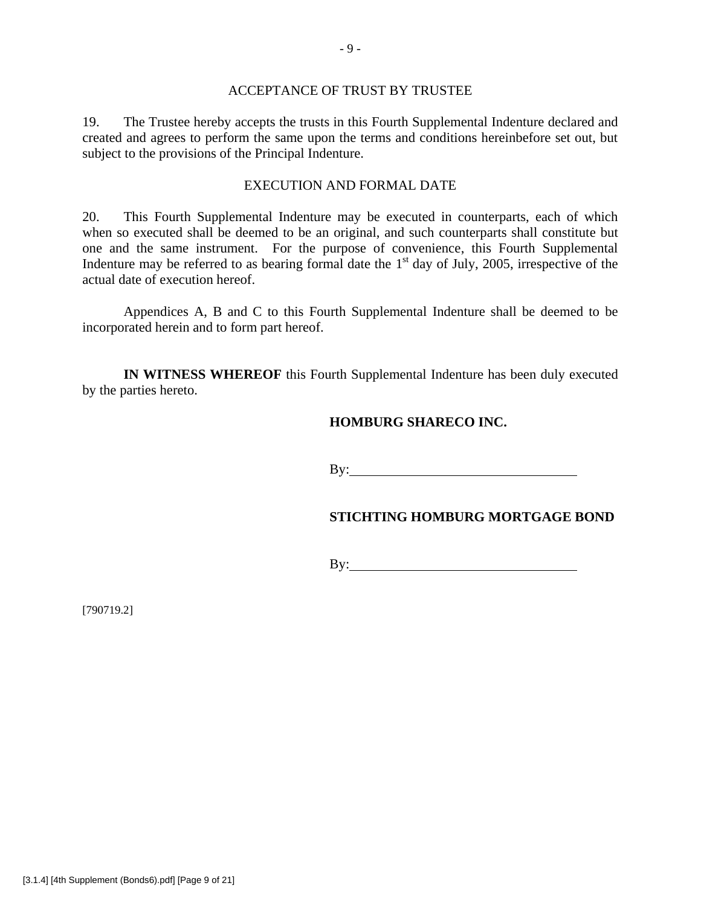### ACCEPTANCE OF TRUST BY TRUSTEE

19. The Trustee hereby accepts the trusts in this Fourth Supplemental Indenture declared and created and agrees to perform the same upon the terms and conditions hereinbefore set out, but subject to the provisions of the Principal Indenture.

### EXECUTION AND FORMAL DATE

20. This Fourth Supplemental Indenture may be executed in counterparts, each of which when so executed shall be deemed to be an original, and such counterparts shall constitute but one and the same instrument. For the purpose of convenience, this Fourth Supplemental Indenture may be referred to as bearing formal date the  $1<sup>st</sup>$  day of July, 2005, irrespective of the actual date of execution hereof.

Appendices A, B and C to this Fourth Supplemental Indenture shall be deemed to be incorporated herein and to form part hereof.

**IN WITNESS WHEREOF** this Fourth Supplemental Indenture has been duly executed by the parties hereto.

### **HOMBURG SHARECO INC.**

By: **Example 2018** 

### **STICHTING HOMBURG MORTGAGE BOND**

By: <u>second</u> and the second second second second second second second second second second second second second second second second second second second second second second second second second second second second secon

[790719.2]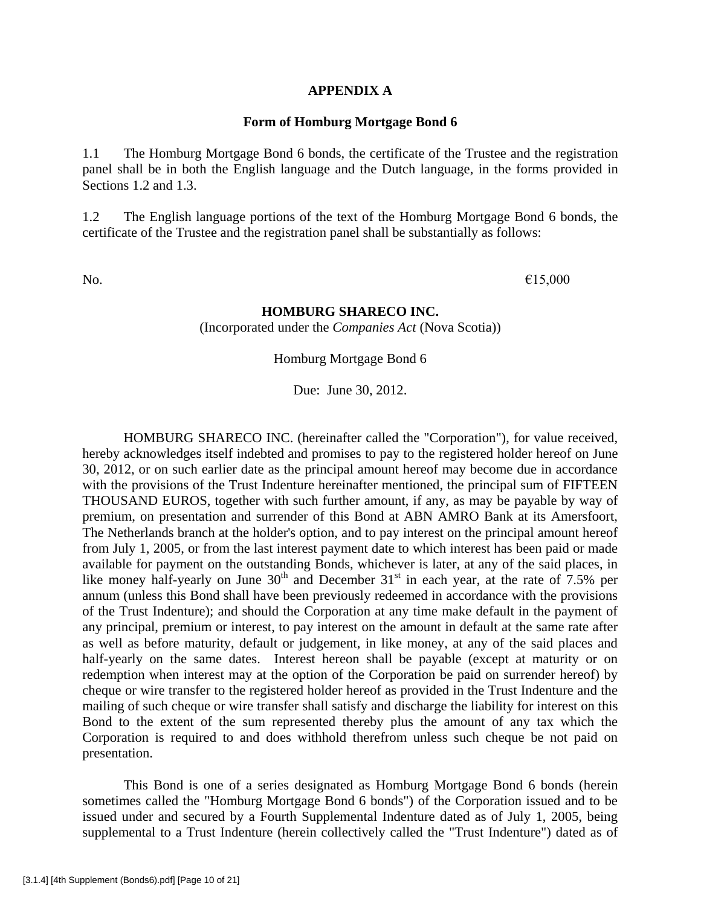#### **APPENDIX A**

#### **Form of Homburg Mortgage Bond 6**

1.1 The Homburg Mortgage Bond 6 bonds, the certificate of the Trustee and the registration panel shall be in both the English language and the Dutch language, in the forms provided in Sections 1.2 and 1.3.

1.2 The English language portions of the text of the Homburg Mortgage Bond 6 bonds, the certificate of the Trustee and the registration panel shall be substantially as follows:

No.  $\epsilon$ 15,000

### **HOMBURG SHARECO INC.**

(Incorporated under the *Companies Act* (Nova Scotia))

Homburg Mortgage Bond 6

Due: June 30, 2012.

HOMBURG SHARECO INC. (hereinafter called the "Corporation"), for value received, hereby acknowledges itself indebted and promises to pay to the registered holder hereof on June 30, 2012, or on such earlier date as the principal amount hereof may become due in accordance with the provisions of the Trust Indenture hereinafter mentioned, the principal sum of FIFTEEN THOUSAND EUROS, together with such further amount, if any, as may be payable by way of premium, on presentation and surrender of this Bond at ABN AMRO Bank at its Amersfoort, The Netherlands branch at the holder's option, and to pay interest on the principal amount hereof from July 1, 2005, or from the last interest payment date to which interest has been paid or made available for payment on the outstanding Bonds, whichever is later, at any of the said places, in like money half-yearly on June  $30<sup>th</sup>$  and December  $31<sup>st</sup>$  in each year, at the rate of 7.5% per annum (unless this Bond shall have been previously redeemed in accordance with the provisions of the Trust Indenture); and should the Corporation at any time make default in the payment of any principal, premium or interest, to pay interest on the amount in default at the same rate after as well as before maturity, default or judgement, in like money, at any of the said places and half-yearly on the same dates. Interest hereon shall be payable (except at maturity or on redemption when interest may at the option of the Corporation be paid on surrender hereof) by cheque or wire transfer to the registered holder hereof as provided in the Trust Indenture and the mailing of such cheque or wire transfer shall satisfy and discharge the liability for interest on this Bond to the extent of the sum represented thereby plus the amount of any tax which the Corporation is required to and does withhold therefrom unless such cheque be not paid on presentation.

This Bond is one of a series designated as Homburg Mortgage Bond 6 bonds (herein sometimes called the "Homburg Mortgage Bond 6 bonds") of the Corporation issued and to be issued under and secured by a Fourth Supplemental Indenture dated as of July 1, 2005, being supplemental to a Trust Indenture (herein collectively called the "Trust Indenture") dated as of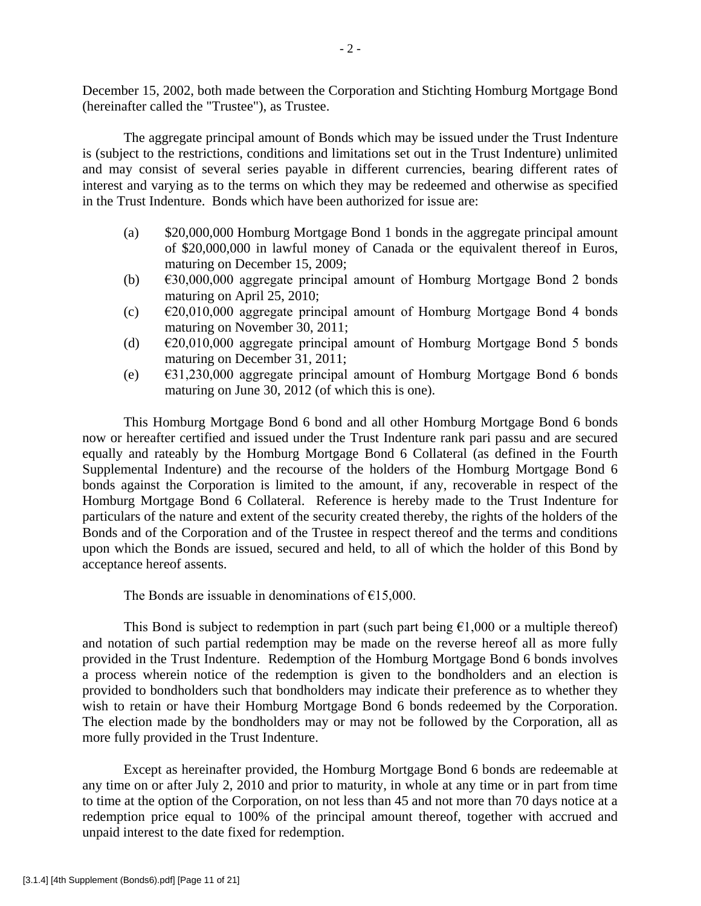December 15, 2002, both made between the Corporation and Stichting Homburg Mortgage Bond (hereinafter called the "Trustee"), as Trustee.

The aggregate principal amount of Bonds which may be issued under the Trust Indenture is (subject to the restrictions, conditions and limitations set out in the Trust Indenture) unlimited and may consist of several series payable in different currencies, bearing different rates of interest and varying as to the terms on which they may be redeemed and otherwise as specified in the Trust Indenture. Bonds which have been authorized for issue are:

- (a) \$20,000,000 Homburg Mortgage Bond 1 bonds in the aggregate principal amount of \$20,000,000 in lawful money of Canada or the equivalent thereof in Euros, maturing on December 15, 2009;
- (b)  $\epsilon$ 30,000,000 aggregate principal amount of Homburg Mortgage Bond 2 bonds maturing on April 25, 2010;
- (c)  $\epsilon$  20,010,000 aggregate principal amount of Homburg Mortgage Bond 4 bonds maturing on November 30, 2011;
- (d)  $\epsilon$ 20,010,000 aggregate principal amount of Homburg Mortgage Bond 5 bonds maturing on December 31, 2011;
- (e)  $\epsilon$ 31,230,000 aggregate principal amount of Homburg Mortgage Bond 6 bonds maturing on June 30, 2012 (of which this is one).

This Homburg Mortgage Bond 6 bond and all other Homburg Mortgage Bond 6 bonds now or hereafter certified and issued under the Trust Indenture rank pari passu and are secured equally and rateably by the Homburg Mortgage Bond 6 Collateral (as defined in the Fourth Supplemental Indenture) and the recourse of the holders of the Homburg Mortgage Bond 6 bonds against the Corporation is limited to the amount, if any, recoverable in respect of the Homburg Mortgage Bond 6 Collateral. Reference is hereby made to the Trust Indenture for particulars of the nature and extent of the security created thereby, the rights of the holders of the Bonds and of the Corporation and of the Trustee in respect thereof and the terms and conditions upon which the Bonds are issued, secured and held, to all of which the holder of this Bond by acceptance hereof assents.

The Bonds are issuable in denominations of  $£15,000$ .

This Bond is subject to redemption in part (such part being  $\epsilon$ 1,000 or a multiple thereof) and notation of such partial redemption may be made on the reverse hereof all as more fully provided in the Trust Indenture. Redemption of the Homburg Mortgage Bond 6 bonds involves a process wherein notice of the redemption is given to the bondholders and an election is provided to bondholders such that bondholders may indicate their preference as to whether they wish to retain or have their Homburg Mortgage Bond 6 bonds redeemed by the Corporation. The election made by the bondholders may or may not be followed by the Corporation, all as more fully provided in the Trust Indenture.

Except as hereinafter provided, the Homburg Mortgage Bond 6 bonds are redeemable at any time on or after July 2, 2010 and prior to maturity, in whole at any time or in part from time to time at the option of the Corporation, on not less than 45 and not more than 70 days notice at a redemption price equal to 100% of the principal amount thereof, together with accrued and unpaid interest to the date fixed for redemption.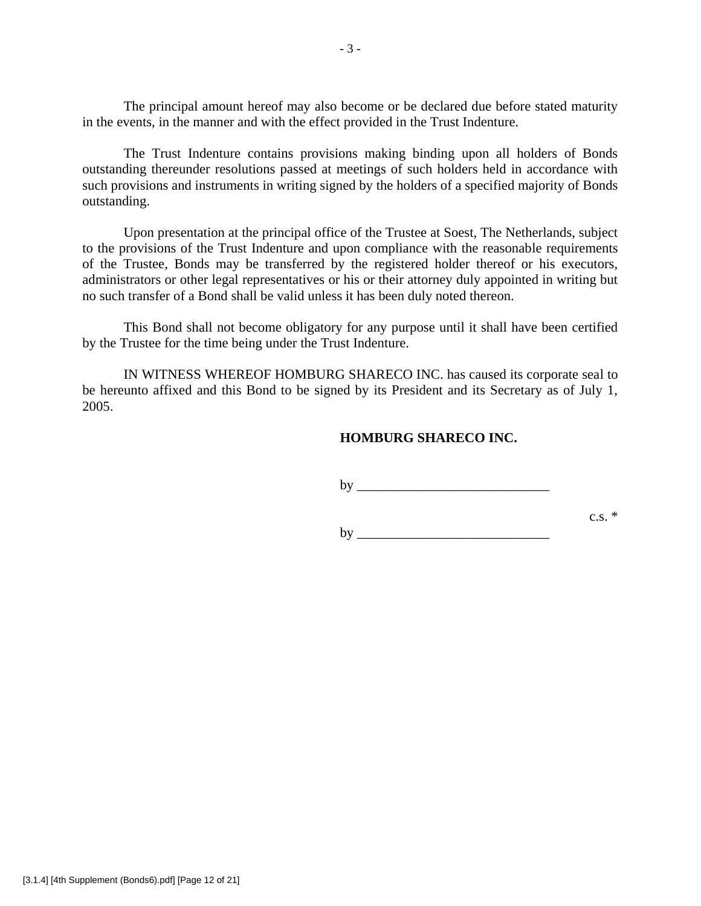The principal amount hereof may also become or be declared due before stated maturity in the events, in the manner and with the effect provided in the Trust Indenture.

The Trust Indenture contains provisions making binding upon all holders of Bonds outstanding thereunder resolutions passed at meetings of such holders held in accordance with such provisions and instruments in writing signed by the holders of a specified majority of Bonds outstanding.

Upon presentation at the principal office of the Trustee at Soest, The Netherlands, subject to the provisions of the Trust Indenture and upon compliance with the reasonable requirements of the Trustee, Bonds may be transferred by the registered holder thereof or his executors, administrators or other legal representatives or his or their attorney duly appointed in writing but no such transfer of a Bond shall be valid unless it has been duly noted thereon.

This Bond shall not become obligatory for any purpose until it shall have been certified by the Trustee for the time being under the Trust Indenture.

IN WITNESS WHEREOF HOMBURG SHARECO INC. has caused its corporate seal to be hereunto affixed and this Bond to be signed by its President and its Secretary as of July 1, 2005.

### **HOMBURG SHARECO INC.**

 $\mathbf{b} \mathbf{y}$ 

c.s.  $*$ 

 $\mathbf{b} \mathbf{v}$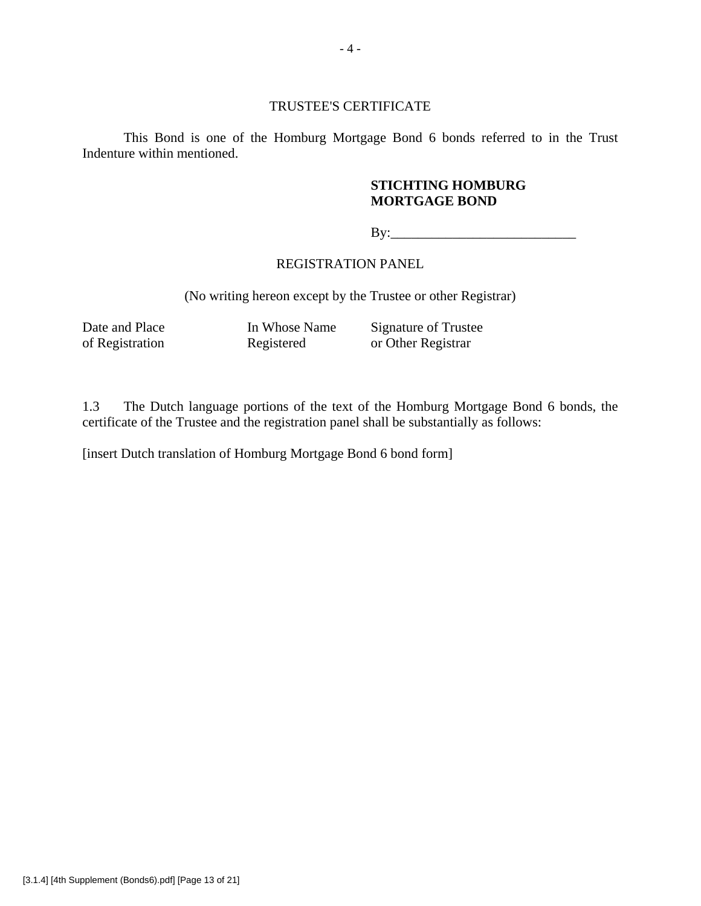### TRUSTEE'S CERTIFICATE

This Bond is one of the Homburg Mortgage Bond 6 bonds referred to in the Trust Indenture within mentioned.

# **STICHTING HOMBURG MORTGAGE BOND**

 $Bv:$ 

## REGISTRATION PANEL

(No writing hereon except by the Trustee or other Registrar)

Date and Place In Whose Name Signature of Trustee<br>of Registration Registered or Other Registrar or Other Registrar

1.3 The Dutch language portions of the text of the Homburg Mortgage Bond 6 bonds, the certificate of the Trustee and the registration panel shall be substantially as follows:

[insert Dutch translation of Homburg Mortgage Bond 6 bond form]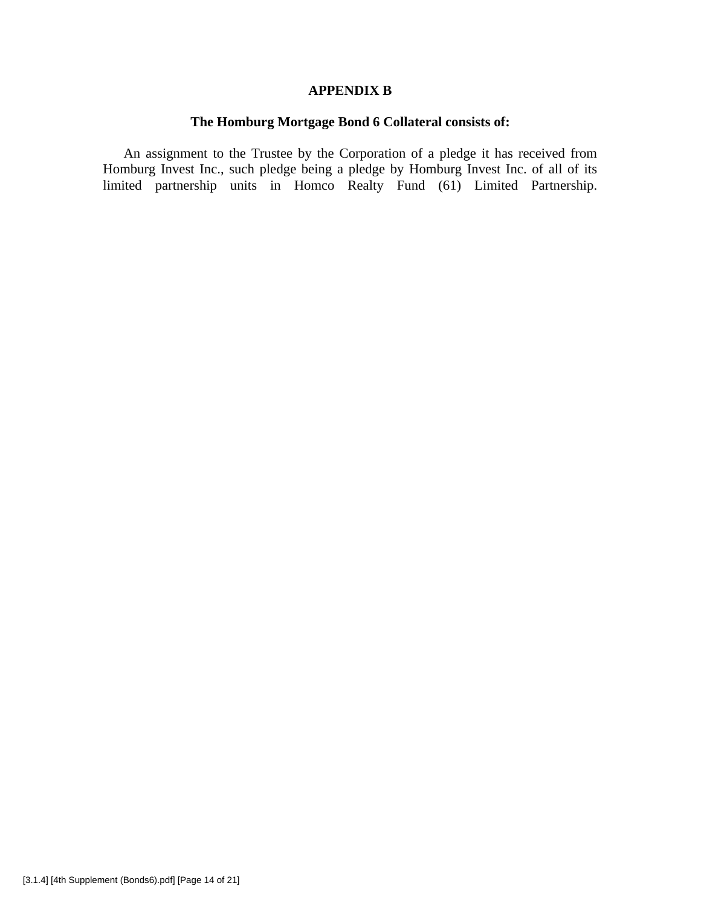### **APPENDIX B**

# **The Homburg Mortgage Bond 6 Collateral consists of:**

An assignment to the Trustee by the Corporation of a pledge it has received from Homburg Invest Inc., such pledge being a pledge by Homburg Invest Inc. of all of its limited partnership units in Homco Realty Fund (61) Limited Partnership.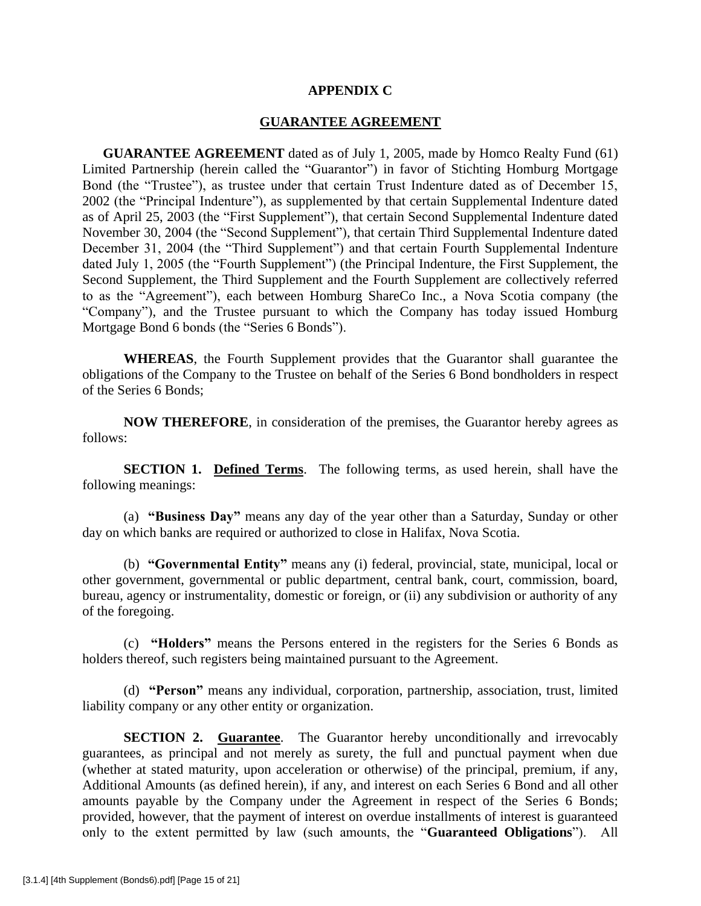### **APPENDIX C**

#### **GUARANTEE AGREEMENT**

**GUARANTEE AGREEMENT** dated as of July 1, 2005, made by Homco Realty Fund (61) Limited Partnership (herein called the "Guarantor") in favor of Stichting Homburg Mortgage Bond (the "Trustee"), as trustee under that certain Trust Indenture dated as of December 15, 2002 (the "Principal Indenture"), as supplemented by that certain Supplemental Indenture dated as of April 25, 2003 (the "First Supplement"), that certain Second Supplemental Indenture dated November 30, 2004 (the "Second Supplement"), that certain Third Supplemental Indenture dated December 31, 2004 (the "Third Supplement") and that certain Fourth Supplemental Indenture dated July 1, 2005 (the "Fourth Supplement") (the Principal Indenture, the First Supplement, the Second Supplement, the Third Supplement and the Fourth Supplement are collectively referred to as the "Agreement"), each between Homburg ShareCo Inc., a Nova Scotia company (the "Company"), and the Trustee pursuant to which the Company has today issued Homburg Mortgage Bond 6 bonds (the "Series 6 Bonds").

**WHEREAS**, the Fourth Supplement provides that the Guarantor shall guarantee the obligations of the Company to the Trustee on behalf of the Series 6 Bond bondholders in respect of the Series 6 Bonds;

**NOW THEREFORE**, in consideration of the premises, the Guarantor hereby agrees as follows:

**SECTION 1. Defined Terms**. The following terms, as used herein, shall have the following meanings:

(a) **"Business Day"** means any day of the year other than a Saturday, Sunday or other day on which banks are required or authorized to close in Halifax, Nova Scotia.

(b) **"Governmental Entity"** means any (i) federal, provincial, state, municipal, local or other government, governmental or public department, central bank, court, commission, board, bureau, agency or instrumentality, domestic or foreign, or (ii) any subdivision or authority of any of the foregoing.

(c) **"Holders"** means the Persons entered in the registers for the Series 6 Bonds as holders thereof, such registers being maintained pursuant to the Agreement.

(d) **"Person"** means any individual, corporation, partnership, association, trust, limited liability company or any other entity or organization.

**SECTION 2. Guarantee.** The Guarantor hereby unconditionally and irrevocably guarantees, as principal and not merely as surety, the full and punctual payment when due (whether at stated maturity, upon acceleration or otherwise) of the principal, premium, if any, Additional Amounts (as defined herein), if any, and interest on each Series 6 Bond and all other amounts payable by the Company under the Agreement in respect of the Series 6 Bonds; provided, however, that the payment of interest on overdue installments of interest is guaranteed only to the extent permitted by law (such amounts, the "**Guaranteed Obligations**"). All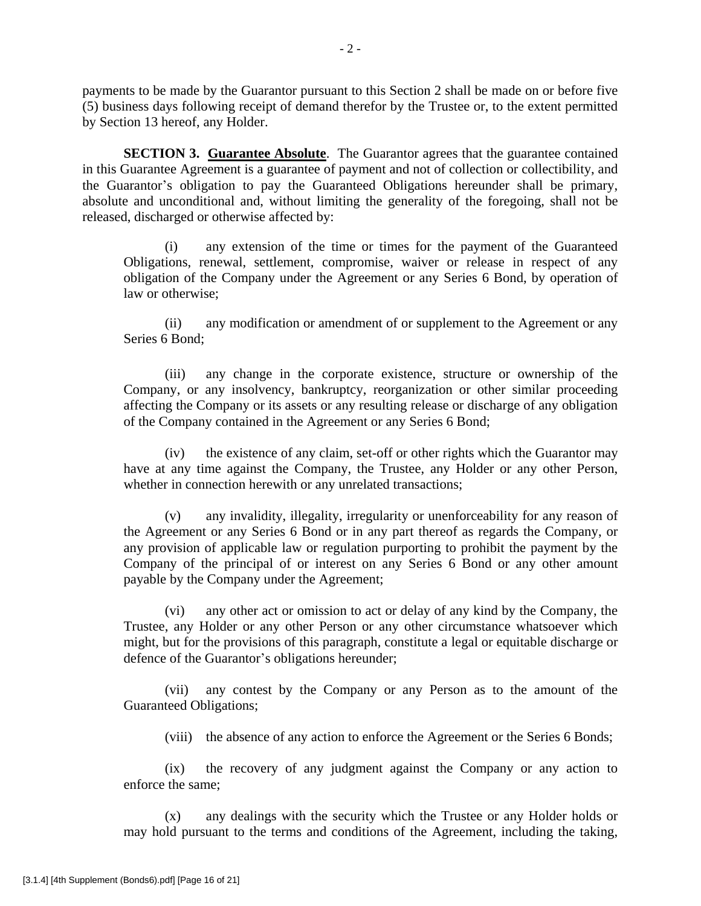payments to be made by the Guarantor pursuant to this Section 2 shall be made on or before five (5) business days following receipt of demand therefor by the Trustee or, to the extent permitted by Section 13 hereof, any Holder.

**SECTION 3. Guarantee Absolute**. The Guarantor agrees that the guarantee contained in this Guarantee Agreement is a guarantee of payment and not of collection or collectibility, and the Guarantor's obligation to pay the Guaranteed Obligations hereunder shall be primary, absolute and unconditional and, without limiting the generality of the foregoing, shall not be released, discharged or otherwise affected by:

(i) any extension of the time or times for the payment of the Guaranteed Obligations, renewal, settlement, compromise, waiver or release in respect of any obligation of the Company under the Agreement or any Series 6 Bond, by operation of law or otherwise;

(ii) any modification or amendment of or supplement to the Agreement or any Series 6 Bond;

(iii) any change in the corporate existence, structure or ownership of the Company, or any insolvency, bankruptcy, reorganization or other similar proceeding affecting the Company or its assets or any resulting release or discharge of any obligation of the Company contained in the Agreement or any Series 6 Bond;

(iv) the existence of any claim, set-off or other rights which the Guarantor may have at any time against the Company, the Trustee, any Holder or any other Person, whether in connection herewith or any unrelated transactions;

(v) any invalidity, illegality, irregularity or unenforceability for any reason of the Agreement or any Series 6 Bond or in any part thereof as regards the Company, or any provision of applicable law or regulation purporting to prohibit the payment by the Company of the principal of or interest on any Series 6 Bond or any other amount payable by the Company under the Agreement;

(vi) any other act or omission to act or delay of any kind by the Company, the Trustee, any Holder or any other Person or any other circumstance whatsoever which might, but for the provisions of this paragraph, constitute a legal or equitable discharge or defence of the Guarantor's obligations hereunder;

(vii) any contest by the Company or any Person as to the amount of the Guaranteed Obligations;

(viii) the absence of any action to enforce the Agreement or the Series 6 Bonds;

(ix) the recovery of any judgment against the Company or any action to enforce the same;

(x) any dealings with the security which the Trustee or any Holder holds or may hold pursuant to the terms and conditions of the Agreement, including the taking,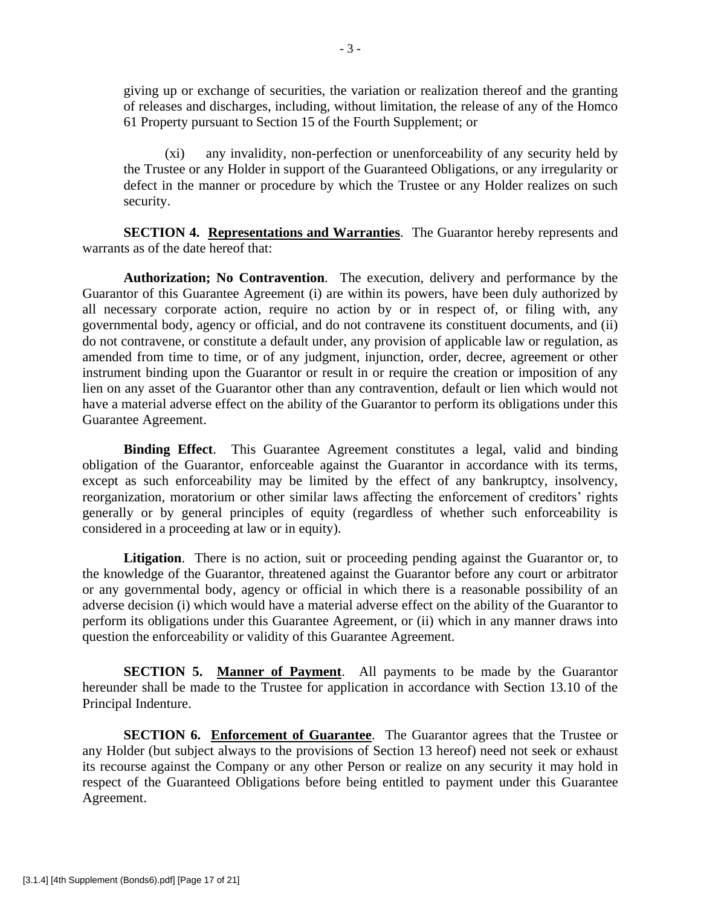giving up or exchange of securities, the variation or realization thereof and the granting of releases and discharges, including, without limitation, the release of any of the Homco 61 Property pursuant to Section 15 of the Fourth Supplement; or

(xi) any invalidity, non-perfection or unenforceability of any security held by the Trustee or any Holder in support of the Guaranteed Obligations, or any irregularity or defect in the manner or procedure by which the Trustee or any Holder realizes on such security.

**SECTION 4. Representations and Warranties**. The Guarantor hereby represents and warrants as of the date hereof that:

**Authorization; No Contravention**. The execution, delivery and performance by the Guarantor of this Guarantee Agreement (i) are within its powers, have been duly authorized by all necessary corporate action, require no action by or in respect of, or filing with, any governmental body, agency or official, and do not contravene its constituent documents, and (ii) do not contravene, or constitute a default under, any provision of applicable law or regulation, as amended from time to time, or of any judgment, injunction, order, decree, agreement or other instrument binding upon the Guarantor or result in or require the creation or imposition of any lien on any asset of the Guarantor other than any contravention, default or lien which would not have a material adverse effect on the ability of the Guarantor to perform its obligations under this Guarantee Agreement.

**Binding Effect**. This Guarantee Agreement constitutes a legal, valid and binding obligation of the Guarantor, enforceable against the Guarantor in accordance with its terms, except as such enforceability may be limited by the effect of any bankruptcy, insolvency, reorganization, moratorium or other similar laws affecting the enforcement of creditors' rights generally or by general principles of equity (regardless of whether such enforceability is considered in a proceeding at law or in equity).

Litigation. There is no action, suit or proceeding pending against the Guarantor or, to the knowledge of the Guarantor, threatened against the Guarantor before any court or arbitrator or any governmental body, agency or official in which there is a reasonable possibility of an adverse decision (i) which would have a material adverse effect on the ability of the Guarantor to perform its obligations under this Guarantee Agreement, or (ii) which in any manner draws into question the enforceability or validity of this Guarantee Agreement.

**SECTION 5. Manner of Payment**. All payments to be made by the Guarantor hereunder shall be made to the Trustee for application in accordance with Section 13.10 of the Principal Indenture.

**SECTION 6. Enforcement of Guarantee**. The Guarantor agrees that the Trustee or any Holder (but subject always to the provisions of Section 13 hereof) need not seek or exhaust its recourse against the Company or any other Person or realize on any security it may hold in respect of the Guaranteed Obligations before being entitled to payment under this Guarantee Agreement.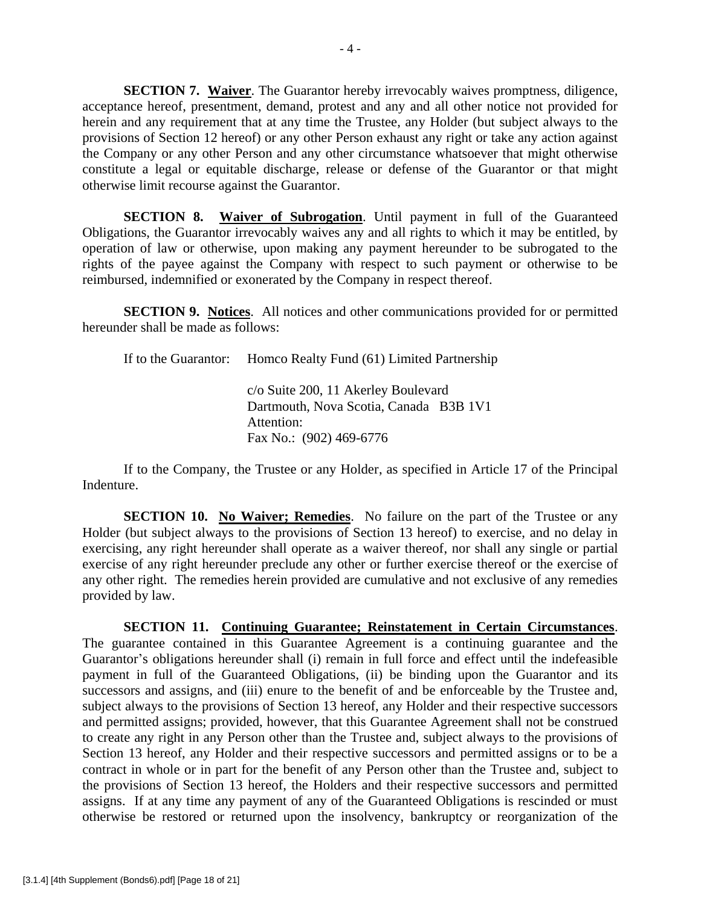**SECTION 7. Waiver**. The Guarantor hereby irrevocably waives promptness, diligence, acceptance hereof, presentment, demand, protest and any and all other notice not provided for herein and any requirement that at any time the Trustee, any Holder (but subject always to the provisions of Section 12 hereof) or any other Person exhaust any right or take any action against the Company or any other Person and any other circumstance whatsoever that might otherwise constitute a legal or equitable discharge, release or defense of the Guarantor or that might otherwise limit recourse against the Guarantor.

**SECTION 8. Waiver of Subrogation.** Until payment in full of the Guaranteed Obligations, the Guarantor irrevocably waives any and all rights to which it may be entitled, by operation of law or otherwise, upon making any payment hereunder to be subrogated to the rights of the payee against the Company with respect to such payment or otherwise to be reimbursed, indemnified or exonerated by the Company in respect thereof.

**SECTION 9. Notices**. All notices and other communications provided for or permitted hereunder shall be made as follows:

If to the Guarantor: Homco Realty Fund (61) Limited Partnership

c/o Suite 200, 11 Akerley Boulevard Dartmouth, Nova Scotia, Canada B3B 1V1 Attention: Fax No.: (902) 469-6776

If to the Company, the Trustee or any Holder, as specified in Article 17 of the Principal Indenture.

**SECTION 10.** No Waiver; Remedies. No failure on the part of the Trustee or any Holder (but subject always to the provisions of Section 13 hereof) to exercise, and no delay in exercising, any right hereunder shall operate as a waiver thereof, nor shall any single or partial exercise of any right hereunder preclude any other or further exercise thereof or the exercise of any other right. The remedies herein provided are cumulative and not exclusive of any remedies provided by law.

**SECTION 11. Continuing Guarantee; Reinstatement in Certain Circumstances**. The guarantee contained in this Guarantee Agreement is a continuing guarantee and the Guarantor's obligations hereunder shall (i) remain in full force and effect until the indefeasible payment in full of the Guaranteed Obligations, (ii) be binding upon the Guarantor and its successors and assigns, and (iii) enure to the benefit of and be enforceable by the Trustee and, subject always to the provisions of Section 13 hereof, any Holder and their respective successors and permitted assigns; provided, however, that this Guarantee Agreement shall not be construed to create any right in any Person other than the Trustee and, subject always to the provisions of Section 13 hereof, any Holder and their respective successors and permitted assigns or to be a contract in whole or in part for the benefit of any Person other than the Trustee and, subject to the provisions of Section 13 hereof, the Holders and their respective successors and permitted assigns. If at any time any payment of any of the Guaranteed Obligations is rescinded or must otherwise be restored or returned upon the insolvency, bankruptcy or reorganization of the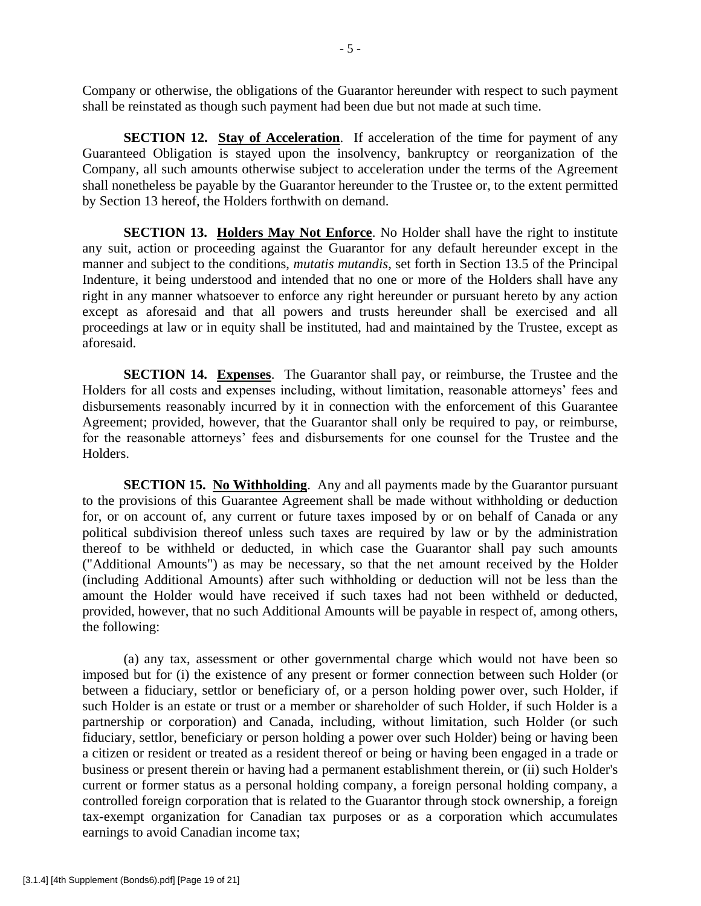Company or otherwise, the obligations of the Guarantor hereunder with respect to such payment shall be reinstated as though such payment had been due but not made at such time.

**SECTION 12. Stay of Acceleration.** If acceleration of the time for payment of any Guaranteed Obligation is stayed upon the insolvency, bankruptcy or reorganization of the Company, all such amounts otherwise subject to acceleration under the terms of the Agreement shall nonetheless be payable by the Guarantor hereunder to the Trustee or, to the extent permitted by Section 13 hereof, the Holders forthwith on demand.

**SECTION 13. Holders May Not Enforce.** No Holder shall have the right to institute any suit, action or proceeding against the Guarantor for any default hereunder except in the manner and subject to the conditions, *mutatis mutandis*, set forth in Section 13.5 of the Principal Indenture, it being understood and intended that no one or more of the Holders shall have any right in any manner whatsoever to enforce any right hereunder or pursuant hereto by any action except as aforesaid and that all powers and trusts hereunder shall be exercised and all proceedings at law or in equity shall be instituted, had and maintained by the Trustee, except as aforesaid.

**SECTION 14. Expenses**. The Guarantor shall pay, or reimburse, the Trustee and the Holders for all costs and expenses including, without limitation, reasonable attorneys' fees and disbursements reasonably incurred by it in connection with the enforcement of this Guarantee Agreement; provided, however, that the Guarantor shall only be required to pay, or reimburse, for the reasonable attorneys' fees and disbursements for one counsel for the Trustee and the Holders.

**SECTION 15. No Withholding.** Any and all payments made by the Guarantor pursuant to the provisions of this Guarantee Agreement shall be made without withholding or deduction for, or on account of, any current or future taxes imposed by or on behalf of Canada or any political subdivision thereof unless such taxes are required by law or by the administration thereof to be withheld or deducted, in which case the Guarantor shall pay such amounts ("Additional Amounts") as may be necessary, so that the net amount received by the Holder (including Additional Amounts) after such withholding or deduction will not be less than the amount the Holder would have received if such taxes had not been withheld or deducted, provided, however, that no such Additional Amounts will be payable in respect of, among others, the following:

(a) any tax, assessment or other governmental charge which would not have been so imposed but for (i) the existence of any present or former connection between such Holder (or between a fiduciary, settlor or beneficiary of, or a person holding power over, such Holder, if such Holder is an estate or trust or a member or shareholder of such Holder, if such Holder is a partnership or corporation) and Canada, including, without limitation, such Holder (or such fiduciary, settlor, beneficiary or person holding a power over such Holder) being or having been a citizen or resident or treated as a resident thereof or being or having been engaged in a trade or business or present therein or having had a permanent establishment therein, or (ii) such Holder's current or former status as a personal holding company, a foreign personal holding company, a controlled foreign corporation that is related to the Guarantor through stock ownership, a foreign tax-exempt organization for Canadian tax purposes or as a corporation which accumulates earnings to avoid Canadian income tax;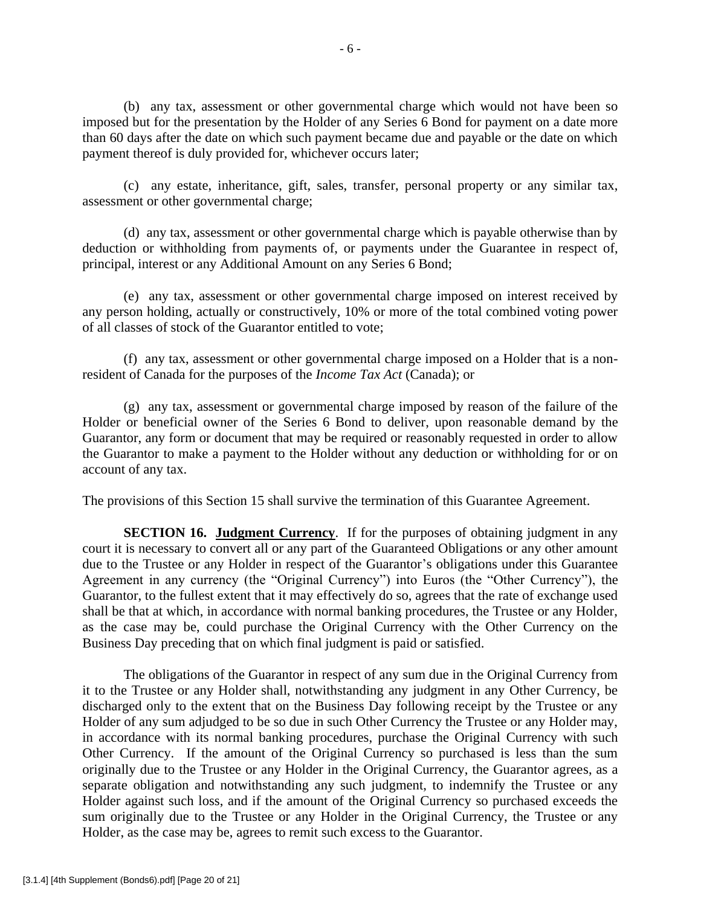(b) any tax, assessment or other governmental charge which would not have been so imposed but for the presentation by the Holder of any Series 6 Bond for payment on a date more than 60 days after the date on which such payment became due and payable or the date on which payment thereof is duly provided for, whichever occurs later;

(c) any estate, inheritance, gift, sales, transfer, personal property or any similar tax, assessment or other governmental charge;

(d) any tax, assessment or other governmental charge which is payable otherwise than by deduction or withholding from payments of, or payments under the Guarantee in respect of, principal, interest or any Additional Amount on any Series 6 Bond;

(e) any tax, assessment or other governmental charge imposed on interest received by any person holding, actually or constructively, 10% or more of the total combined voting power of all classes of stock of the Guarantor entitled to vote;

(f) any tax, assessment or other governmental charge imposed on a Holder that is a nonresident of Canada for the purposes of the *Income Tax Act* (Canada); or

(g) any tax, assessment or governmental charge imposed by reason of the failure of the Holder or beneficial owner of the Series 6 Bond to deliver, upon reasonable demand by the Guarantor, any form or document that may be required or reasonably requested in order to allow the Guarantor to make a payment to the Holder without any deduction or withholding for or on account of any tax.

The provisions of this Section 15 shall survive the termination of this Guarantee Agreement.

**SECTION 16. Judgment Currency.** If for the purposes of obtaining judgment in any court it is necessary to convert all or any part of the Guaranteed Obligations or any other amount due to the Trustee or any Holder in respect of the Guarantor's obligations under this Guarantee Agreement in any currency (the "Original Currency") into Euros (the "Other Currency"), the Guarantor, to the fullest extent that it may effectively do so, agrees that the rate of exchange used shall be that at which, in accordance with normal banking procedures, the Trustee or any Holder, as the case may be, could purchase the Original Currency with the Other Currency on the Business Day preceding that on which final judgment is paid or satisfied.

The obligations of the Guarantor in respect of any sum due in the Original Currency from it to the Trustee or any Holder shall, notwithstanding any judgment in any Other Currency, be discharged only to the extent that on the Business Day following receipt by the Trustee or any Holder of any sum adjudged to be so due in such Other Currency the Trustee or any Holder may, in accordance with its normal banking procedures, purchase the Original Currency with such Other Currency. If the amount of the Original Currency so purchased is less than the sum originally due to the Trustee or any Holder in the Original Currency, the Guarantor agrees, as a separate obligation and notwithstanding any such judgment, to indemnify the Trustee or any Holder against such loss, and if the amount of the Original Currency so purchased exceeds the sum originally due to the Trustee or any Holder in the Original Currency, the Trustee or any Holder, as the case may be, agrees to remit such excess to the Guarantor.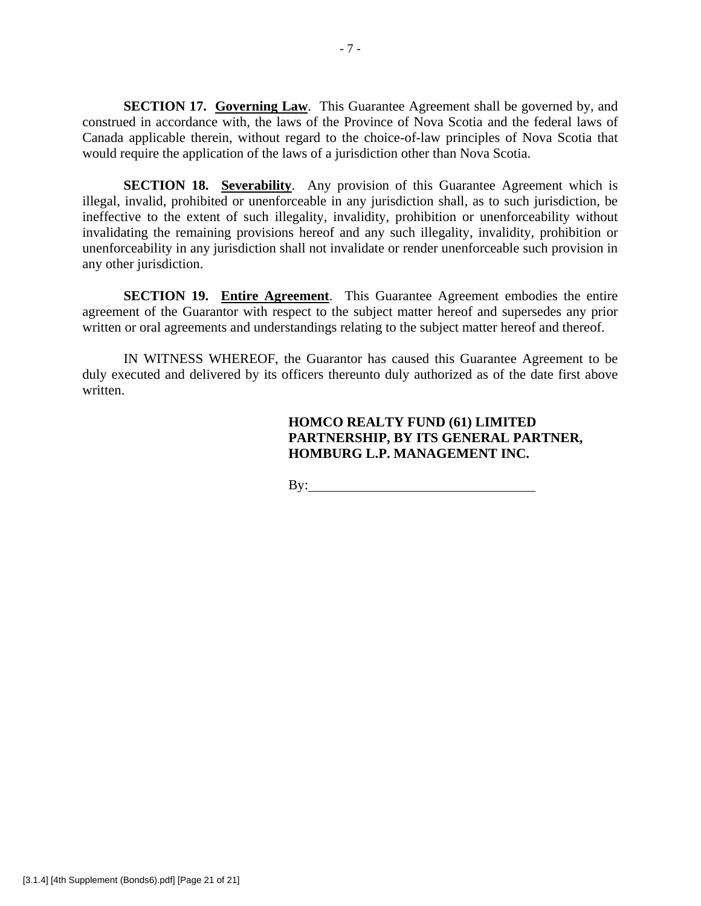**SECTION 17. Governing Law.** This Guarantee Agreement shall be governed by, and construed in accordance with, the laws of the Province of Nova Scotia and the federal laws of Canada applicable therein, without regard to the choice-of-law principles of Nova Scotia that would require the application of the laws of a jurisdiction other than Nova Scotia.

**SECTION 18. Severability.** Any provision of this Guarantee Agreement which is illegal, invalid, prohibited or unenforceable in any jurisdiction shall, as to such jurisdiction, be ineffective to the extent of such illegality, invalidity, prohibition or unenforceability without invalidating the remaining provisions hereof and any such illegality, invalidity, prohibition or unenforceability in any jurisdiction shall not invalidate or render unenforceable such provision in any other jurisdiction.

**SECTION 19. Entire Agreement**. This Guarantee Agreement embodies the entire agreement of the Guarantor with respect to the subject matter hereof and supersedes any prior written or oral agreements and understandings relating to the subject matter hereof and thereof.

IN WITNESS WHEREOF, the Guarantor has caused this Guarantee Agreement to be duly executed and delivered by its officers thereunto duly authorized as of the date first above written.

# **HOMCO REALTY FUND (61) LIMITED PARTNERSHIP, BY ITS GENERAL PARTNER, HOMBURG L.P. MANAGEMENT INC.**

By: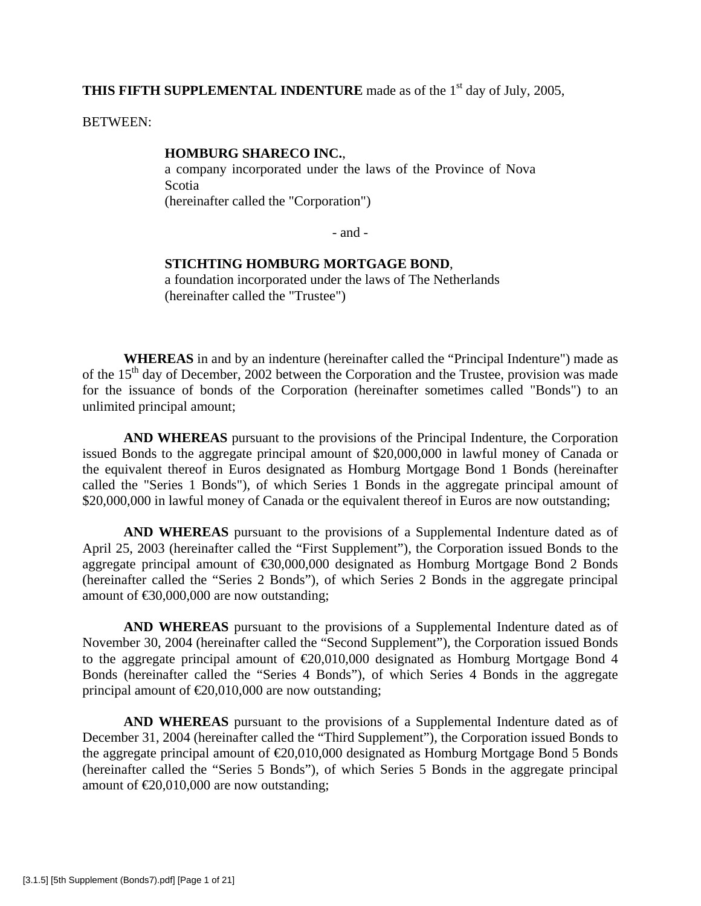**THIS FIFTH SUPPLEMENTAL INDENTURE** made as of the 1<sup>st</sup> day of July, 2005,

BETWEEN:

#### **HOMBURG SHARECO INC.**,

a company incorporated under the laws of the Province of Nova Scotia (hereinafter called the "Corporation")

- and -

## **STICHTING HOMBURG MORTGAGE BOND**,

a foundation incorporated under the laws of The Netherlands (hereinafter called the "Trustee")

**WHEREAS** in and by an indenture (hereinafter called the "Principal Indenture") made as of the  $15<sup>th</sup>$  day of December, 2002 between the Corporation and the Trustee, provision was made for the issuance of bonds of the Corporation (hereinafter sometimes called "Bonds") to an unlimited principal amount;

**AND WHEREAS** pursuant to the provisions of the Principal Indenture, the Corporation issued Bonds to the aggregate principal amount of \$20,000,000 in lawful money of Canada or the equivalent thereof in Euros designated as Homburg Mortgage Bond 1 Bonds (hereinafter called the "Series 1 Bonds"), of which Series 1 Bonds in the aggregate principal amount of \$20,000,000 in lawful money of Canada or the equivalent thereof in Euros are now outstanding;

**AND WHEREAS** pursuant to the provisions of a Supplemental Indenture dated as of April 25, 2003 (hereinafter called the "First Supplement"), the Corporation issued Bonds to the aggregate principal amount of €30,000,000 designated as Homburg Mortgage Bond 2 Bonds (hereinafter called the "Series 2 Bonds"), of which Series 2 Bonds in the aggregate principal amount of  $\text{\textsterling}0,000,000$  are now outstanding;

**AND WHEREAS** pursuant to the provisions of a Supplemental Indenture dated as of November 30, 2004 (hereinafter called the "Second Supplement"), the Corporation issued Bonds to the aggregate principal amount of  $\epsilon 20,010,000$  designated as Homburg Mortgage Bond 4 Bonds (hereinafter called the "Series 4 Bonds"), of which Series 4 Bonds in the aggregate principal amount of  $\epsilon 20,010,000$  are now outstanding;

**AND WHEREAS** pursuant to the provisions of a Supplemental Indenture dated as of December 31, 2004 (hereinafter called the "Third Supplement"), the Corporation issued Bonds to the aggregate principal amount of  $\epsilon$ 20,010,000 designated as Homburg Mortgage Bond 5 Bonds (hereinafter called the "Series 5 Bonds"), of which Series 5 Bonds in the aggregate principal amount of  $\epsilon 20,010,000$  are now outstanding;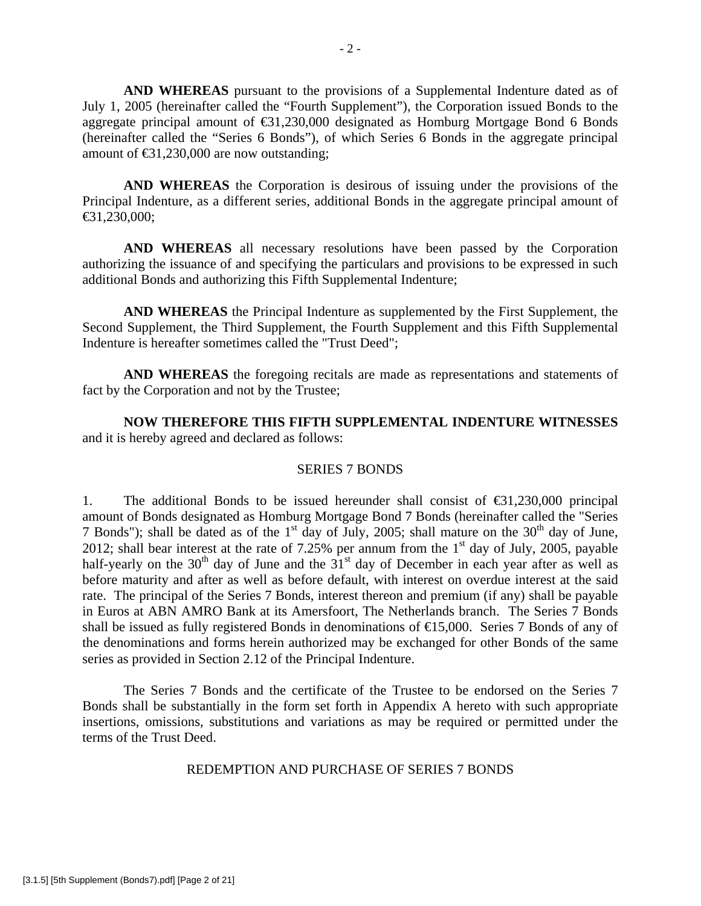**AND WHEREAS** pursuant to the provisions of a Supplemental Indenture dated as of July 1, 2005 (hereinafter called the "Fourth Supplement"), the Corporation issued Bonds to the aggregate principal amount of  $\bigoplus$ 1,230,000 designated as Homburg Mortgage Bond 6 Bonds (hereinafter called the "Series 6 Bonds"), of which Series 6 Bonds in the aggregate principal amount of  $\text{ } \infty 1,230,000$  are now outstanding;

**AND WHEREAS** the Corporation is desirous of issuing under the provisions of the Principal Indenture, as a different series, additional Bonds in the aggregate principal amount of  $€31,230,000;$ 

**AND WHEREAS** all necessary resolutions have been passed by the Corporation authorizing the issuance of and specifying the particulars and provisions to be expressed in such additional Bonds and authorizing this Fifth Supplemental Indenture;

**AND WHEREAS** the Principal Indenture as supplemented by the First Supplement, the Second Supplement, the Third Supplement, the Fourth Supplement and this Fifth Supplemental Indenture is hereafter sometimes called the "Trust Deed";

**AND WHEREAS** the foregoing recitals are made as representations and statements of fact by the Corporation and not by the Trustee;

**NOW THEREFORE THIS FIFTH SUPPLEMENTAL INDENTURE WITNESSES** and it is hereby agreed and declared as follows:

### SERIES 7 BONDS

1. The additional Bonds to be issued hereunder shall consist of  $\epsilon$ 31,230,000 principal amount of Bonds designated as Homburg Mortgage Bond 7 Bonds (hereinafter called the "Series 7 Bonds"); shall be dated as of the  $1<sup>st</sup>$  day of July, 2005; shall mature on the  $30<sup>th</sup>$  day of June, 2012; shall bear interest at the rate of 7.25% per annum from the  $1<sup>st</sup>$  day of July, 2005, payable half-yearly on the  $30<sup>th</sup>$  day of June and the  $31<sup>st</sup>$  day of December in each year after as well as before maturity and after as well as before default, with interest on overdue interest at the said rate. The principal of the Series 7 Bonds, interest thereon and premium (if any) shall be payable in Euros at ABN AMRO Bank at its Amersfoort, The Netherlands branch. The Series 7 Bonds shall be issued as fully registered Bonds in denominations of  $\epsilon$  5,000. Series 7 Bonds of any of the denominations and forms herein authorized may be exchanged for other Bonds of the same series as provided in Section 2.12 of the Principal Indenture.

 The Series 7 Bonds and the certificate of the Trustee to be endorsed on the Series 7 Bonds shall be substantially in the form set forth in Appendix A hereto with such appropriate insertions, omissions, substitutions and variations as may be required or permitted under the terms of the Trust Deed.

REDEMPTION AND PURCHASE OF SERIES 7 BONDS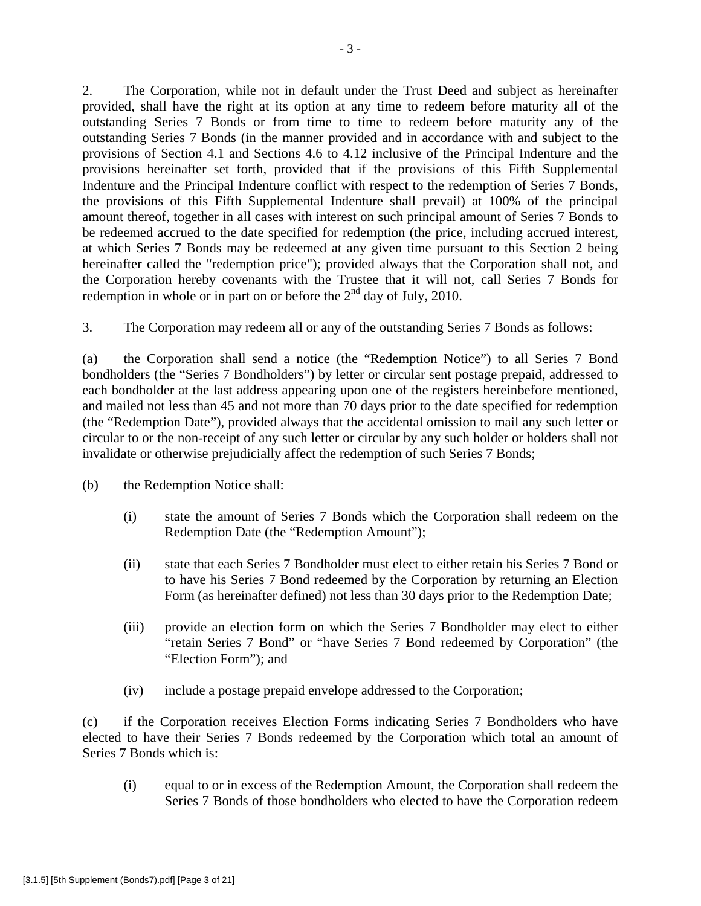2. The Corporation, while not in default under the Trust Deed and subject as hereinafter provided, shall have the right at its option at any time to redeem before maturity all of the outstanding Series 7 Bonds or from time to time to redeem before maturity any of the outstanding Series 7 Bonds (in the manner provided and in accordance with and subject to the provisions of Section 4.1 and Sections 4.6 to 4.12 inclusive of the Principal Indenture and the provisions hereinafter set forth, provided that if the provisions of this Fifth Supplemental Indenture and the Principal Indenture conflict with respect to the redemption of Series 7 Bonds, the provisions of this Fifth Supplemental Indenture shall prevail) at 100% of the principal amount thereof, together in all cases with interest on such principal amount of Series 7 Bonds to be redeemed accrued to the date specified for redemption (the price, including accrued interest, at which Series 7 Bonds may be redeemed at any given time pursuant to this Section 2 being hereinafter called the "redemption price"); provided always that the Corporation shall not, and the Corporation hereby covenants with the Trustee that it will not, call Series 7 Bonds for redemption in whole or in part on or before the  $2<sup>nd</sup>$  day of July, 2010.

3. The Corporation may redeem all or any of the outstanding Series 7 Bonds as follows:

(a) the Corporation shall send a notice (the "Redemption Notice") to all Series 7 Bond bondholders (the "Series 7 Bondholders") by letter or circular sent postage prepaid, addressed to each bondholder at the last address appearing upon one of the registers hereinbefore mentioned, and mailed not less than 45 and not more than 70 days prior to the date specified for redemption (the "Redemption Date"), provided always that the accidental omission to mail any such letter or circular to or the non-receipt of any such letter or circular by any such holder or holders shall not invalidate or otherwise prejudicially affect the redemption of such Series 7 Bonds;

(b) the Redemption Notice shall:

- (i) state the amount of Series 7 Bonds which the Corporation shall redeem on the Redemption Date (the "Redemption Amount");
- (ii) state that each Series 7 Bondholder must elect to either retain his Series 7 Bond or to have his Series 7 Bond redeemed by the Corporation by returning an Election Form (as hereinafter defined) not less than 30 days prior to the Redemption Date;
- (iii) provide an election form on which the Series 7 Bondholder may elect to either "retain Series 7 Bond" or "have Series 7 Bond redeemed by Corporation" (the "Election Form"); and
- (iv) include a postage prepaid envelope addressed to the Corporation;

(c) if the Corporation receives Election Forms indicating Series 7 Bondholders who have elected to have their Series 7 Bonds redeemed by the Corporation which total an amount of Series 7 Bonds which is:

(i) equal to or in excess of the Redemption Amount, the Corporation shall redeem the Series 7 Bonds of those bondholders who elected to have the Corporation redeem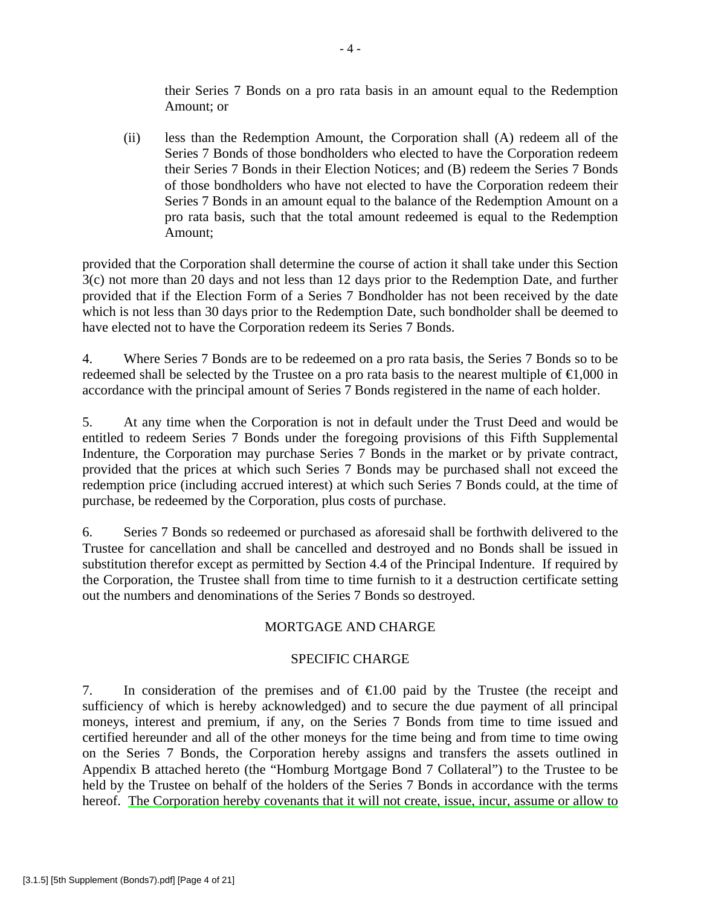their Series 7 Bonds on a pro rata basis in an amount equal to the Redemption Amount; or

(ii) less than the Redemption Amount, the Corporation shall (A) redeem all of the Series 7 Bonds of those bondholders who elected to have the Corporation redeem their Series 7 Bonds in their Election Notices; and (B) redeem the Series 7 Bonds of those bondholders who have not elected to have the Corporation redeem their Series 7 Bonds in an amount equal to the balance of the Redemption Amount on a pro rata basis, such that the total amount redeemed is equal to the Redemption Amount;

provided that the Corporation shall determine the course of action it shall take under this Section 3(c) not more than 20 days and not less than 12 days prior to the Redemption Date, and further provided that if the Election Form of a Series 7 Bondholder has not been received by the date which is not less than 30 days prior to the Redemption Date, such bondholder shall be deemed to have elected not to have the Corporation redeem its Series 7 Bonds.

4. Where Series 7 Bonds are to be redeemed on a pro rata basis, the Series 7 Bonds so to be redeemed shall be selected by the Trustee on a pro rata basis to the nearest multiple of  $\epsilon 1,000$  in accordance with the principal amount of Series 7 Bonds registered in the name of each holder.

5. At any time when the Corporation is not in default under the Trust Deed and would be entitled to redeem Series 7 Bonds under the foregoing provisions of this Fifth Supplemental Indenture, the Corporation may purchase Series 7 Bonds in the market or by private contract, provided that the prices at which such Series 7 Bonds may be purchased shall not exceed the redemption price (including accrued interest) at which such Series 7 Bonds could, at the time of purchase, be redeemed by the Corporation, plus costs of purchase.

6. Series 7 Bonds so redeemed or purchased as aforesaid shall be forthwith delivered to the Trustee for cancellation and shall be cancelled and destroyed and no Bonds shall be issued in substitution therefor except as permitted by Section 4.4 of the Principal Indenture. If required by the Corporation, the Trustee shall from time to time furnish to it a destruction certificate setting out the numbers and denominations of the Series 7 Bonds so destroyed.

# MORTGAGE AND CHARGE

# SPECIFIC CHARGE

7. In consideration of the premises and of  $\epsilon 1.00$  paid by the Trustee (the receipt and sufficiency of which is hereby acknowledged) and to secure the due payment of all principal moneys, interest and premium, if any, on the Series 7 Bonds from time to time issued and certified hereunder and all of the other moneys for the time being and from time to time owing on the Series 7 Bonds, the Corporation hereby assigns and transfers the assets outlined in Appendix B attached hereto (the "Homburg Mortgage Bond 7 Collateral") to the Trustee to be held by the Trustee on behalf of the holders of the Series 7 Bonds in accordance with the terms hereof. The Corporation hereby covenants that it will not create, issue, incur, assume or allow to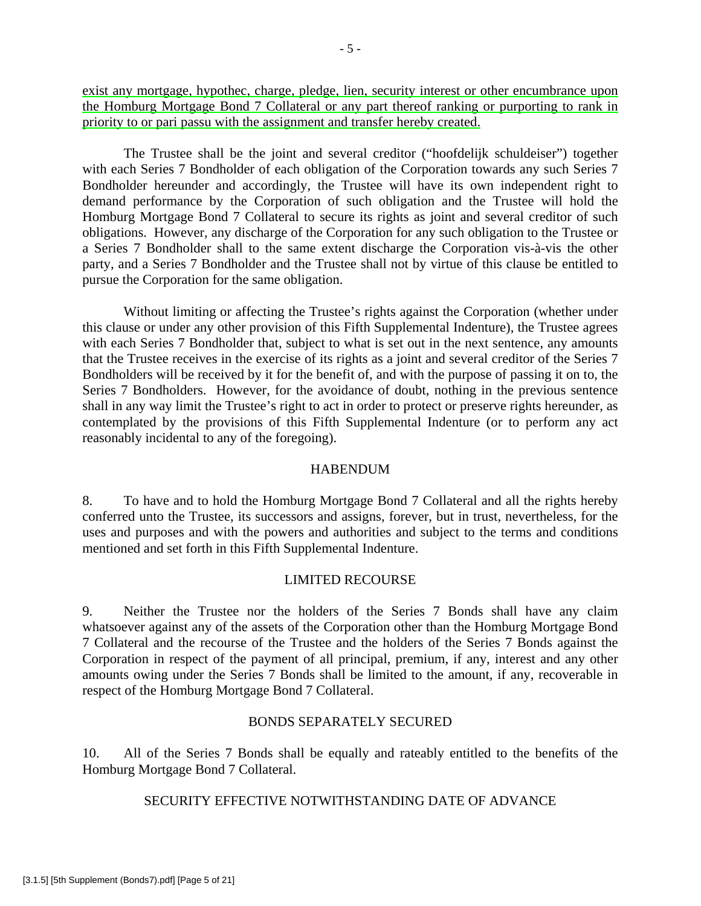exist any mortgage, hypothec, charge, pledge, lien, security interest or other encumbrance upon the Homburg Mortgage Bond 7 Collateral or any part thereof ranking or purporting to rank in priority to or pari passu with the assignment and transfer hereby created.

The Trustee shall be the joint and several creditor ("hoofdelijk schuldeiser") together with each Series 7 Bondholder of each obligation of the Corporation towards any such Series 7 Bondholder hereunder and accordingly, the Trustee will have its own independent right to demand performance by the Corporation of such obligation and the Trustee will hold the Homburg Mortgage Bond 7 Collateral to secure its rights as joint and several creditor of such obligations. However, any discharge of the Corporation for any such obligation to the Trustee or a Series 7 Bondholder shall to the same extent discharge the Corporation vis-à-vis the other party, and a Series 7 Bondholder and the Trustee shall not by virtue of this clause be entitled to pursue the Corporation for the same obligation.

Without limiting or affecting the Trustee's rights against the Corporation (whether under this clause or under any other provision of this Fifth Supplemental Indenture), the Trustee agrees with each Series 7 Bondholder that, subject to what is set out in the next sentence, any amounts that the Trustee receives in the exercise of its rights as a joint and several creditor of the Series 7 Bondholders will be received by it for the benefit of, and with the purpose of passing it on to, the Series 7 Bondholders. However, for the avoidance of doubt, nothing in the previous sentence shall in any way limit the Trustee's right to act in order to protect or preserve rights hereunder, as contemplated by the provisions of this Fifth Supplemental Indenture (or to perform any act reasonably incidental to any of the foregoing).

### HABENDUM

8. To have and to hold the Homburg Mortgage Bond 7 Collateral and all the rights hereby conferred unto the Trustee, its successors and assigns, forever, but in trust, nevertheless, for the uses and purposes and with the powers and authorities and subject to the terms and conditions mentioned and set forth in this Fifth Supplemental Indenture.

### LIMITED RECOURSE

9. Neither the Trustee nor the holders of the Series 7 Bonds shall have any claim whatsoever against any of the assets of the Corporation other than the Homburg Mortgage Bond 7 Collateral and the recourse of the Trustee and the holders of the Series 7 Bonds against the Corporation in respect of the payment of all principal, premium, if any, interest and any other amounts owing under the Series 7 Bonds shall be limited to the amount, if any, recoverable in respect of the Homburg Mortgage Bond 7 Collateral.

### BONDS SEPARATELY SECURED

10. All of the Series 7 Bonds shall be equally and rateably entitled to the benefits of the Homburg Mortgage Bond 7 Collateral.

SECURITY EFFECTIVE NOTWITHSTANDING DATE OF ADVANCE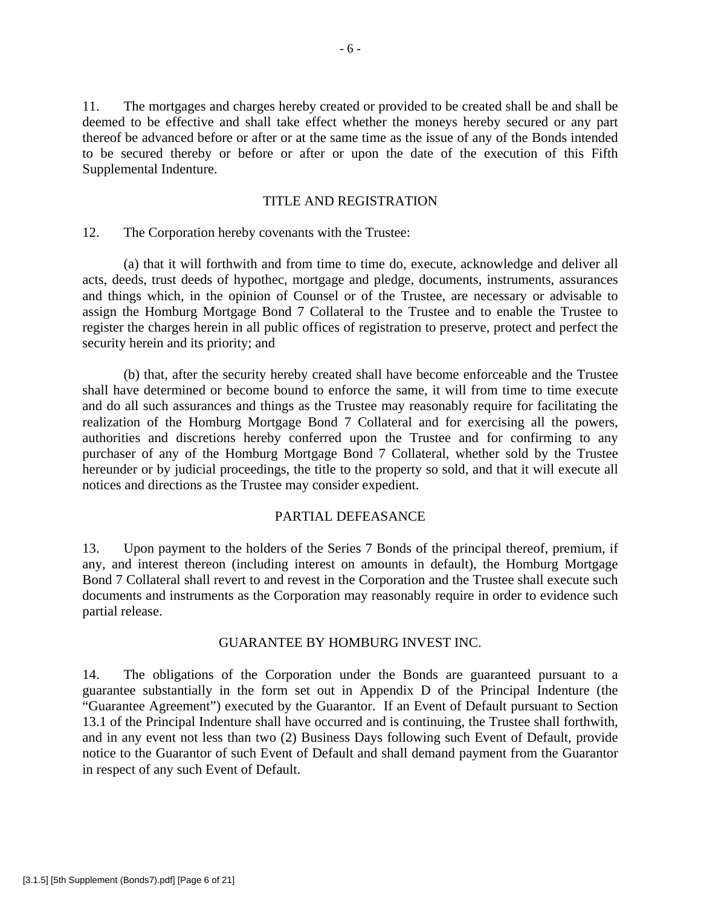11. The mortgages and charges hereby created or provided to be created shall be and shall be deemed to be effective and shall take effect whether the moneys hereby secured or any part thereof be advanced before or after or at the same time as the issue of any of the Bonds intended to be secured thereby or before or after or upon the date of the execution of this Fifth Supplemental Indenture.

### TITLE AND REGISTRATION

### 12. The Corporation hereby covenants with the Trustee:

 (a) that it will forthwith and from time to time do, execute, acknowledge and deliver all acts, deeds, trust deeds of hypothec, mortgage and pledge, documents, instruments, assurances and things which, in the opinion of Counsel or of the Trustee, are necessary or advisable to assign the Homburg Mortgage Bond 7 Collateral to the Trustee and to enable the Trustee to register the charges herein in all public offices of registration to preserve, protect and perfect the security herein and its priority; and

 (b) that, after the security hereby created shall have become enforceable and the Trustee shall have determined or become bound to enforce the same, it will from time to time execute and do all such assurances and things as the Trustee may reasonably require for facilitating the realization of the Homburg Mortgage Bond 7 Collateral and for exercising all the powers, authorities and discretions hereby conferred upon the Trustee and for confirming to any purchaser of any of the Homburg Mortgage Bond 7 Collateral, whether sold by the Trustee hereunder or by judicial proceedings, the title to the property so sold, and that it will execute all notices and directions as the Trustee may consider expedient.

### PARTIAL DEFEASANCE

13. Upon payment to the holders of the Series 7 Bonds of the principal thereof, premium, if any, and interest thereon (including interest on amounts in default), the Homburg Mortgage Bond 7 Collateral shall revert to and revest in the Corporation and the Trustee shall execute such documents and instruments as the Corporation may reasonably require in order to evidence such partial release.

#### GUARANTEE BY HOMBURG INVEST INC.

14. The obligations of the Corporation under the Bonds are guaranteed pursuant to a guarantee substantially in the form set out in Appendix D of the Principal Indenture (the "Guarantee Agreement") executed by the Guarantor. If an Event of Default pursuant to Section 13.1 of the Principal Indenture shall have occurred and is continuing, the Trustee shall forthwith, and in any event not less than two (2) Business Days following such Event of Default, provide notice to the Guarantor of such Event of Default and shall demand payment from the Guarantor in respect of any such Event of Default.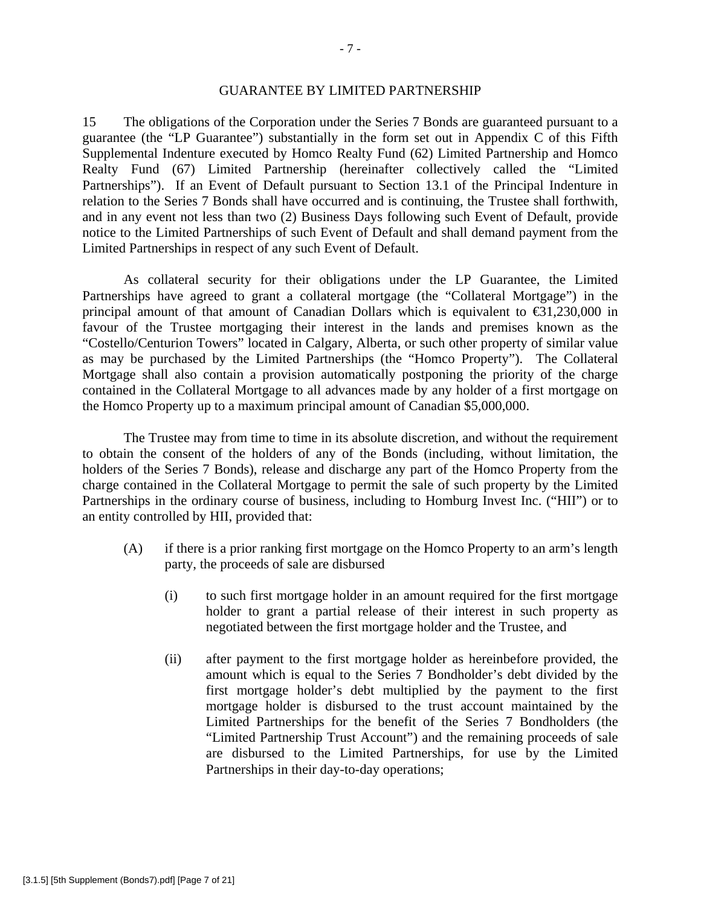#### GUARANTEE BY LIMITED PARTNERSHIP

15 The obligations of the Corporation under the Series 7 Bonds are guaranteed pursuant to a guarantee (the "LP Guarantee") substantially in the form set out in Appendix C of this Fifth Supplemental Indenture executed by Homco Realty Fund (62) Limited Partnership and Homco Realty Fund (67) Limited Partnership (hereinafter collectively called the "Limited Partnerships"). If an Event of Default pursuant to Section 13.1 of the Principal Indenture in relation to the Series 7 Bonds shall have occurred and is continuing, the Trustee shall forthwith, and in any event not less than two (2) Business Days following such Event of Default, provide notice to the Limited Partnerships of such Event of Default and shall demand payment from the Limited Partnerships in respect of any such Event of Default.

As collateral security for their obligations under the LP Guarantee, the Limited Partnerships have agreed to grant a collateral mortgage (the "Collateral Mortgage") in the principal amount of that amount of Canadian Dollars which is equivalent to  $\epsilon$ 31,230,000 in favour of the Trustee mortgaging their interest in the lands and premises known as the "Costello/Centurion Towers" located in Calgary, Alberta, or such other property of similar value as may be purchased by the Limited Partnerships (the "Homco Property"). The Collateral Mortgage shall also contain a provision automatically postponing the priority of the charge contained in the Collateral Mortgage to all advances made by any holder of a first mortgage on the Homco Property up to a maximum principal amount of Canadian \$5,000,000.

The Trustee may from time to time in its absolute discretion, and without the requirement to obtain the consent of the holders of any of the Bonds (including, without limitation, the holders of the Series 7 Bonds), release and discharge any part of the Homco Property from the charge contained in the Collateral Mortgage to permit the sale of such property by the Limited Partnerships in the ordinary course of business, including to Homburg Invest Inc. ("HII") or to an entity controlled by HII, provided that:

- (A) if there is a prior ranking first mortgage on the Homco Property to an arm's length party, the proceeds of sale are disbursed
	- (i) to such first mortgage holder in an amount required for the first mortgage holder to grant a partial release of their interest in such property as negotiated between the first mortgage holder and the Trustee, and
	- (ii) after payment to the first mortgage holder as hereinbefore provided, the amount which is equal to the Series 7 Bondholder's debt divided by the first mortgage holder's debt multiplied by the payment to the first mortgage holder is disbursed to the trust account maintained by the Limited Partnerships for the benefit of the Series 7 Bondholders (the "Limited Partnership Trust Account") and the remaining proceeds of sale are disbursed to the Limited Partnerships, for use by the Limited Partnerships in their day-to-day operations;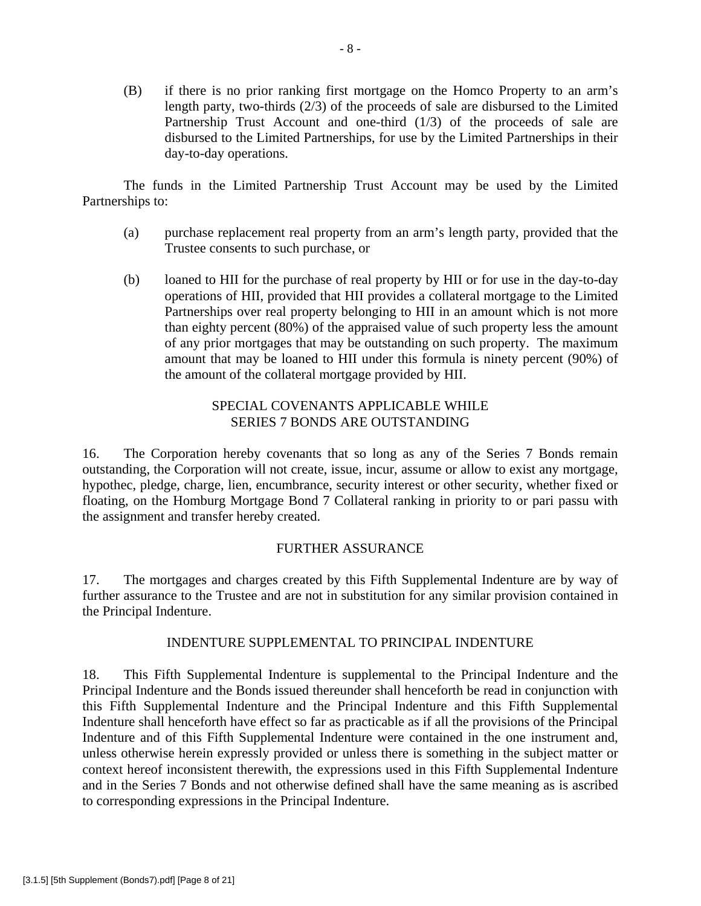(B) if there is no prior ranking first mortgage on the Homco Property to an arm's length party, two-thirds (2/3) of the proceeds of sale are disbursed to the Limited Partnership Trust Account and one-third (1/3) of the proceeds of sale are disbursed to the Limited Partnerships, for use by the Limited Partnerships in their day-to-day operations.

The funds in the Limited Partnership Trust Account may be used by the Limited Partnerships to:

- (a) purchase replacement real property from an arm's length party, provided that the Trustee consents to such purchase, or
- (b) loaned to HII for the purchase of real property by HII or for use in the day-to-day operations of HII, provided that HII provides a collateral mortgage to the Limited Partnerships over real property belonging to HII in an amount which is not more than eighty percent (80%) of the appraised value of such property less the amount of any prior mortgages that may be outstanding on such property. The maximum amount that may be loaned to HII under this formula is ninety percent (90%) of the amount of the collateral mortgage provided by HII.

# SPECIAL COVENANTS APPLICABLE WHILE SERIES 7 BONDS ARE OUTSTANDING

16. The Corporation hereby covenants that so long as any of the Series 7 Bonds remain outstanding, the Corporation will not create, issue, incur, assume or allow to exist any mortgage, hypothec, pledge, charge, lien, encumbrance, security interest or other security, whether fixed or floating, on the Homburg Mortgage Bond 7 Collateral ranking in priority to or pari passu with the assignment and transfer hereby created.

# FURTHER ASSURANCE

17. The mortgages and charges created by this Fifth Supplemental Indenture are by way of further assurance to the Trustee and are not in substitution for any similar provision contained in the Principal Indenture.

# INDENTURE SUPPLEMENTAL TO PRINCIPAL INDENTURE

18. This Fifth Supplemental Indenture is supplemental to the Principal Indenture and the Principal Indenture and the Bonds issued thereunder shall henceforth be read in conjunction with this Fifth Supplemental Indenture and the Principal Indenture and this Fifth Supplemental Indenture shall henceforth have effect so far as practicable as if all the provisions of the Principal Indenture and of this Fifth Supplemental Indenture were contained in the one instrument and, unless otherwise herein expressly provided or unless there is something in the subject matter or context hereof inconsistent therewith, the expressions used in this Fifth Supplemental Indenture and in the Series 7 Bonds and not otherwise defined shall have the same meaning as is ascribed to corresponding expressions in the Principal Indenture.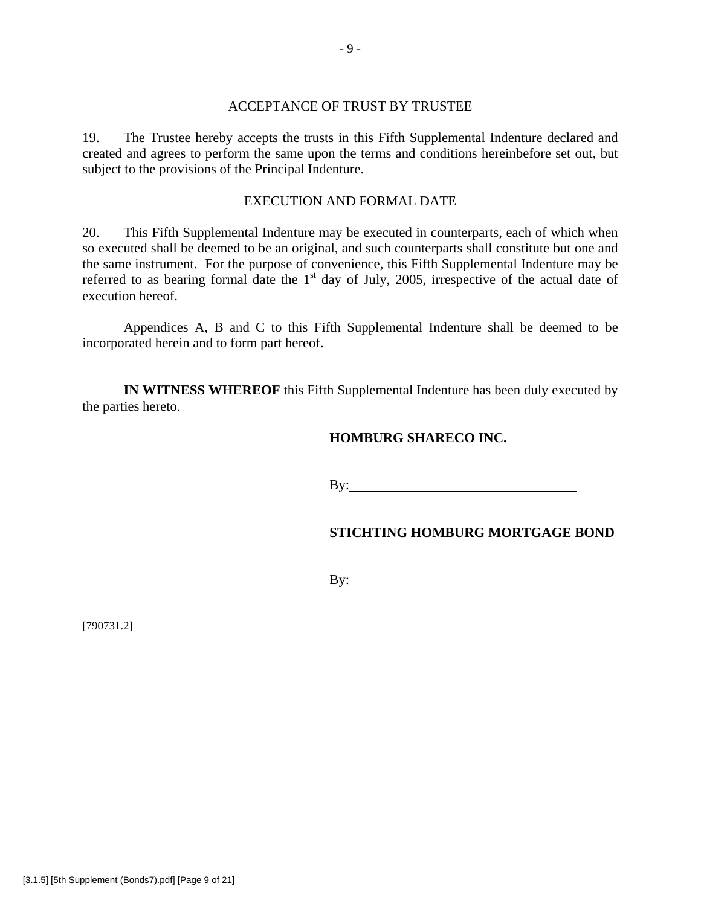#### ACCEPTANCE OF TRUST BY TRUSTEE

19. The Trustee hereby accepts the trusts in this Fifth Supplemental Indenture declared and created and agrees to perform the same upon the terms and conditions hereinbefore set out, but subject to the provisions of the Principal Indenture.

### EXECUTION AND FORMAL DATE

20. This Fifth Supplemental Indenture may be executed in counterparts, each of which when so executed shall be deemed to be an original, and such counterparts shall constitute but one and the same instrument. For the purpose of convenience, this Fifth Supplemental Indenture may be referred to as bearing formal date the  $1<sup>st</sup>$  day of July, 2005, irrespective of the actual date of execution hereof.

 Appendices A, B and C to this Fifth Supplemental Indenture shall be deemed to be incorporated herein and to form part hereof.

**IN WITNESS WHEREOF** this Fifth Supplemental Indenture has been duly executed by the parties hereto.

# **HOMBURG SHARECO INC.**

By:

# **STICHTING HOMBURG MORTGAGE BOND**

By:

[790731.2]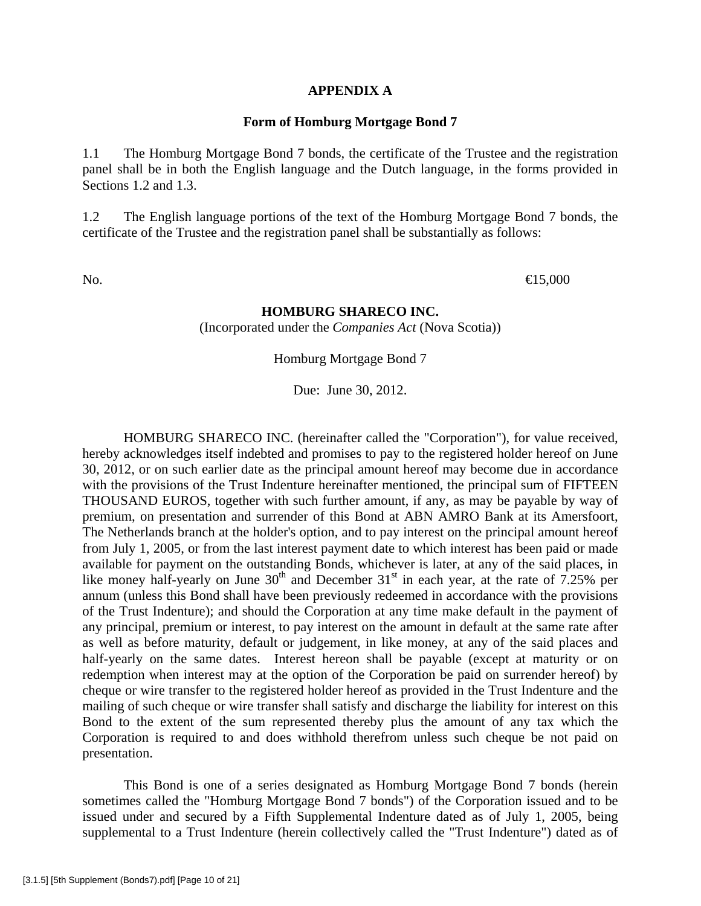#### **APPENDIX A**

#### **Form of Homburg Mortgage Bond 7**

1.1 The Homburg Mortgage Bond 7 bonds, the certificate of the Trustee and the registration panel shall be in both the English language and the Dutch language, in the forms provided in Sections 1.2 and 1.3.

1.2 The English language portions of the text of the Homburg Mortgage Bond 7 bonds, the certificate of the Trustee and the registration panel shall be substantially as follows:

No.  $\qquad \qquad \bullet 5,000$ 

### **HOMBURG SHARECO INC.**

(Incorporated under the *Companies Act* (Nova Scotia))

Homburg Mortgage Bond 7

Due: June 30, 2012.

 HOMBURG SHARECO INC. (hereinafter called the "Corporation"), for value received, hereby acknowledges itself indebted and promises to pay to the registered holder hereof on June 30, 2012, or on such earlier date as the principal amount hereof may become due in accordance with the provisions of the Trust Indenture hereinafter mentioned, the principal sum of FIFTEEN THOUSAND EUROS, together with such further amount, if any, as may be payable by way of premium, on presentation and surrender of this Bond at ABN AMRO Bank at its Amersfoort, The Netherlands branch at the holder's option, and to pay interest on the principal amount hereof from July 1, 2005, or from the last interest payment date to which interest has been paid or made available for payment on the outstanding Bonds, whichever is later, at any of the said places, in like money half-yearly on June  $30<sup>th</sup>$  and December  $31<sup>st</sup>$  in each year, at the rate of 7.25% per annum (unless this Bond shall have been previously redeemed in accordance with the provisions of the Trust Indenture); and should the Corporation at any time make default in the payment of any principal, premium or interest, to pay interest on the amount in default at the same rate after as well as before maturity, default or judgement, in like money, at any of the said places and half-yearly on the same dates. Interest hereon shall be payable (except at maturity or on redemption when interest may at the option of the Corporation be paid on surrender hereof) by cheque or wire transfer to the registered holder hereof as provided in the Trust Indenture and the mailing of such cheque or wire transfer shall satisfy and discharge the liability for interest on this Bond to the extent of the sum represented thereby plus the amount of any tax which the Corporation is required to and does withhold therefrom unless such cheque be not paid on presentation.

 This Bond is one of a series designated as Homburg Mortgage Bond 7 bonds (herein sometimes called the "Homburg Mortgage Bond 7 bonds") of the Corporation issued and to be issued under and secured by a Fifth Supplemental Indenture dated as of July 1, 2005, being supplemental to a Trust Indenture (herein collectively called the "Trust Indenture") dated as of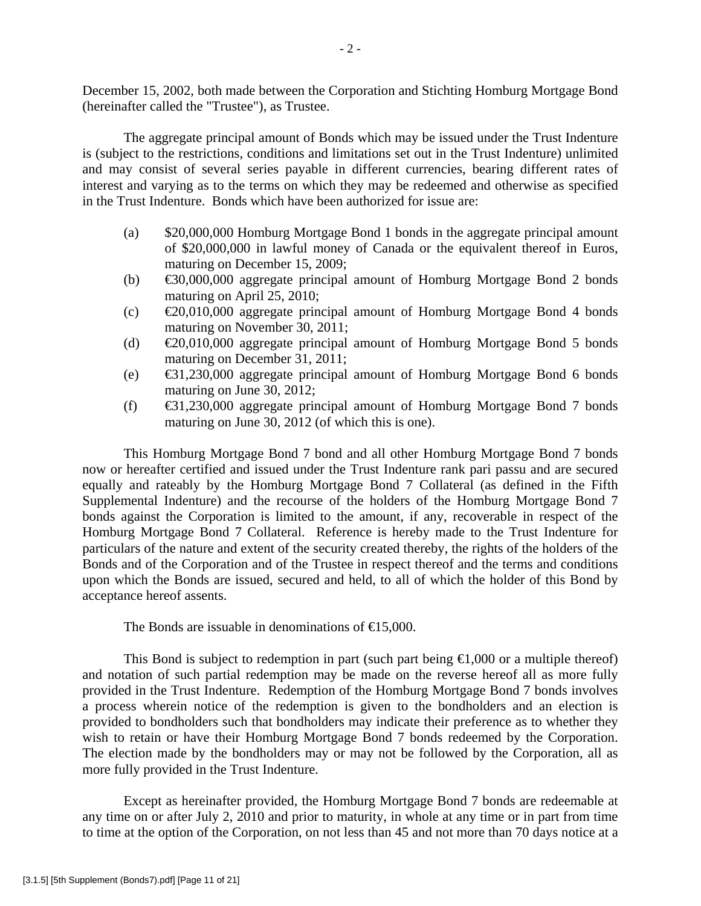December 15, 2002, both made between the Corporation and Stichting Homburg Mortgage Bond (hereinafter called the "Trustee"), as Trustee.

 The aggregate principal amount of Bonds which may be issued under the Trust Indenture is (subject to the restrictions, conditions and limitations set out in the Trust Indenture) unlimited and may consist of several series payable in different currencies, bearing different rates of interest and varying as to the terms on which they may be redeemed and otherwise as specified in the Trust Indenture. Bonds which have been authorized for issue are:

- (a) \$20,000,000 Homburg Mortgage Bond 1 bonds in the aggregate principal amount of \$20,000,000 in lawful money of Canada or the equivalent thereof in Euros, maturing on December 15, 2009;
- (b)  $\bigoplus$  60,000,000 aggregate principal amount of Homburg Mortgage Bond 2 bonds maturing on April 25, 2010;
- (c)  $\bigoplus$   $0.010,000$  aggregate principal amount of Homburg Mortgage Bond 4 bonds maturing on November 30, 2011;
- (d)  $\bigoplus$   $0.010,000$  aggregate principal amount of Homburg Mortgage Bond 5 bonds maturing on December 31, 2011;
- (e) €31,230,000 aggregate principal amount of Homburg Mortgage Bond 6 bonds maturing on June 30, 2012;
- (f)  $\bigoplus$  1,230,000 aggregate principal amount of Homburg Mortgage Bond 7 bonds maturing on June 30, 2012 (of which this is one).

 This Homburg Mortgage Bond 7 bond and all other Homburg Mortgage Bond 7 bonds now or hereafter certified and issued under the Trust Indenture rank pari passu and are secured equally and rateably by the Homburg Mortgage Bond 7 Collateral (as defined in the Fifth Supplemental Indenture) and the recourse of the holders of the Homburg Mortgage Bond 7 bonds against the Corporation is limited to the amount, if any, recoverable in respect of the Homburg Mortgage Bond 7 Collateral. Reference is hereby made to the Trust Indenture for particulars of the nature and extent of the security created thereby, the rights of the holders of the Bonds and of the Corporation and of the Trustee in respect thereof and the terms and conditions upon which the Bonds are issued, secured and held, to all of which the holder of this Bond by acceptance hereof assents.

The Bonds are issuable in denominations of  $\in 5,000$ .

This Bond is subject to redemption in part (such part being  $\epsilon 1,000$  or a multiple thereof) and notation of such partial redemption may be made on the reverse hereof all as more fully provided in the Trust Indenture. Redemption of the Homburg Mortgage Bond 7 bonds involves a process wherein notice of the redemption is given to the bondholders and an election is provided to bondholders such that bondholders may indicate their preference as to whether they wish to retain or have their Homburg Mortgage Bond 7 bonds redeemed by the Corporation. The election made by the bondholders may or may not be followed by the Corporation, all as more fully provided in the Trust Indenture.

 Except as hereinafter provided, the Homburg Mortgage Bond 7 bonds are redeemable at any time on or after July 2, 2010 and prior to maturity, in whole at any time or in part from time to time at the option of the Corporation, on not less than 45 and not more than 70 days notice at a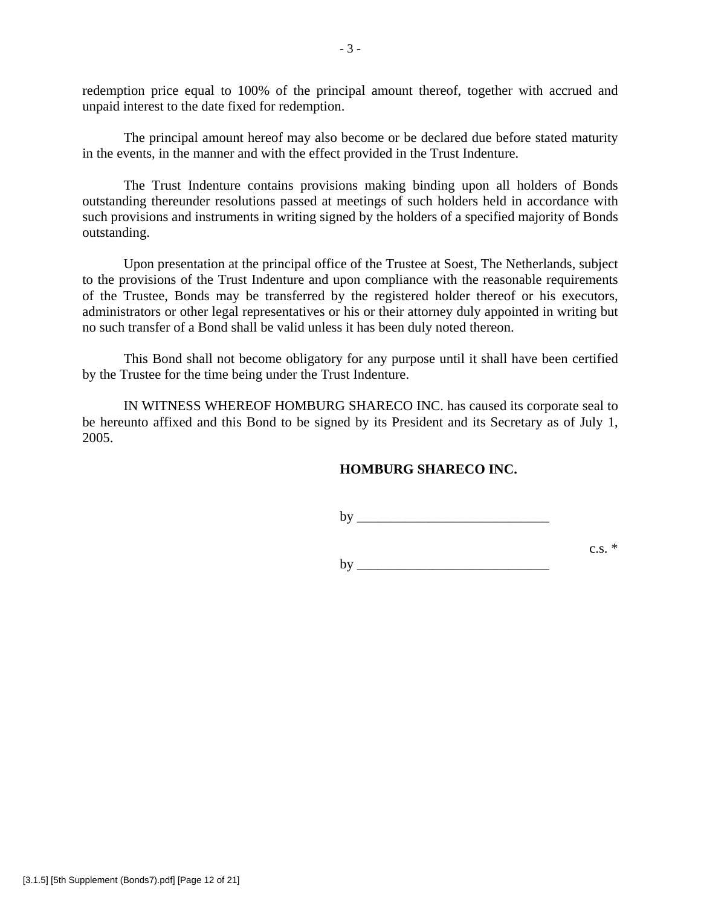redemption price equal to 100% of the principal amount thereof, together with accrued and unpaid interest to the date fixed for redemption.

 The principal amount hereof may also become or be declared due before stated maturity in the events, in the manner and with the effect provided in the Trust Indenture.

 The Trust Indenture contains provisions making binding upon all holders of Bonds outstanding thereunder resolutions passed at meetings of such holders held in accordance with such provisions and instruments in writing signed by the holders of a specified majority of Bonds outstanding.

 Upon presentation at the principal office of the Trustee at Soest, The Netherlands, subject to the provisions of the Trust Indenture and upon compliance with the reasonable requirements of the Trustee, Bonds may be transferred by the registered holder thereof or his executors, administrators or other legal representatives or his or their attorney duly appointed in writing but no such transfer of a Bond shall be valid unless it has been duly noted thereon.

 This Bond shall not become obligatory for any purpose until it shall have been certified by the Trustee for the time being under the Trust Indenture.

 IN WITNESS WHEREOF HOMBURG SHARECO INC. has caused its corporate seal to be hereunto affixed and this Bond to be signed by its President and its Secretary as of July 1, 2005.

## **HOMBURG SHARECO INC.**

by \_\_\_\_\_\_\_\_\_\_\_\_\_\_\_\_\_\_\_\_\_\_\_\_\_\_\_\_

 $\text{c.s.}^*$  $by$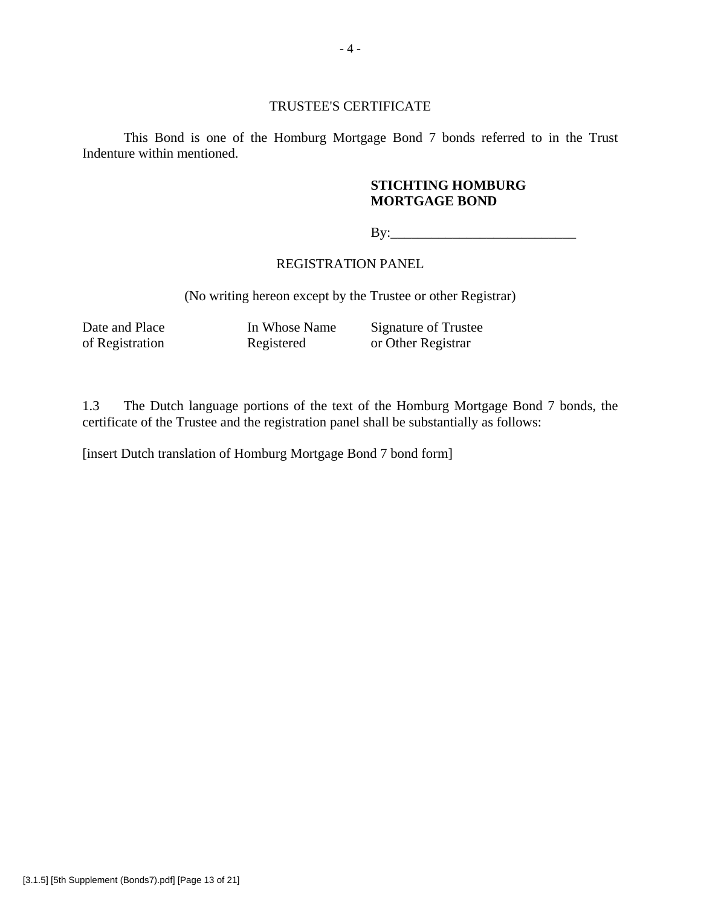#### TRUSTEE'S CERTIFICATE

 This Bond is one of the Homburg Mortgage Bond 7 bonds referred to in the Trust Indenture within mentioned.

### **STICHTING HOMBURG MORTGAGE BOND**

By:\_\_\_\_\_\_\_\_\_\_\_\_\_\_\_\_\_\_\_\_\_\_\_\_\_\_\_

## REGISTRATION PANEL

(No writing hereon except by the Trustee or other Registrar)

Date and Place In Whose Name Signature of Trustee<br>of Registration Registered or Other Registrar Registered or Other Registrar

1.3 The Dutch language portions of the text of the Homburg Mortgage Bond 7 bonds, the certificate of the Trustee and the registration panel shall be substantially as follows:

[insert Dutch translation of Homburg Mortgage Bond 7 bond form]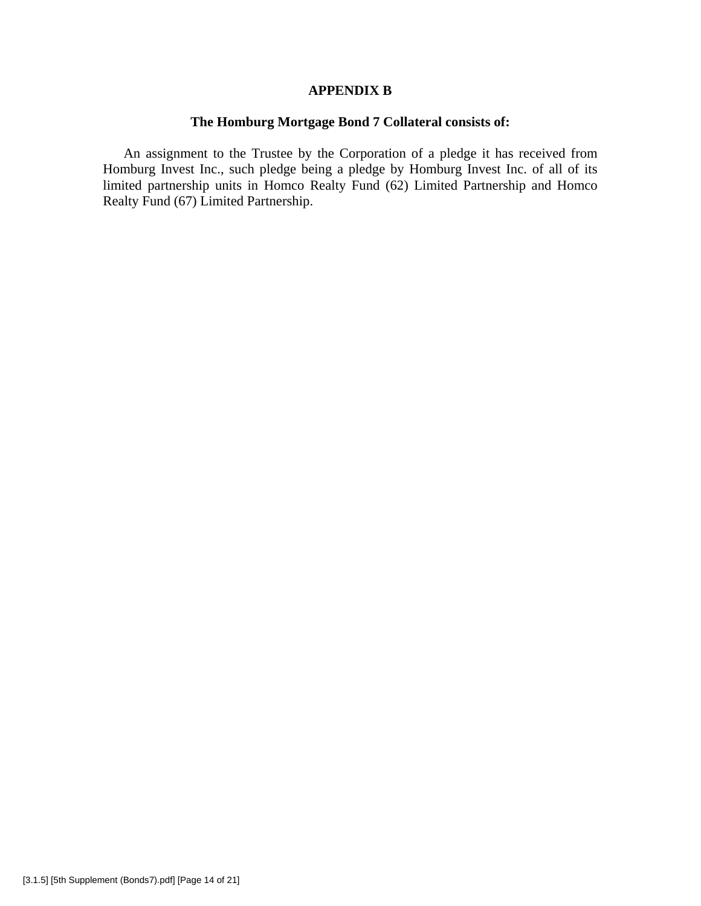#### **APPENDIX B**

# **The Homburg Mortgage Bond 7 Collateral consists of:**

An assignment to the Trustee by the Corporation of a pledge it has received from Homburg Invest Inc., such pledge being a pledge by Homburg Invest Inc. of all of its limited partnership units in Homco Realty Fund (62) Limited Partnership and Homco Realty Fund (67) Limited Partnership.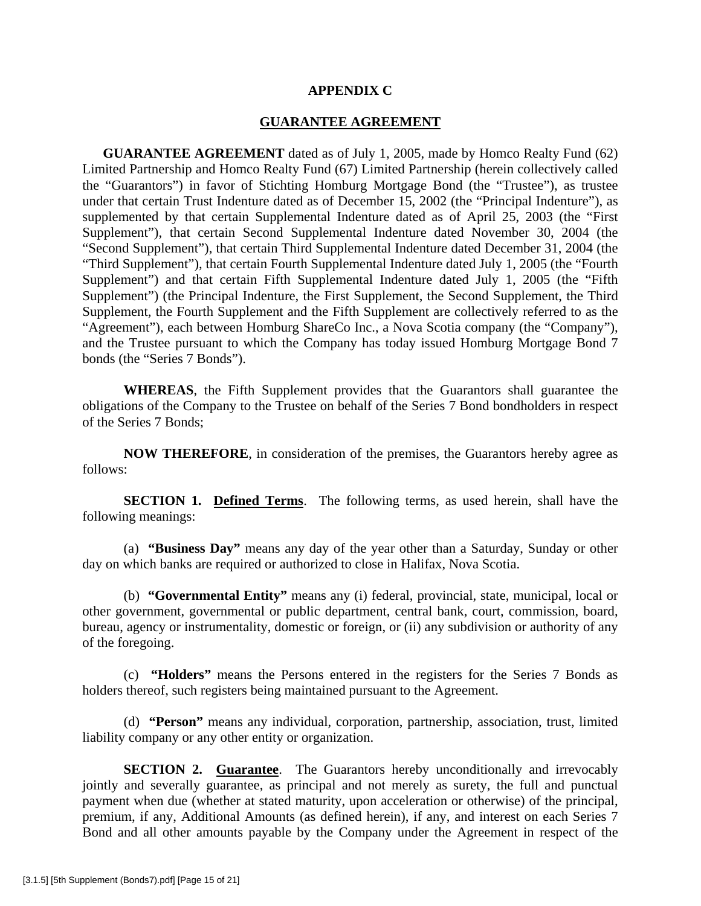#### **APPENDIX C**

#### **GUARANTEE AGREEMENT**

**GUARANTEE AGREEMENT** dated as of July 1, 2005, made by Homco Realty Fund (62) Limited Partnership and Homco Realty Fund (67) Limited Partnership (herein collectively called the "Guarantors") in favor of Stichting Homburg Mortgage Bond (the "Trustee"), as trustee under that certain Trust Indenture dated as of December 15, 2002 (the "Principal Indenture"), as supplemented by that certain Supplemental Indenture dated as of April 25, 2003 (the "First Supplement"), that certain Second Supplemental Indenture dated November 30, 2004 (the "Second Supplement"), that certain Third Supplemental Indenture dated December 31, 2004 (the "Third Supplement"), that certain Fourth Supplemental Indenture dated July 1, 2005 (the "Fourth Supplement") and that certain Fifth Supplemental Indenture dated July 1, 2005 (the "Fifth Supplement") (the Principal Indenture, the First Supplement, the Second Supplement, the Third Supplement, the Fourth Supplement and the Fifth Supplement are collectively referred to as the "Agreement"), each between Homburg ShareCo Inc., a Nova Scotia company (the "Company"), and the Trustee pursuant to which the Company has today issued Homburg Mortgage Bond 7 bonds (the "Series 7 Bonds").

**WHEREAS**, the Fifth Supplement provides that the Guarantors shall guarantee the obligations of the Company to the Trustee on behalf of the Series 7 Bond bondholders in respect of the Series 7 Bonds;

**NOW THEREFORE**, in consideration of the premises, the Guarantors hereby agree as follows:

**SECTION 1. Defined Terms**. The following terms, as used herein, shall have the following meanings:

(a) **"Business Day"** means any day of the year other than a Saturday, Sunday or other day on which banks are required or authorized to close in Halifax, Nova Scotia.

(b) **"Governmental Entity"** means any (i) federal, provincial, state, municipal, local or other government, governmental or public department, central bank, court, commission, board, bureau, agency or instrumentality, domestic or foreign, or (ii) any subdivision or authority of any of the foregoing.

(c) **"Holders"** means the Persons entered in the registers for the Series 7 Bonds as holders thereof, such registers being maintained pursuant to the Agreement.

(d) **"Person"** means any individual, corporation, partnership, association, trust, limited liability company or any other entity or organization.

**SECTION 2. Guarantee.** The Guarantors hereby unconditionally and irrevocably jointly and severally guarantee, as principal and not merely as surety, the full and punctual payment when due (whether at stated maturity, upon acceleration or otherwise) of the principal, premium, if any, Additional Amounts (as defined herein), if any, and interest on each Series 7 Bond and all other amounts payable by the Company under the Agreement in respect of the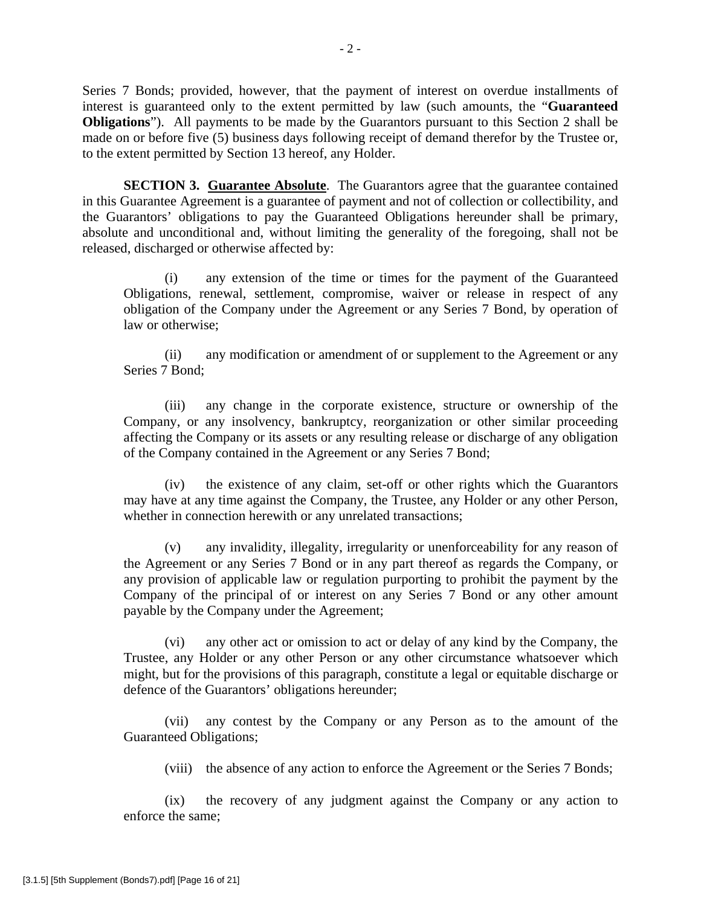Series 7 Bonds; provided, however, that the payment of interest on overdue installments of interest is guaranteed only to the extent permitted by law (such amounts, the "**Guaranteed Obligations**"). All payments to be made by the Guarantors pursuant to this Section 2 shall be made on or before five (5) business days following receipt of demand therefor by the Trustee or, to the extent permitted by Section 13 hereof, any Holder.

**SECTION 3. Guarantee Absolute**. The Guarantors agree that the guarantee contained in this Guarantee Agreement is a guarantee of payment and not of collection or collectibility, and the Guarantors' obligations to pay the Guaranteed Obligations hereunder shall be primary, absolute and unconditional and, without limiting the generality of the foregoing, shall not be released, discharged or otherwise affected by:

(i) any extension of the time or times for the payment of the Guaranteed Obligations, renewal, settlement, compromise, waiver or release in respect of any obligation of the Company under the Agreement or any Series 7 Bond, by operation of law or otherwise;

(ii) any modification or amendment of or supplement to the Agreement or any Series 7 Bond;

(iii) any change in the corporate existence, structure or ownership of the Company, or any insolvency, bankruptcy, reorganization or other similar proceeding affecting the Company or its assets or any resulting release or discharge of any obligation of the Company contained in the Agreement or any Series 7 Bond;

(iv) the existence of any claim, set-off or other rights which the Guarantors may have at any time against the Company, the Trustee, any Holder or any other Person, whether in connection herewith or any unrelated transactions;

(v) any invalidity, illegality, irregularity or unenforceability for any reason of the Agreement or any Series 7 Bond or in any part thereof as regards the Company, or any provision of applicable law or regulation purporting to prohibit the payment by the Company of the principal of or interest on any Series 7 Bond or any other amount payable by the Company under the Agreement;

(vi) any other act or omission to act or delay of any kind by the Company, the Trustee, any Holder or any other Person or any other circumstance whatsoever which might, but for the provisions of this paragraph, constitute a legal or equitable discharge or defence of the Guarantors' obligations hereunder;

(vii) any contest by the Company or any Person as to the amount of the Guaranteed Obligations;

(viii) the absence of any action to enforce the Agreement or the Series 7 Bonds;

(ix) the recovery of any judgment against the Company or any action to enforce the same;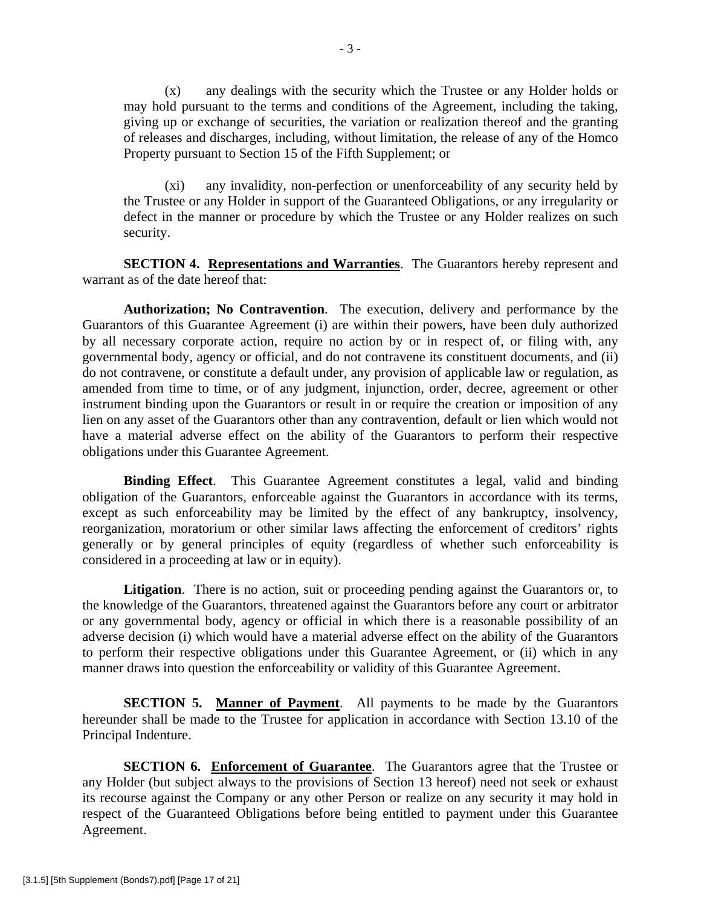(x) any dealings with the security which the Trustee or any Holder holds or may hold pursuant to the terms and conditions of the Agreement, including the taking, giving up or exchange of securities, the variation or realization thereof and the granting of releases and discharges, including, without limitation, the release of any of the Homco Property pursuant to Section 15 of the Fifth Supplement; or

(xi) any invalidity, non-perfection or unenforceability of any security held by the Trustee or any Holder in support of the Guaranteed Obligations, or any irregularity or defect in the manner or procedure by which the Trustee or any Holder realizes on such security.

**SECTION 4. Representations and Warranties**. The Guarantors hereby represent and warrant as of the date hereof that:

**Authorization; No Contravention**. The execution, delivery and performance by the Guarantors of this Guarantee Agreement (i) are within their powers, have been duly authorized by all necessary corporate action, require no action by or in respect of, or filing with, any governmental body, agency or official, and do not contravene its constituent documents, and (ii) do not contravene, or constitute a default under, any provision of applicable law or regulation, as amended from time to time, or of any judgment, injunction, order, decree, agreement or other instrument binding upon the Guarantors or result in or require the creation or imposition of any lien on any asset of the Guarantors other than any contravention, default or lien which would not have a material adverse effect on the ability of the Guarantors to perform their respective obligations under this Guarantee Agreement.

**Binding Effect**. This Guarantee Agreement constitutes a legal, valid and binding obligation of the Guarantors, enforceable against the Guarantors in accordance with its terms, except as such enforceability may be limited by the effect of any bankruptcy, insolvency, reorganization, moratorium or other similar laws affecting the enforcement of creditors' rights generally or by general principles of equity (regardless of whether such enforceability is considered in a proceeding at law or in equity).

Litigation. There is no action, suit or proceeding pending against the Guarantors or, to the knowledge of the Guarantors, threatened against the Guarantors before any court or arbitrator or any governmental body, agency or official in which there is a reasonable possibility of an adverse decision (i) which would have a material adverse effect on the ability of the Guarantors to perform their respective obligations under this Guarantee Agreement, or (ii) which in any manner draws into question the enforceability or validity of this Guarantee Agreement.

**SECTION 5. Manner of Payment.** All payments to be made by the Guarantors hereunder shall be made to the Trustee for application in accordance with Section 13.10 of the Principal Indenture.

**SECTION 6. Enforcement of Guarantee.** The Guarantors agree that the Trustee or any Holder (but subject always to the provisions of Section 13 hereof) need not seek or exhaust its recourse against the Company or any other Person or realize on any security it may hold in respect of the Guaranteed Obligations before being entitled to payment under this Guarantee Agreement.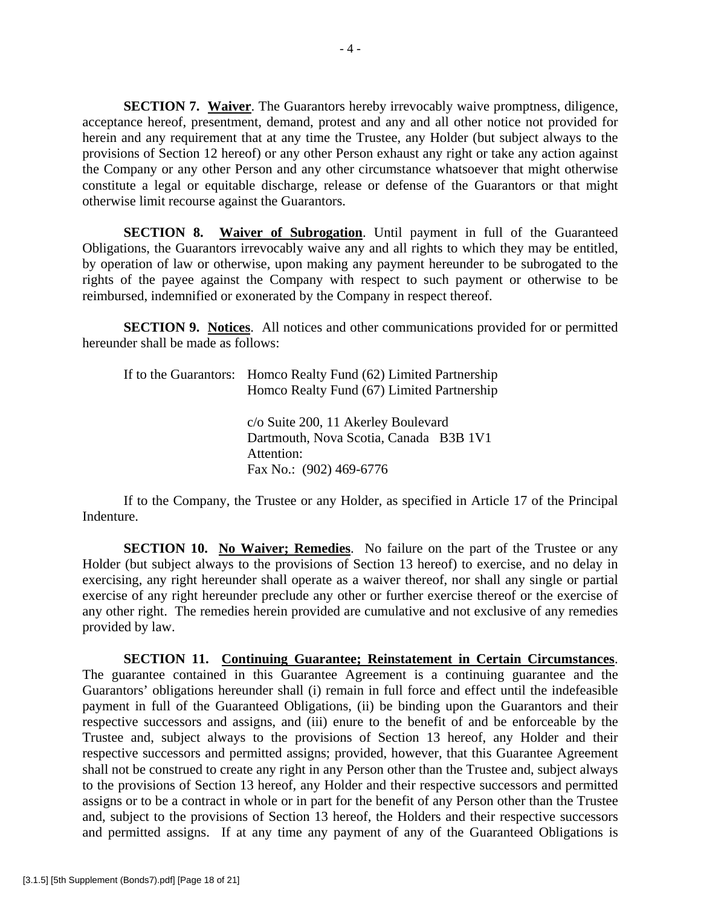**SECTION 7. Waiver**. The Guarantors hereby irrevocably waive promptness, diligence, acceptance hereof, presentment, demand, protest and any and all other notice not provided for herein and any requirement that at any time the Trustee, any Holder (but subject always to the provisions of Section 12 hereof) or any other Person exhaust any right or take any action against the Company or any other Person and any other circumstance whatsoever that might otherwise constitute a legal or equitable discharge, release or defense of the Guarantors or that might otherwise limit recourse against the Guarantors.

**SECTION 8. Waiver of Subrogation**. Until payment in full of the Guaranteed Obligations, the Guarantors irrevocably waive any and all rights to which they may be entitled, by operation of law or otherwise, upon making any payment hereunder to be subrogated to the rights of the payee against the Company with respect to such payment or otherwise to be reimbursed, indemnified or exonerated by the Company in respect thereof.

**SECTION 9. Notices**. All notices and other communications provided for or permitted hereunder shall be made as follows:

| If to the Guarantors: Homco Realty Fund (62) Limited Partnership<br>Homco Realty Fund (67) Limited Partnership         |
|------------------------------------------------------------------------------------------------------------------------|
| c/o Suite 200, 11 Akerley Boulevard<br>Dartmouth, Nova Scotia, Canada B3B 1V1<br>Attention:<br>Fax No.: (902) 469-6776 |

If to the Company, the Trustee or any Holder, as specified in Article 17 of the Principal Indenture.

**SECTION 10. No Waiver; Remedies**. No failure on the part of the Trustee or any Holder (but subject always to the provisions of Section 13 hereof) to exercise, and no delay in exercising, any right hereunder shall operate as a waiver thereof, nor shall any single or partial exercise of any right hereunder preclude any other or further exercise thereof or the exercise of any other right. The remedies herein provided are cumulative and not exclusive of any remedies provided by law.

**SECTION 11. Continuing Guarantee; Reinstatement in Certain Circumstances**. The guarantee contained in this Guarantee Agreement is a continuing guarantee and the Guarantors' obligations hereunder shall (i) remain in full force and effect until the indefeasible payment in full of the Guaranteed Obligations, (ii) be binding upon the Guarantors and their respective successors and assigns, and (iii) enure to the benefit of and be enforceable by the Trustee and, subject always to the provisions of Section 13 hereof, any Holder and their respective successors and permitted assigns; provided, however, that this Guarantee Agreement shall not be construed to create any right in any Person other than the Trustee and, subject always to the provisions of Section 13 hereof, any Holder and their respective successors and permitted assigns or to be a contract in whole or in part for the benefit of any Person other than the Trustee and, subject to the provisions of Section 13 hereof, the Holders and their respective successors and permitted assigns. If at any time any payment of any of the Guaranteed Obligations is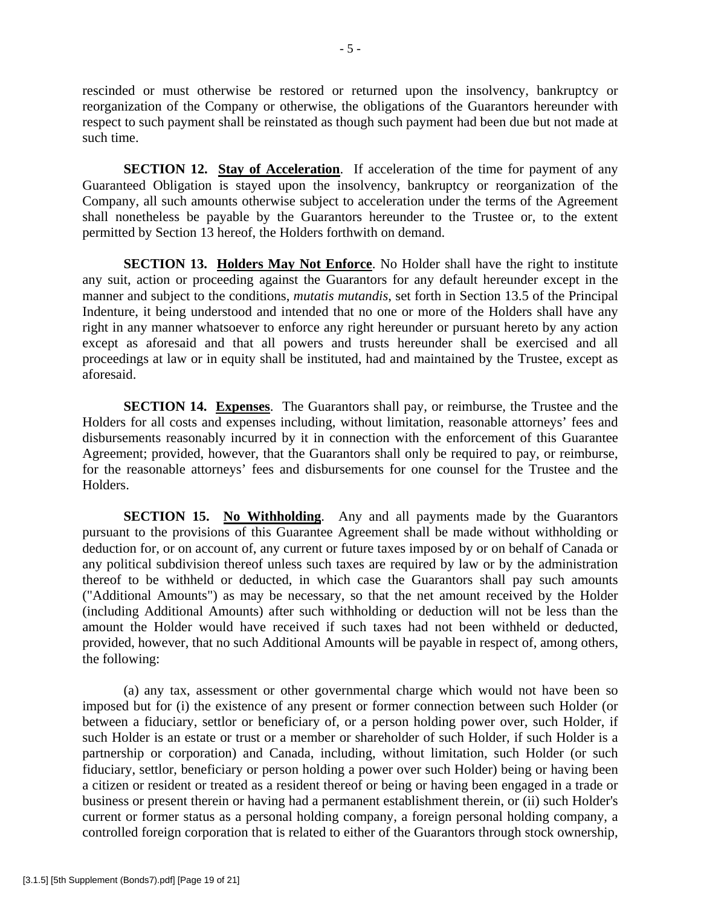rescinded or must otherwise be restored or returned upon the insolvency, bankruptcy or reorganization of the Company or otherwise, the obligations of the Guarantors hereunder with respect to such payment shall be reinstated as though such payment had been due but not made at such time.

**SECTION 12. Stay of Acceleration.** If acceleration of the time for payment of any Guaranteed Obligation is stayed upon the insolvency, bankruptcy or reorganization of the Company, all such amounts otherwise subject to acceleration under the terms of the Agreement shall nonetheless be payable by the Guarantors hereunder to the Trustee or, to the extent permitted by Section 13 hereof, the Holders forthwith on demand.

**SECTION 13. Holders May Not Enforce.** No Holder shall have the right to institute any suit, action or proceeding against the Guarantors for any default hereunder except in the manner and subject to the conditions, *mutatis mutandis*, set forth in Section 13.5 of the Principal Indenture, it being understood and intended that no one or more of the Holders shall have any right in any manner whatsoever to enforce any right hereunder or pursuant hereto by any action except as aforesaid and that all powers and trusts hereunder shall be exercised and all proceedings at law or in equity shall be instituted, had and maintained by the Trustee, except as aforesaid.

**SECTION 14. Expenses**. The Guarantors shall pay, or reimburse, the Trustee and the Holders for all costs and expenses including, without limitation, reasonable attorneys' fees and disbursements reasonably incurred by it in connection with the enforcement of this Guarantee Agreement; provided, however, that the Guarantors shall only be required to pay, or reimburse, for the reasonable attorneys' fees and disbursements for one counsel for the Trustee and the Holders.

**SECTION 15. No Withholding**. Any and all payments made by the Guarantors pursuant to the provisions of this Guarantee Agreement shall be made without withholding or deduction for, or on account of, any current or future taxes imposed by or on behalf of Canada or any political subdivision thereof unless such taxes are required by law or by the administration thereof to be withheld or deducted, in which case the Guarantors shall pay such amounts ("Additional Amounts") as may be necessary, so that the net amount received by the Holder (including Additional Amounts) after such withholding or deduction will not be less than the amount the Holder would have received if such taxes had not been withheld or deducted, provided, however, that no such Additional Amounts will be payable in respect of, among others, the following:

(a) any tax, assessment or other governmental charge which would not have been so imposed but for (i) the existence of any present or former connection between such Holder (or between a fiduciary, settlor or beneficiary of, or a person holding power over, such Holder, if such Holder is an estate or trust or a member or shareholder of such Holder, if such Holder is a partnership or corporation) and Canada, including, without limitation, such Holder (or such fiduciary, settlor, beneficiary or person holding a power over such Holder) being or having been a citizen or resident or treated as a resident thereof or being or having been engaged in a trade or business or present therein or having had a permanent establishment therein, or (ii) such Holder's current or former status as a personal holding company, a foreign personal holding company, a controlled foreign corporation that is related to either of the Guarantors through stock ownership,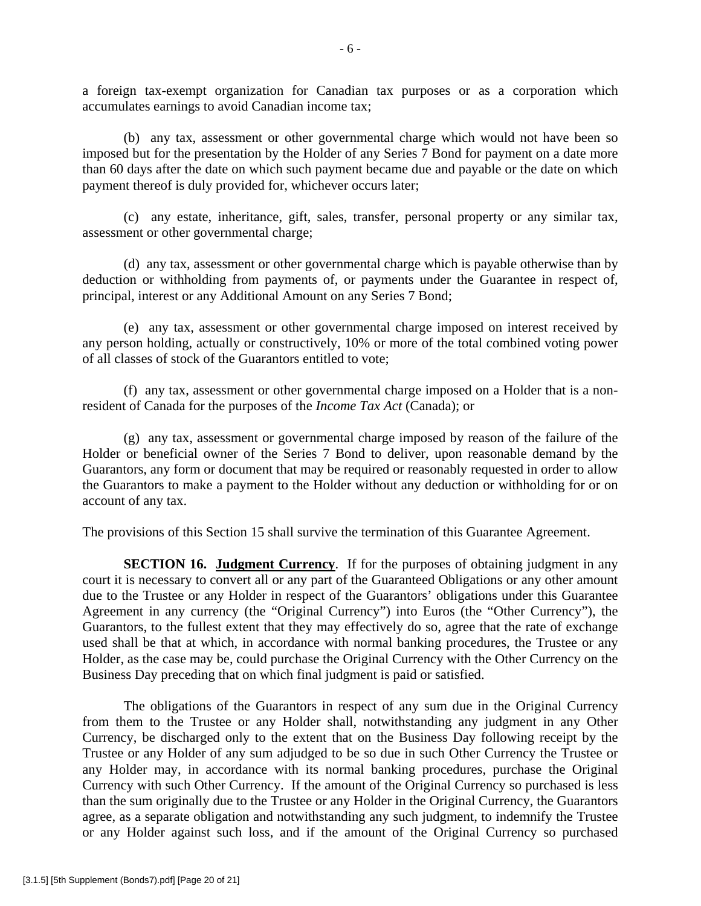a foreign tax-exempt organization for Canadian tax purposes or as a corporation which accumulates earnings to avoid Canadian income tax;

(b) any tax, assessment or other governmental charge which would not have been so imposed but for the presentation by the Holder of any Series 7 Bond for payment on a date more than 60 days after the date on which such payment became due and payable or the date on which payment thereof is duly provided for, whichever occurs later;

(c) any estate, inheritance, gift, sales, transfer, personal property or any similar tax, assessment or other governmental charge;

(d) any tax, assessment or other governmental charge which is payable otherwise than by deduction or withholding from payments of, or payments under the Guarantee in respect of, principal, interest or any Additional Amount on any Series 7 Bond;

(e) any tax, assessment or other governmental charge imposed on interest received by any person holding, actually or constructively, 10% or more of the total combined voting power of all classes of stock of the Guarantors entitled to vote;

(f) any tax, assessment or other governmental charge imposed on a Holder that is a nonresident of Canada for the purposes of the *Income Tax Act* (Canada); or

(g) any tax, assessment or governmental charge imposed by reason of the failure of the Holder or beneficial owner of the Series 7 Bond to deliver, upon reasonable demand by the Guarantors, any form or document that may be required or reasonably requested in order to allow the Guarantors to make a payment to the Holder without any deduction or withholding for or on account of any tax.

The provisions of this Section 15 shall survive the termination of this Guarantee Agreement.

**SECTION 16. Judgment Currency**. If for the purposes of obtaining judgment in any court it is necessary to convert all or any part of the Guaranteed Obligations or any other amount due to the Trustee or any Holder in respect of the Guarantors' obligations under this Guarantee Agreement in any currency (the "Original Currency") into Euros (the "Other Currency"), the Guarantors, to the fullest extent that they may effectively do so, agree that the rate of exchange used shall be that at which, in accordance with normal banking procedures, the Trustee or any Holder, as the case may be, could purchase the Original Currency with the Other Currency on the Business Day preceding that on which final judgment is paid or satisfied.

The obligations of the Guarantors in respect of any sum due in the Original Currency from them to the Trustee or any Holder shall, notwithstanding any judgment in any Other Currency, be discharged only to the extent that on the Business Day following receipt by the Trustee or any Holder of any sum adjudged to be so due in such Other Currency the Trustee or any Holder may, in accordance with its normal banking procedures, purchase the Original Currency with such Other Currency. If the amount of the Original Currency so purchased is less than the sum originally due to the Trustee or any Holder in the Original Currency, the Guarantors agree, as a separate obligation and notwithstanding any such judgment, to indemnify the Trustee or any Holder against such loss, and if the amount of the Original Currency so purchased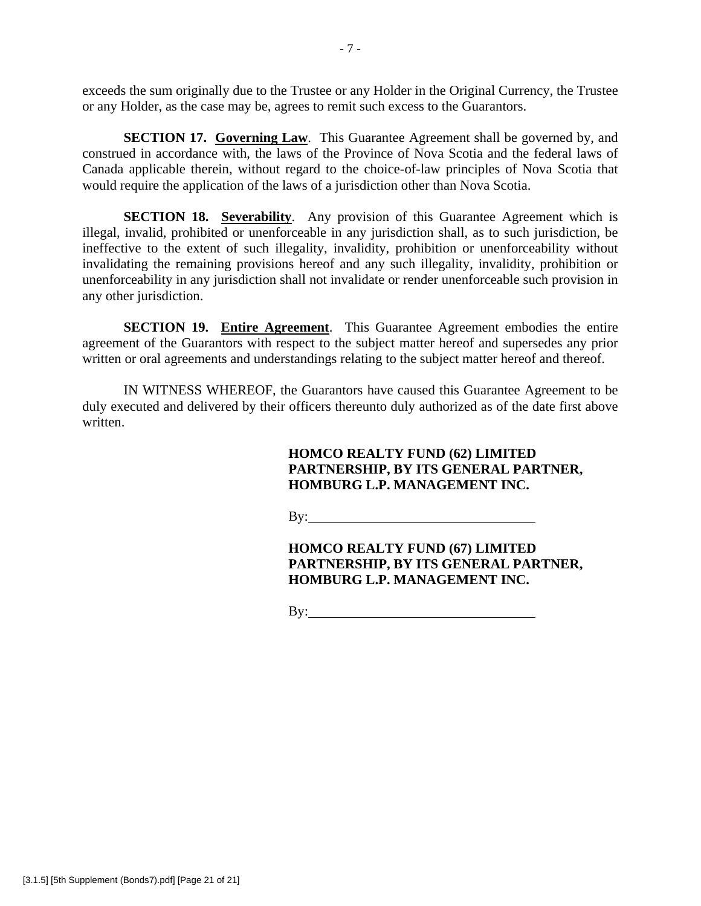exceeds the sum originally due to the Trustee or any Holder in the Original Currency, the Trustee or any Holder, as the case may be, agrees to remit such excess to the Guarantors.

**SECTION 17. Governing Law**. This Guarantee Agreement shall be governed by, and construed in accordance with, the laws of the Province of Nova Scotia and the federal laws of Canada applicable therein, without regard to the choice-of-law principles of Nova Scotia that would require the application of the laws of a jurisdiction other than Nova Scotia.

**SECTION 18. Severability**. Any provision of this Guarantee Agreement which is illegal, invalid, prohibited or unenforceable in any jurisdiction shall, as to such jurisdiction, be ineffective to the extent of such illegality, invalidity, prohibition or unenforceability without invalidating the remaining provisions hereof and any such illegality, invalidity, prohibition or unenforceability in any jurisdiction shall not invalidate or render unenforceable such provision in any other jurisdiction.

**SECTION 19. Entire Agreement**. This Guarantee Agreement embodies the entire agreement of the Guarantors with respect to the subject matter hereof and supersedes any prior written or oral agreements and understandings relating to the subject matter hereof and thereof.

IN WITNESS WHEREOF, the Guarantors have caused this Guarantee Agreement to be duly executed and delivered by their officers thereunto duly authorized as of the date first above written.

# **HOMCO REALTY FUND (62) LIMITED PARTNERSHIP, BY ITS GENERAL PARTNER, HOMBURG L.P. MANAGEMENT INC.**

By:

**HOMCO REALTY FUND (67) LIMITED PARTNERSHIP, BY ITS GENERAL PARTNER, HOMBURG L.P. MANAGEMENT INC.** 

By:  $\qquad \qquad$